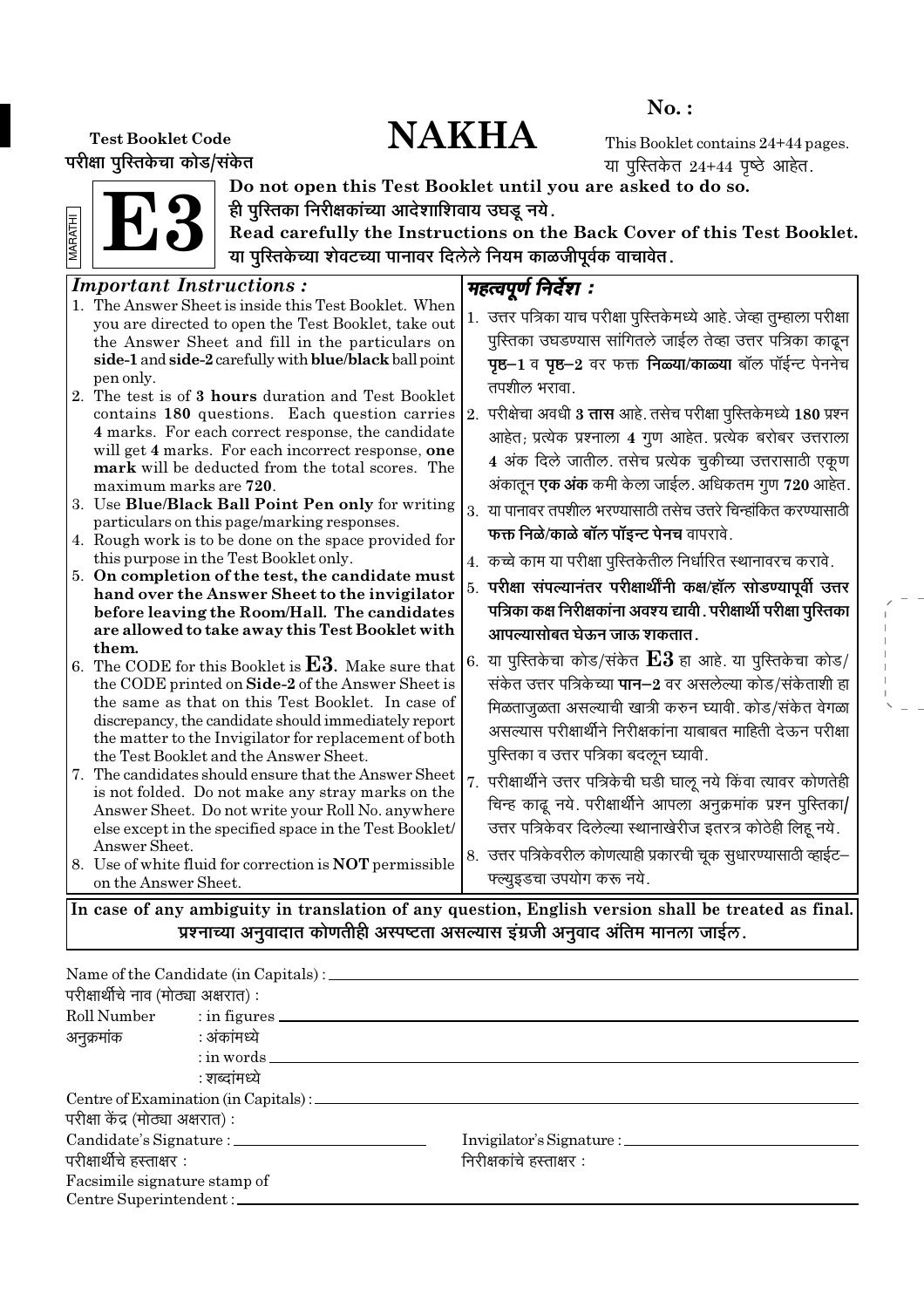# No. :

# Test Booklet Code  $\mathbf{NAKHA}$

परीक्षा पुरितकेचा कोड/संकेत

This Booklet contains 24+44 pages. या पुस्तिकेत  $24+44$  पृष्ठे आहेत.

E3 MARATHI



Do not open this Test Booklet until you are asked to do so. ही पुरितका निरीक्षकांच्या आदेशाशिवाय उघडू नये.

Read carefully the Instructions on the Back Cover of this Test Booklet. या पुरितकेच्या शेवटच्या पानावर दिलेले नियम काळजीपूर्वक वाचावेत.

#### Important Instructions : 1. The Answer Sheet is inside this Test Booklet. When you are directed to open the Test Booklet, take out the Answer Sheet and fill in the particulars on side-1 and side-2 carefully with blue/black ball point pen only. 2. The test is of 3 hours duration and Test Booklet contains 180 questions. Each question carries 4 marks. For each correct response, the candidate will get 4 marks. For each incorrect response, one mark will be deducted from the total scores. The maximum marks are 720. 3. Use Blue/Black Ball Point Pen only for writing particulars on this page/marking responses. 4. Rough work is to be done on the space provided for this purpose in the Test Booklet only. 5. On completion of the test, the candidate must hand over the Answer Sheet to the invigilator before leaving the Room/Hall. The candidates are allowed to take away this Test Booklet with them. 6. The CODE for this Booklet is  $E3$ . Make sure that the CODE printed on Side-2 of the Answer Sheet is the same as that on this Test Booklet. In case of discrepancy, the candidate should immediately report the matter to the Invigilator for replacement of both the Test Booklet and the Answer Sheet. 7. The candidates should ensure that the Answer Sheet is not folded. Do not make any stray marks on the Answer Sheet. Do not write your Roll No. anywhere else except in the specified space in the Test Booklet/ Answer Sheet. 8. Use of white fluid for correction is NOT permissible on the Answer Sheet. महत्वपूर्ण निर्देश : 1. उत्तर पत्रिका याच परीक्षा पस्तिकेमध्ये आहे. जेव्हा तम्हाला परीक्षा पुस्तिका उघडण्यास सांगितले जाईल तेव्हा उत्तर पत्रिका काढून **पृष्ठ−1** व पृष्ठ−2 वर फक्त निळ्या/काळ्या बॉल पॉईन्ट पेननेच तपशील भरावा.  $\vert$ 2. परीक्षेचा अवधी **3 तास** आहे. तसेच परीक्षा पुस्तिकेमध्ये 180 प्रश्न आहेत; प्रत्येक प्रश्नाला 4 गुण आहेत. प्रत्येक बरोबर उत्तराला 4 अंक दिले जातील. तसेच प्रत्येक चूकीच्या उत्तरासाठी एकूण अंकातून **एक अंक** कमी केला जाईल. अधिकतम गुण 720 आहेत.  $3.$  या पानावर तपशील भरण्यासाठी तसेच उत्तरे चिन्हांकित करण्यासाठी **फक्त निळे/काळे बॉल पॉइन्ट पेनच** वापरावे. 4. कच्चे काम या परीक्षा पुस्तिकेतील निर्धारित स्थानावरच करावे. 5. परीक्षा संपल्यानंतर परीक्षार्थींनी कक्ष⁄हॉल सोडण्यापूर्वी उत्तर पत्रिका कक्ष निरीक्षकांना अवश्य द्यावी . परीक्षार्थी परीक्षा पु**रित**का आपल्यासोबत घेऊन जाऊ शकतात . 6. या पुस्तिकेचा कोड/संकेत  ${\bf E3}$  हा आहे. या पुस्तिकेचा कोड/ संकेत उत्तर पत्रिकेच्या **पान−2** वर असलेल्या कोड/संकेताशी हा भिळताजळता असल्याची खात्री करुन घ्यावी. कोड/संकेत वेगळा असल्यास परीक्षार्थीने निरीक्षकांना याबाबत माहिती देऊन परीक्षा पुस्तिका व उत्तर पत्रिका बदऌन घ्यावी. 7. परीक्षार्थीने उत्तर पत्रिकेची घडी घाऌ नये किंवा त्यावर कोणतेही चिन्ह काढ़ नये. परीक्षार्थीने आपला अनुक्रमांक प्रश्न पुस्तिका/ उत्तर पत्रिकेवर दिलेल्या स्थानाखेरीज इतरत्र कोठेही लिहू नये. 8. उत्तर पत्रिकेवरील कोणत्याही प्रकारची चूक सुधारण्यासाठी व्हाईट– फ्ल्यूइडचा उपयोग करू नये. In case of any ambiguity in translation of any question, English version shall be treated as final.

प्रश्नाच्या अनुवादात कोणतीही अस्पष्टता असल्यास इंग्रजी अनुवाद अंतिम मानला जाईल.

| परीक्षार्थीचे नाव (मोठ्या अक्षरात) : | Name of the Candidate (in Capitals) : ________    |                          |
|--------------------------------------|---------------------------------------------------|--------------------------|
|                                      |                                                   |                          |
|                                      | Roll Number : in figures                          |                          |
| अनुक्रमांक : अंकांमध्ये              |                                                   |                          |
|                                      | $:$ in words $\_\_$                               |                          |
|                                      | : शब्दांमध्ये                                     |                          |
|                                      | Centre of Examination (in Capitals) : ___________ |                          |
| परीक्षा केंद्र (मोठ्या अक्षरात) :    |                                                   |                          |
|                                      |                                                   |                          |
| परीक्षार्थीचे हस्ताक्षर :            |                                                   | निरीक्षकांचे हस्ताक्षर : |
| Facsimile signature stamp of         |                                                   |                          |
| Centre Superintendent:               |                                                   |                          |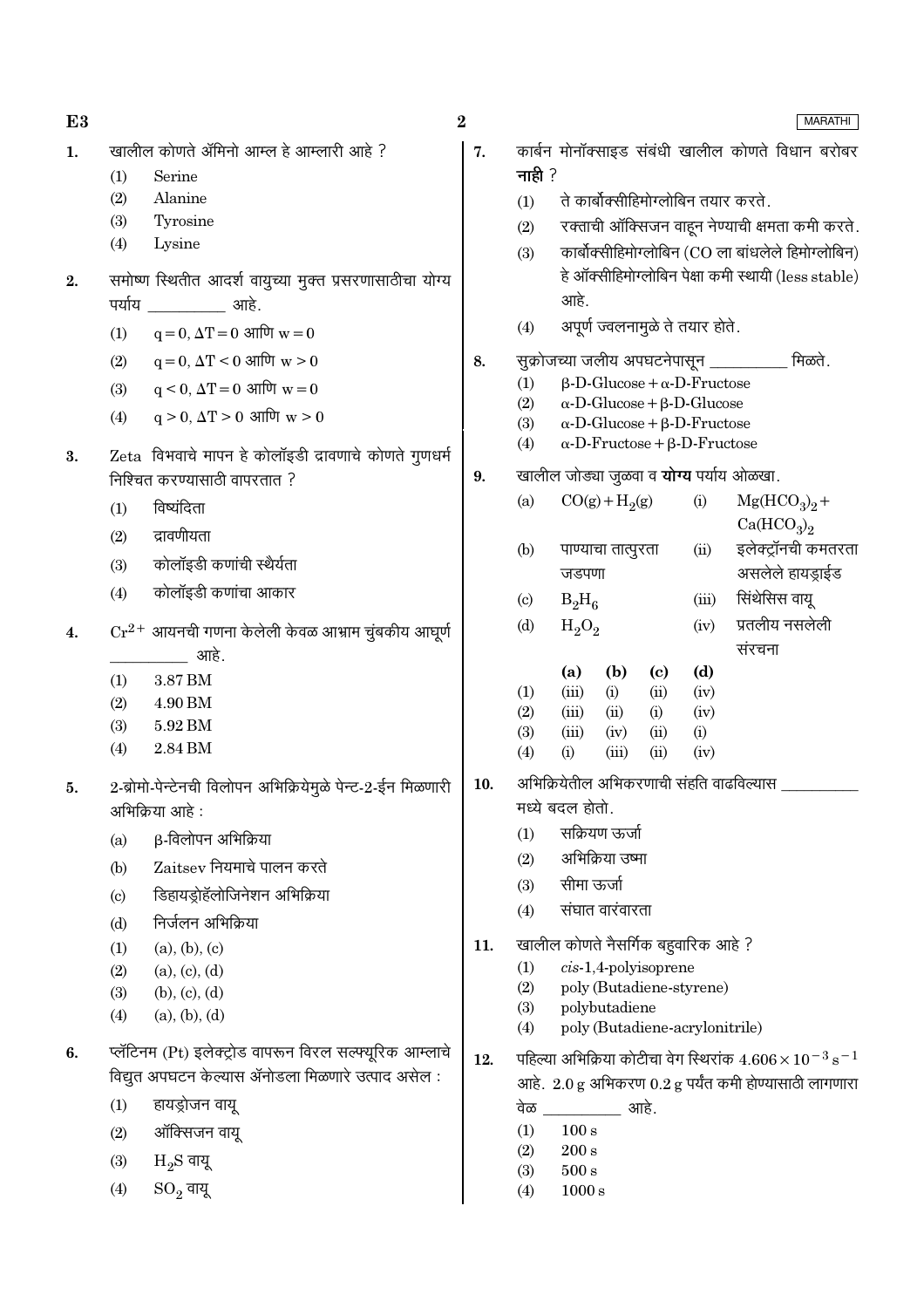| E3 |                                                                                      | $\boldsymbol{2}$ |                                                  |                                                                                       |              | <b>MARATHI</b>                                      |  |
|----|--------------------------------------------------------------------------------------|------------------|--------------------------------------------------|---------------------------------------------------------------------------------------|--------------|-----------------------------------------------------|--|
| 1. | खालील कोणते ॲमिनो आम्ल हे आम्लारी आहे ?                                              | 7.               | कार्बन मोनॉक्साइड संबंधी खालील कोणते विधान बरोबर |                                                                                       |              |                                                     |  |
|    | Serine<br>(1)                                                                        |                  | नाही $?$                                         |                                                                                       |              |                                                     |  |
|    | (2)<br>Alanine                                                                       |                  | (1)                                              | ते कार्बोक्सीहिमोग्लोबिन तयार करते.                                                   |              |                                                     |  |
|    | (3)<br>Tyrosine                                                                      |                  | (2)                                              |                                                                                       |              | रक्ताची ऑक्सिजन वाहून नेण्याची क्षमता कमी करते.     |  |
|    | (4)<br>Lysine                                                                        |                  | (3)                                              |                                                                                       |              | कार्बोक्सीहिमोग्लोबिन (CO ला बांधलेले हिमोग्लोबिन)  |  |
| 2. | समोष्ण स्थितीत आदर्श वायुच्या मुक्त प्रसरणासाठीचा योग्य                              |                  |                                                  |                                                                                       |              | हे ऑक्सीहिमोग्लोबिन पेक्षा कमी स्थायी (less stable) |  |
|    | पर्याय<br>्राप्त अस्ति ।<br>अस्ति ।                                                  |                  |                                                  | आहे.                                                                                  |              |                                                     |  |
|    | $q = 0$ , $\Delta T = 0$ आणि $w = 0$<br>(1)                                          |                  | (4)                                              | अपूर्ण ज्वलनामुळे ते तयार होते.                                                       |              |                                                     |  |
|    | $q = 0$ , $\Delta T < 0$ आणि $w > 0$<br>(2)                                          | 8.               |                                                  | सुक्रोजच्या जलीय अपघटनेपासून _________                                                |              | मिळते.                                              |  |
|    | $\mathbf{q} < 0, \, \Delta \mathbf{T} = 0 \,$ आणि $\mathbf{w} = 0$<br>(3)            |                  | (1)                                              | $\beta$ -D-Glucose + $\alpha$ -D-Fructose                                             |              |                                                     |  |
|    | $q > 0$ , $\Delta T > 0$ आणि $w > 0$<br>(4)                                          |                  | (2)<br>(3)                                       | $\alpha$ -D-Glucose + $\beta$ -D-Glucose<br>$\alpha$ -D-Glucose + $\beta$ -D-Fructose |              |                                                     |  |
|    |                                                                                      |                  | (4)                                              | $\alpha$ -D-Fructose + $\beta$ -D-Fructose                                            |              |                                                     |  |
| 3. | Zeta विभवाचे मापन हे कोलॉइडी द्रावणाचे कोणते गुणधर्म<br>निश्चित करण्यासाठी वापरतात ? | 9.               |                                                  | खालील जोड्या जुळवा व <b>योग्य</b> पर्याय ओळखा.                                        |              |                                                     |  |
|    |                                                                                      |                  | (a)                                              | $CO(g) + H2(g)$                                                                       | (i)          | $Mg(HCO3)2 +$                                       |  |
|    | विष्यंदिता<br>(1)                                                                    |                  |                                                  |                                                                                       |              | Ca(HCO <sub>3</sub> ) <sub>2</sub>                  |  |
|    | द्रावणीयता<br>(2)                                                                    |                  | (b)                                              | पाण्याचा तात्पुरता                                                                    | (ii)         | इलेक्ट्रॉनची कमतरता                                 |  |
|    | कोलॉइडी कणांची स्थैर्यता<br>(3)                                                      |                  |                                                  | जडपणा                                                                                 |              | असलेले हायड्राईड                                    |  |
|    | कोलॉइडी कणांचा आकार<br>(4)                                                           |                  | $\left( \mathrm{c}\right)$                       | $B_2H_6$                                                                              | (iii)        | सिंथेसिस वायू                                       |  |
| 4. | $Cr^{2+}$ आयनची गणना केलेली केवळ आभ्राम चुंबकीय आघूर्ण                               |                  | (d)                                              | $H_2O_2$                                                                              | (iv)         | प्रतलीय नसलेली                                      |  |
|    | आहे.                                                                                 |                  |                                                  |                                                                                       |              | संरचना                                              |  |
|    | 3.87 BM<br>(1)                                                                       |                  |                                                  | (b)<br>(a)<br>$\left( \mathrm{c}\right)$                                              | (d)          |                                                     |  |
|    | (2)<br>4.90 BM                                                                       |                  | (1)<br>(2)                                       | (iii)<br>(i)<br>(ii)<br>(iii)<br>(ii)<br>(i)                                          | (iv)<br>(iv) |                                                     |  |
|    | (3)<br>5.92 BM                                                                       |                  | (3)                                              | (iii)<br>(ii)<br>(iv)                                                                 | (i)          |                                                     |  |
|    | 2.84 BM<br>(4)                                                                       |                  | (4)                                              | (iii)<br>(ii)<br>(i)                                                                  | (iv)         |                                                     |  |
| 5. | 2-ब्रोमो-पेन्टेनची विलोपन अभिक्रियेमुळे पेन्ट-2-ईन मिळणारी                           | 10.              |                                                  | अभिक्रियेतील अभिकरणाची संहति वाढविल्यास                                               |              |                                                     |  |
|    | अभिक्रिया आहे :                                                                      |                  |                                                  | मध्ये बदल होतो.                                                                       |              |                                                     |  |
|    | β-विलोपन अभिक्रिया<br>(a)                                                            |                  | (1)                                              | सक्रियण ऊर्जा                                                                         |              |                                                     |  |
|    | Zaitsey नियमाचे पालन करते<br>(b)                                                     |                  | (2)                                              | अभिक्रिया उष्मा                                                                       |              |                                                     |  |
|    | डिहायड्रोहॅलोजिनेशन अभिक्रिया<br>(c)                                                 |                  | (3)                                              | सीमा ऊर्जा                                                                            |              |                                                     |  |
|    | निर्जलन अभिक्रिया<br>(d)                                                             |                  | (4)                                              | संघात वारंवारता                                                                       |              |                                                     |  |
|    | (a), (b), (c)<br>(1)                                                                 | 11.              |                                                  | खालील कोणते नैसर्गिक बहुवारिक आहे ?                                                   |              |                                                     |  |
|    | (a), (c), (d)<br>(2)                                                                 |                  | (1)                                              | $cis-1,4$ -polyisoprene                                                               |              |                                                     |  |
|    | (b), (c), (d)<br>(3)                                                                 |                  | (2)                                              | poly (Butadiene-styrene)                                                              |              |                                                     |  |
|    | (a), (b), (d)<br>(4)                                                                 |                  | (3)<br>(4)                                       | polybutadiene<br>poly (Butadiene-acrylonitrile)                                       |              |                                                     |  |
| 6. | प्लॅटिनम (Pt) इलेक्ट्रोड वापरून विरल सल्फ्यूरिक आम्लाचे                              | 12.              |                                                  | पहिल्या अभिक्रिया कोटीचा वेग स्थिरांक $4.606 \times 10^{-3}$ s <sup>-1</sup>          |              |                                                     |  |
|    | विद्युत अपघटन केल्यास ॲनोडला मिळणारे उत्पाद असेल:                                    |                  |                                                  | आहे. $2.0 g$ अभिकरण $0.2 g$ पर्यंत कमी होण्यासाठी लागणारा                             |              |                                                     |  |
|    | हायड्रोजन वायू<br>(1)                                                                |                  | वेळ                                              | आहे.                                                                                  |              |                                                     |  |
|    | ऑक्सिजन वायू<br>(2)                                                                  |                  | (1)                                              | 100 s                                                                                 |              |                                                     |  |
|    | $H_2S$ वायू<br>(3)                                                                   |                  | (2)                                              | $200\,\mathrm{s}$                                                                     |              |                                                     |  |
|    | $SO_2$ वायू<br>(4)                                                                   |                  | (3)<br>(4)                                       | $500\,\mathrm{s}$<br>1000 s                                                           |              |                                                     |  |
|    |                                                                                      |                  |                                                  |                                                                                       |              |                                                     |  |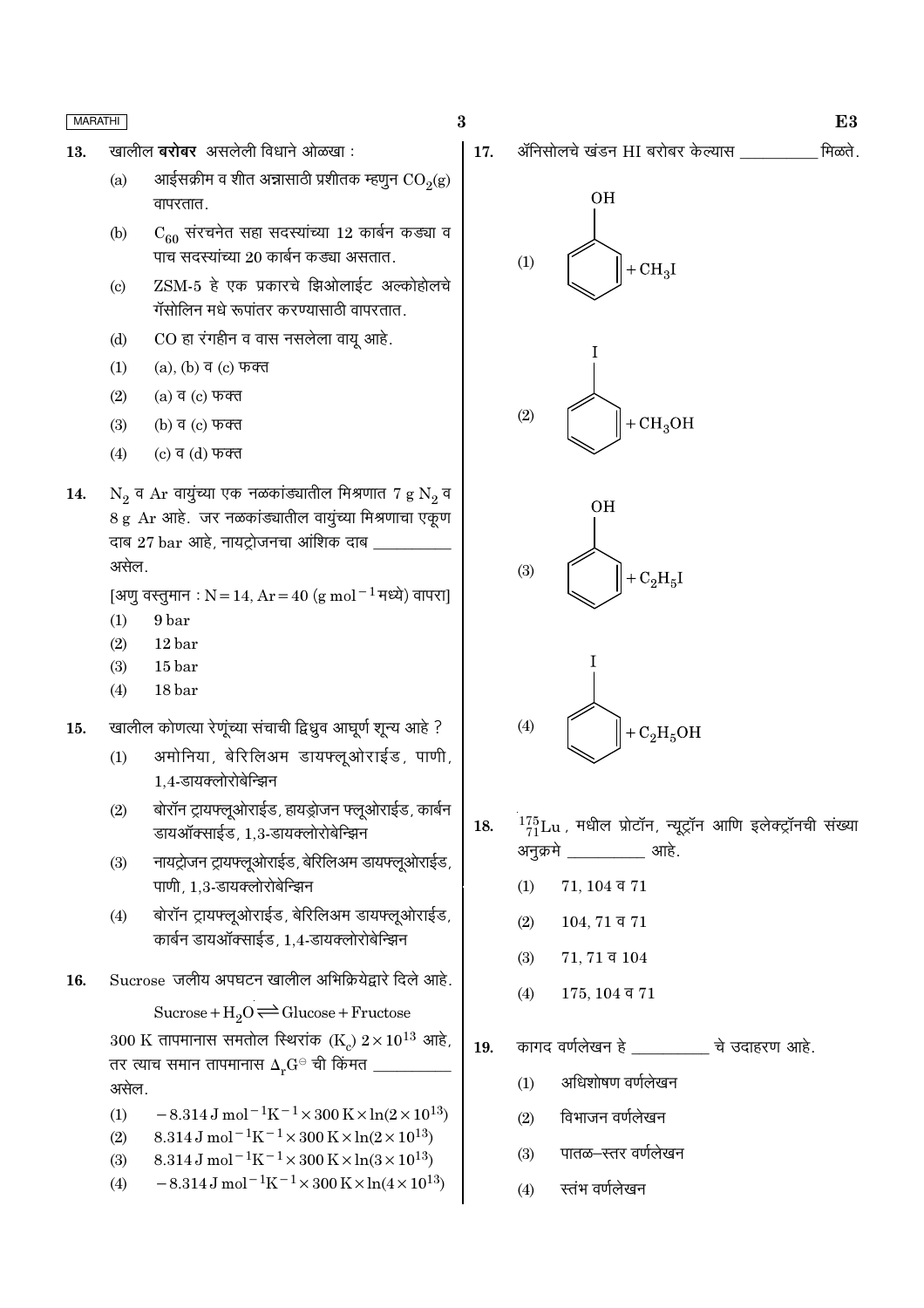- खालील बरोबर असलेली विधाने ओळखा: 13.
	- आईसक्रीम व शीत अन्नासाठी प्रशीतक म्हणून  $CO<sub>2</sub>(g)$  $(a)$ वापरतात.
	- $C_{60}$  संरचनेत सहा सदस्यांच्या 12 कार्बन कड्या व  $(b)$ पाच सदस्यांच्या 20 कार्बन कड्या असतात.
	- ZSM-5 हे एक प्रकारचे झिओलाईट अल्कोहोलचे  $(c)$ गॅसोलिन मधे रूपांतर करण्यासाठी वापरतात.
	- CO हा रंगहीन व वास नसलेला वायू आहे.  $(d)$
	- $(a)$ ,  $(b)$  व  $(c)$  फक्त  $(1)$
	- $(a)$  व  $(c)$  फक्त  $(2)$
	- $(3)$ (b) व (c) फक्त
	- $(4)$ (c) व (d) फक्त
- $N_2$  व Ar वायुंच्या एक नळकांड्यातील मिश्रणात 7 g  $N_2$  व 14. 8 g Ar आहे. जर नळकांड्यातील वायूंच्या मिश्रणाचा एकूण दाब 27 bar आहे, नायट्रोजनचा आंशिक दाब ़ असेल.

[अणु वस्तुमान : N = 14, Ar = 40 (g mol<sup>-1</sup> मध्ये) वापरा]

- 9 bar  $(1)$
- $12<sub>bar</sub>$  $(2)$
- $(3)$ 15 bar
- $(4)$ 18 bar
- खालील कोणत्या रेणूंच्या संचाची द्विध्रुव आघूर्ण शून्य आहे ? 15.
	- अमोनिया, बेरिलिअम डायफ्ल्ओराईड, पाणी,  $(1)$ 1.4-डायक्लोरोबेन्झिन
	- बोरॉन ट्रायफ्लूओराईड, हायड्रोजन फ्लूओराईड, कार्बन  $(2)$ डायऑक्साईड, 1,3-डायक्लोरोबेन्झिन
	- नायट्रोजन ट्रायफ्लूओराईड, बेरिलिअम डायफ्लूओराईड,  $(3)$ पाणी, 1.3-डायक्लोरोबेन्झिन
	- बोरॉन ट्रायफ्लूओराईड, बेरिलिअम डायफ्लूओराईड,  $(4)$ कार्बन डायऑक्साईड, 1,4-डायक्लोरोबेन्झिन
- Sucrose जलीय अपघटन खालील अभिक्रियेद्वारे दिले आहे. 16.

Sucrose +  $H_2O \rightleftharpoons Glucose + Fructose$ 

300 K तापमानास समतोल स्थिरांक (K)  $2 \times 10^{13}$  आहे, तर त्याच समान तापमानास  $\Delta_r \mathrm{G}^\ominus$  ची किंमत \_ असेल.

- $-8.314 \text{ J} \text{ mol}^{-1} \text{K}^{-1} \times 300 \text{ K} \times \ln(2 \times 10^{13})$  $(1)$
- $8.314 \,\mathrm{J}$  mol<sup>-1</sup>K<sup>-1</sup>×300 K×ln(2×10<sup>13</sup>)  $(2)$
- $8.314\,\mathrm{J} \, \mathrm{mol}^{-1} \mathrm{K}^{-1} \times 300\,\mathrm{K} \! \times \ln(3\!\times\!10^{13})$  $(3)$
- $-8.314 \,\mathrm{J}$  mol<sup>-1</sup>K<sup>-1</sup>×300 K×ln(4×10<sup>13</sup>)  $(4)$

मिळते. ॲनिसोलचे खंडन HI बरोबर केल्यास 17.



 $\bf{3}$ 







- $^{175}_{71}$ Lu, मधील प्रोटॉन, न्यूट्रॉन आणि इलेक्ट्रॉनची संख्या 18. अनुक्रमे आहे.
	- $(1)$  $71, 104$  व  $71$
	- $(2)$  $104, 71$  व  $71$
	- $(3)$  $71, 71$  व  $104$
	- $(4)$  $175, 104$  व  $71$
- कागद वर्णलेखन हे ब्रिटिश चे उदाहरण आहे. 19.
	- अधिशोषण वर्णलेखन  $(1)$
	- विभाजन वर्णलेखन  $(2)$
	- पातळ—स्तर वर्णलेखन  $(3)$
	- स्तंभ वर्णलेखन  $(4)$

 $E3$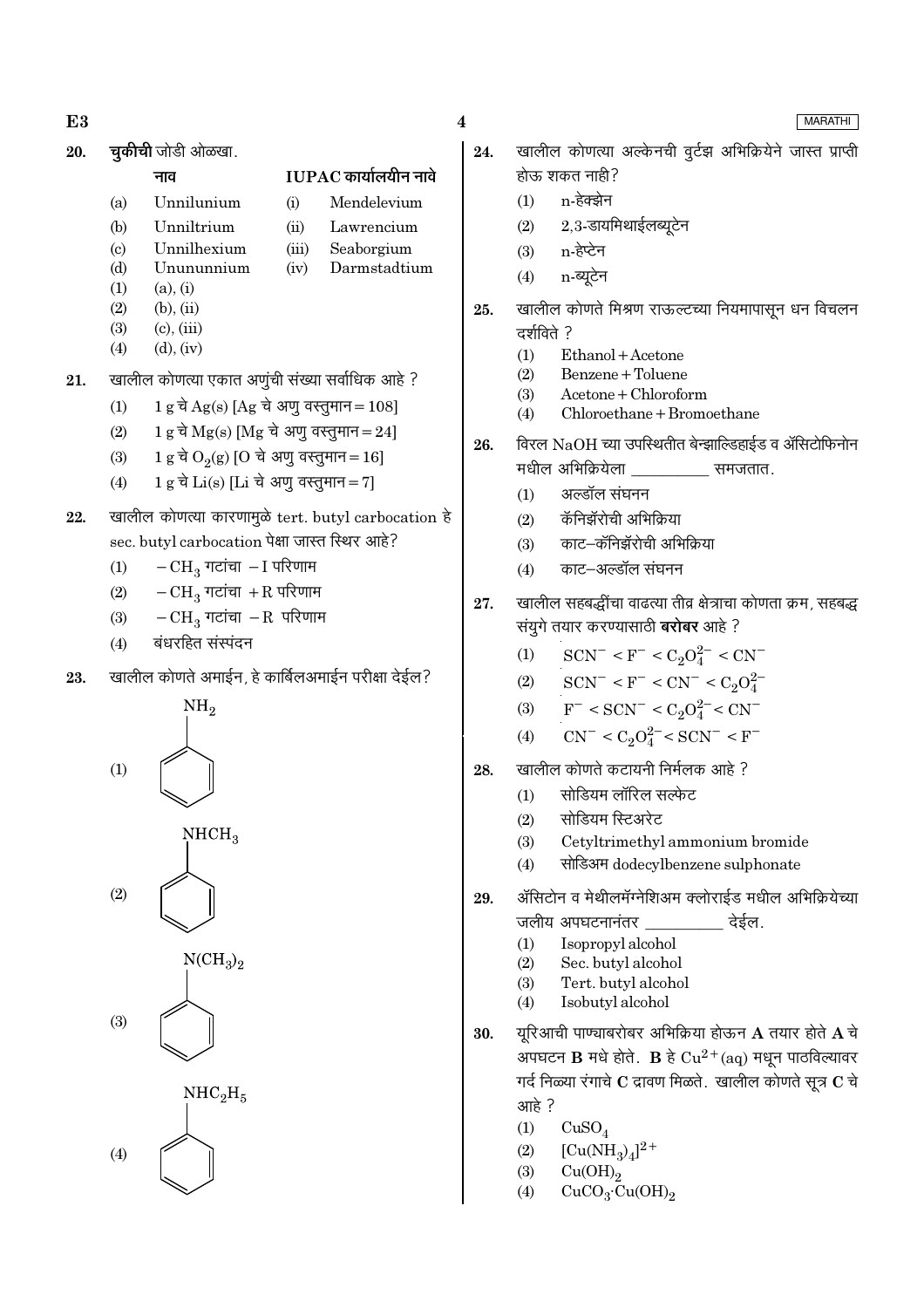- E<sub>3</sub>
- **चकीची** जोडी ओळखा. 20.

नाव

### $IUPAC$  कार्यालयीन नावे

Mendelevium

Seaborgium

Darmstadtium

- Unnilunium  $(a)$  $(b)$ 
	- Unniltrium  $(ii)$ Lawrencium

 $(i)$ 

- Unnilhexium  $(iii)$  $(iv)$
- $(d)$ Unununnium
- $(1)$  $(a)$ .  $(i)$

 $\left( \mathrm{c}\right)$ 

- $(2)$  $(b)$ .  $(ii)$
- $(3)$  $(c)$ ,  $(iii)$  $(4)$  $(d)$ ,  $(iv)$
- 21. खालील कोणत्या एकात अणुंची संख्या सर्वाधिक आहे ?
	- $1 g \overrightarrow{a} Ag(s)$  [Ag चे अणू वस्तूमान = 108]  $(1)$
	- $1 g \overrightarrow{\sigma} Mg(s)$  [Mg चे अणू वस्तूमान = 24]  $(2)$
	- 1 g चे O<sub>2</sub>(g) [O चे अणु वस्तुमान = 16]  $(3)$
	- 1 g चे Li(s) [Li चे अणु वस्तुमान = 7]  $(4)$
- 22. खालील कोणत्या कारणामुळे tert. butyl carbocation हे sec. butyl carbocation पेक्षा जास्त स्थिर आहे?
	- $-CH_3$  गटांचा  $-I$  परिणाम  $(1)$
	- $-CH_3$  गटांचा +R परिणाम  $(2)$
	- $-CH_3$  गटांचा  $-R$  परिणाम  $(3)$
	- बंधरहित संस्पदन  $(4)$
- खालील कोणते अमाईन, हे कार्बिलअमाईन परीक्षा देईल? 23.







 $(3)$ 

- $\overline{\mathbf{4}}$
- खालील कोणत्या अल्केनची वूर्टझ अभिक्रियेने जास्त प्राप्ती 24. होऊ शकत नाही?
	- n-हेक्झेन  $(1)$
	- $2,3$ -डायमिथाईलब्यूटेन  $(2)$
	- n-हेप्टेन  $(3)$
	- n-ब्यूटेन  $(4)$
- खालील कोणते मिश्रण राऊल्टच्या नियमापासून धन विचलन 25. दर्शविते ?
	- $(1)$ Ethanol + Acetone
	- Benzene + Toluene  $(2)$
	- $(3)$ Acetone + Chloroform
	- $(4)$ Chloroethane + Bromoethane
- विरल NaOH च्या उपस्थितीत बेन्झाल्डिहाईड व ॲसिटोफिनोन 26. मधील अभिक्रियेला समजतात.
	- अल्डॉल संघनन  $(1)$
	- कॅनिझॅरोची अभिक्रिया  $(2)$
	- काट–कॅनिझॅरोची अभिक्रिया  $(3)$
	- काट–अल्डॉल संघनन  $(4)$
- खालील सहबद्धींचा वाढत्या तीव्र क्षेत्राचा कोणता क्रम, सहबद्ध 27. संयगे तयार करण्यासाठी **बरोबर** आहे ?
	- $SCN^- < F^- < C_2O_4^{2-} < CN^ (1)$
	- $SCN^- < F^- < CN^- < C_2O_4^{2-}$  $(2)$
	- $F^-$  < SCN<sup>-</sup> < C<sub>2</sub>O<sub>4</sub><sup>2</sup><sup>-</sup> < CN<sup>-</sup>  $(3)$
	- $CN^{-} < C_2O_4^{2-} < SCN^{-} < F^{-}$  $(4)$
- खालील कोणते कटायनी निर्मलक आहे ? 28.
	- सोडियम लॉरिल सल्फेट  $(1)$
	- सोडियम स्टिअरेट  $(2)$
	- Cetyltrimethyl ammonium bromide  $(3)$
	- सोडिअम dodecylbenzene sulphonate  $(4)$
- ॲसिटोन व मेथीलमॅग्नेशिअम क्लोराईड मधील अभिक्रियेच्या 29. जलीय अपघटनानंतर देईल.
	- $(1)$ Isopropyl alcohol
	- $(2)$ Sec. butvl alcohol
	- $(3)$ Tert. butyl alcohol
	- Isobutyl alcohol  $(4)$
- यरिआची पाण्चाबरोबर अभिक्रिया होऊन  ${\bf A}$  तयार होते  ${\bf A}$  चे 30. अपघटन  $\bf{B}$  मधे होते.  $\bf{B}$  हे  $Cu^{2+}(aq)$  मधून पाठविल्यावर गर्द निळ्या रंगाचे  $C$  द्रावण मिळते. खालील कोणते सूत्र  $C$  चे आहे?
	- $(1)$  $CuSO<sub>4</sub>$
	- $[Cu(NH<sub>2</sub>)<sub>4</sub>]<sup>2+</sup>$  $(2)$
	- $(3)$
	- $Cu(OH)<sub>2</sub>$ <br>CuCO<sub>3</sub>·Cu(OH)<sub>2</sub>  $(4)$

## MARATHI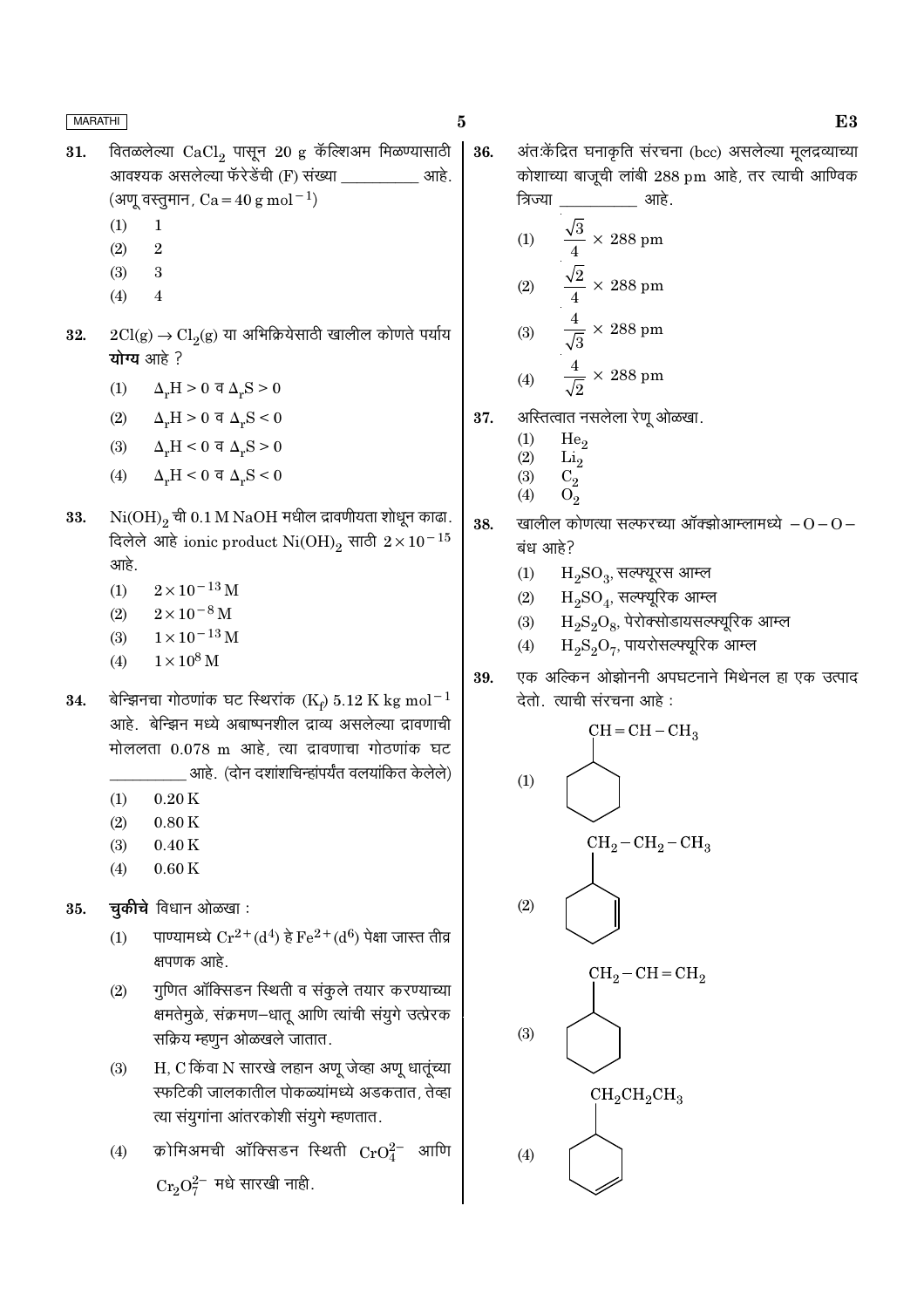36.

- वितळलेल्या  $CaCl<sub>2</sub>$  पासून 20 g कॅल्शिअम मिळण्यासाठी 31. आवश्यक असलेल्या फॅरेडेंची (F) संख्या \_ आहे. (अणू वस्तुमान,  $Ca = 40 g mol^{-1}$ )
	- $\mathbf{1}$  $(1)$
	- $(2)$  $\overline{2}$
	- $(3)$ 3
	- $(4)$  $\overline{4}$
- $2Cl(g) \rightarrow Cl_2(g)$  या अभिक्रियेसाठी खालील कोणते पर्याय 32. योग्य आहे?
	- $(1)$  $\Delta_r H > 0$  व  $\Delta_r S > 0$
	- $(2)$  $\Delta_r H > 0$  व  $\Delta_r S < 0$
	- (3)  $\Delta_r H < 0 \le \Delta_r S > 0$
	- $(4)$  $\Delta_r H < 0$  व  $\Delta_r S < 0$
- $\mathrm{Ni(OH)}_{2}$ ची 0.1 M NaOH मधील द्रावणीयता शोधून काढा. 33. दिलेले आहे ionic product  $\mathrm{Ni(OH)_2}$  साठी  $2\times10^{-15}$ आहे.
	- $2 \times 10^{-13}$  M  $(1)$
	- $(2)$  $2 \times 10^{-8}$  M
	- $1 \times 10^{-13}$  M  $(3)$
	- $1 \times 10^8$  M  $(4)$
- बेन्झिनचा गोठणांक घट स्थिरांक (Ke) 5.12 K kg mol<sup>-1</sup> 34. आहे. बेन्झिन मध्ये अबाष्पनशील द्राव्य असलेल्या द्रावणाची मोललता 0.078 m आहे, त्या द्रावणाचा गोठणांक घट आहे. (दोन दशांशचिन्हांपर्यंत वलयांकित केलेले)
	- $(1)$  $0.20K$
	- $(2)$  $0.80K$
	- $(3)$  $0.40K$
	- $0.60K$  $(4)$
- चुकीचे विधान ओळखा: 35.
	- पाण्यामध्ये  $Cr^{2+}(d^4)$  हे  $Fe^{2+}(d^6)$  पेक्षा जास्त तीव्र  $(1)$ क्षपणक आहे.
	- गुणित ऑक्सिडन स्थिती व संकुले तयार करण्याच्या  $(2)$ क्षमतेमुळे, संक्रमण–धातू आणि त्यांची संयुगे उत्प्रेरक सक्रिय म्हणून ओळखले जातात.
	- H, C किंवा N सारखे लहान अणू जेव्हा अणू धातूंच्या  $(3)$ स्फटिकी जालकातील पोकळ्यांमध्ये अडकतात, तेव्हा त्या संयुगांना आंतरकोशी संयुगे म्हणतात.
	- क्रोमिअमची ऑक्सिडन स्थिती  $\mathrm{CrO}_4^{2-}$  आणि  $(4)$  $Cr_2O_7^{2-}$  मधे सारखी नाही.

अंत:केंद्रित घनाकृति संरचना (bcc) असलेल्या मूलद्रव्याच्या कोशाच्या बाजूची लांबी 288 pm आहे, तर त्याची आण्विक

13.34

\n(1)

\n
$$
\frac{\sqrt{3}}{4} \times 288 \text{ pm}
$$
\n(2)

\n
$$
\frac{\sqrt{2}}{4} \times 288 \text{ pm}
$$
\n(3)

\n
$$
\frac{4}{\sqrt{3}} \times 288 \text{ pm}
$$
\n(4)

\n
$$
\frac{4}{\sqrt{2}} \times 288 \text{ pm}
$$

- अस्तित्वात नसलेला रेणू ओळखा. 37.
	- $(1)$ He<sub>o</sub>
	- $\rm Li_2$  $(2)$  $C_2$
	- $(3)$  $O<sub>2</sub>$  $(4)$
- 38. खालील कोणत्या सत्फरच्या ऑक्झोआम्लामध्ये  $-0$  –  $0$  – बंध आहे?
	- $(1)$  $H_2SO_3$ , सत्फ्यूरस आम्ल
	- $H_2SO_4$ , सल्फ्यूरिक आम्ल  $(2)$
	- $H_9S_9O_8$ , पेरोक्सोडायसल्फ्यूरिक आम्ल  $(3)$
	- $H_2S_2O_7$ , पायरोसल्फ्यूरिक आम्ल  $(4)$



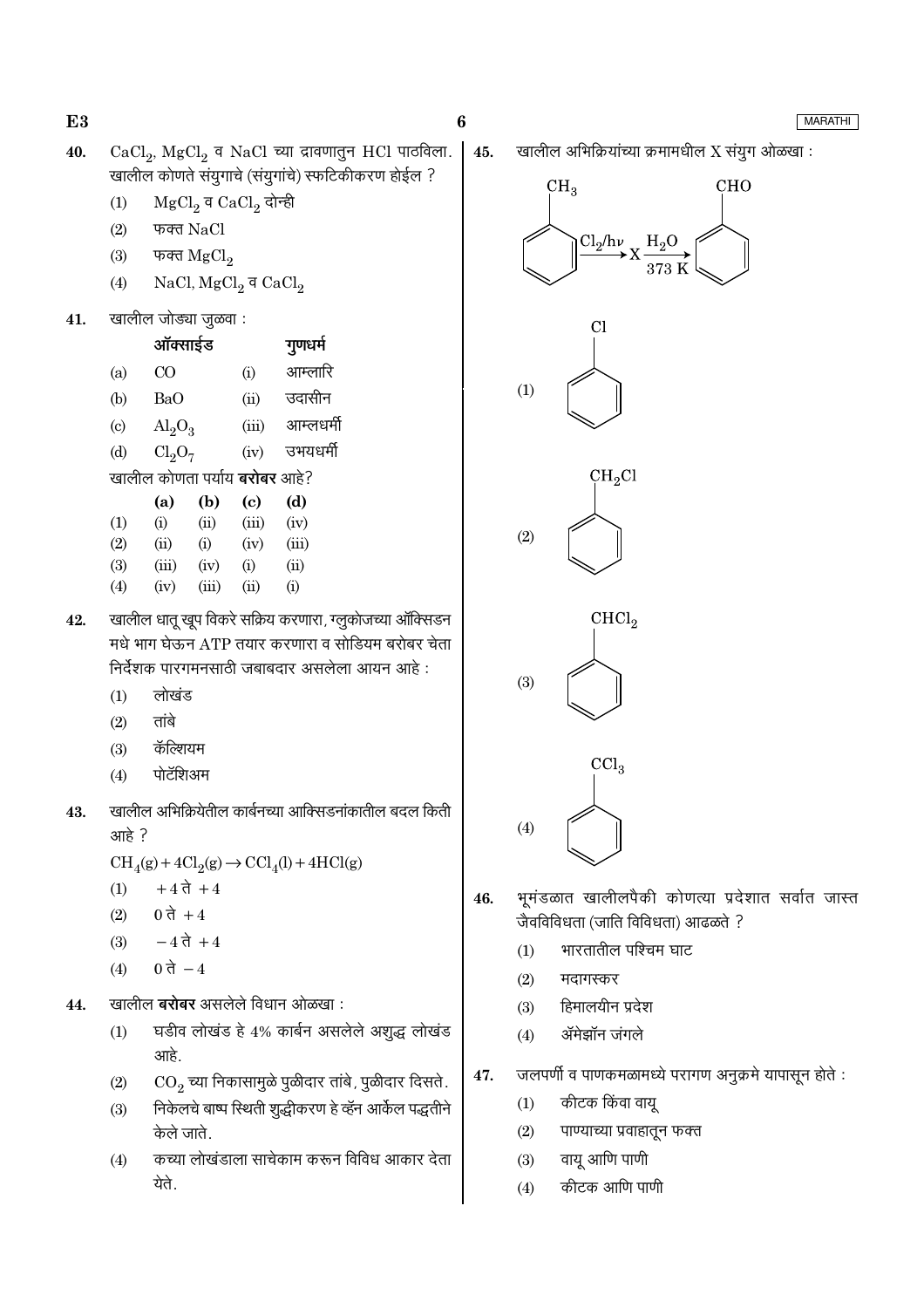45.

**MARATHI** 

- CaCl<sub>2</sub>, MgCl<sub>2</sub> व NaCl च्या द्रावणातुन HCl पाठविला. 40. खालील कोणते संयुगाचे (संयुगांचे) स्फटिकीकरण होईल ?
	- $MgCl<sub>2</sub>$  व CaCl<sub>2</sub> दोन्ही  $(1)$
	- $(2)$ फक्त NaCl
	- $(3)$ फक्त  $MgCl<sub>2</sub>$
	- NaCl,  $MgCl<sub>2</sub>$ व CaCl<sub>2</sub>  $(4)$
- खालील जोड्या जुळवा : 41.

|                           | ऑक्साईड                              |      |       | गुणधर्म   |
|---------------------------|--------------------------------------|------|-------|-----------|
| (a)                       | CO                                   |      | (i)   | आम्लारि   |
| (b)                       | BaO                                  |      | (ii)  | उदासीन    |
| $\left( \text{c} \right)$ | $\text{Al}_2\text{O}_3$              |      | (iii) | आम्लधर्मी |
| (d)                       | Cl <sub>2</sub> O <sub>7</sub>       |      | (iv)  | उभयधर्मी  |
|                           | खालील कोणता पर्याय <b>बरोबर</b> आहे? |      |       |           |
|                           | (a)                                  | (b)  | (c)   | (d)       |
| (1)                       | (i)                                  | (ii) | (iii) | (iv)      |
| (2)                       | (ii)                                 | (i)  | (iv)  | (iii)     |
| (3)                       | (iii)                                | (iv) | (i)   | (ii)      |

 $(4)$  $(iii)$  $(ii)$  $(i)$  $(iv)$ खालील धातू खुप विकरे सक्रिय करणारा, ग्लूकोजच्या ऑक्सिडन 42. मधे भाग घेऊन ATP तयार करणारा व सोडियम बरोबर चेता

- निर्देशक पारगमनसाठी जबाबदार असलेला आयन आहे :
	- लोखंड  $(1)$

- $(2)$ तांबे
- कॅल्शियम  $(3)$
- $(4)$ पोटॅशिअम
- खालील अभिक्रियेतील कार्बनच्या आक्सिडनांकातील बदल किती 43. आहे?

 $\text{CH}_4(g) + 4\text{Cl}_2(g) \rightarrow \text{CCl}_4(l) + 4\text{HCl}(g)$ 

- $+4$  ते  $+4$  $(1)$
- $(2)$ 0 ते + 4
- $-4 \, \vec{a} + 4$  $(3)$
- 0 ते  $-4$  $(4)$
- खालील **बरोबर** असलेले विधान ओळखा : 44.
	- घडीव लोखंड हे 4% कार्बन असलेले अशुद्ध लोखंड  $(1)$ आहे.
	- $CO<sub>2</sub>$ च्या निकासामुळे पुळीदार तांबे, पुळीदार दिसते.  $(2)$
	- निकेलचे बाष्प स्थिती शुद्धीकरण हे व्हॅन आर्केल पद्धतीने  $(3)$ केले जाते.
	- कच्या लोखंडाला साचेकाम करून विविध आकार देता  $(4)$ येते.

खालील अभिक्रियांच्या क्रमामधील X संयूग ओळखा :







$$
\begin{array}{c}\n\text{CHCl}_2 \\
\hline\n\end{array}
$$

 $(3)$ 

 $\sim$  =  $\sim$   $\sim$ 



- भूमंडळात खालीलपैकी कोणत्या प्रदेशात सर्वात जास्त 46. जैवविविधता (जाति विविधता) आढळते ?
	- भारतातील पश्चिम घाट  $(1)$
	- $(2)$ मदागस्कर
	- हिमालयीन प्रदेश  $(3)$
	- ॲमेझॉन जंगले  $(4)$
- जलपर्णी व पाणकमळामध्ये परागण अनुक्रमे यापासून होते : 47.
	- कीटक किंवा वायू  $(1)$
	- $(2)$ पाण्याच्या प्रवाहातून फक्त
	- $(3)$ वायु आणि पाणी
	- कीटक आणि पाणी  $(4)$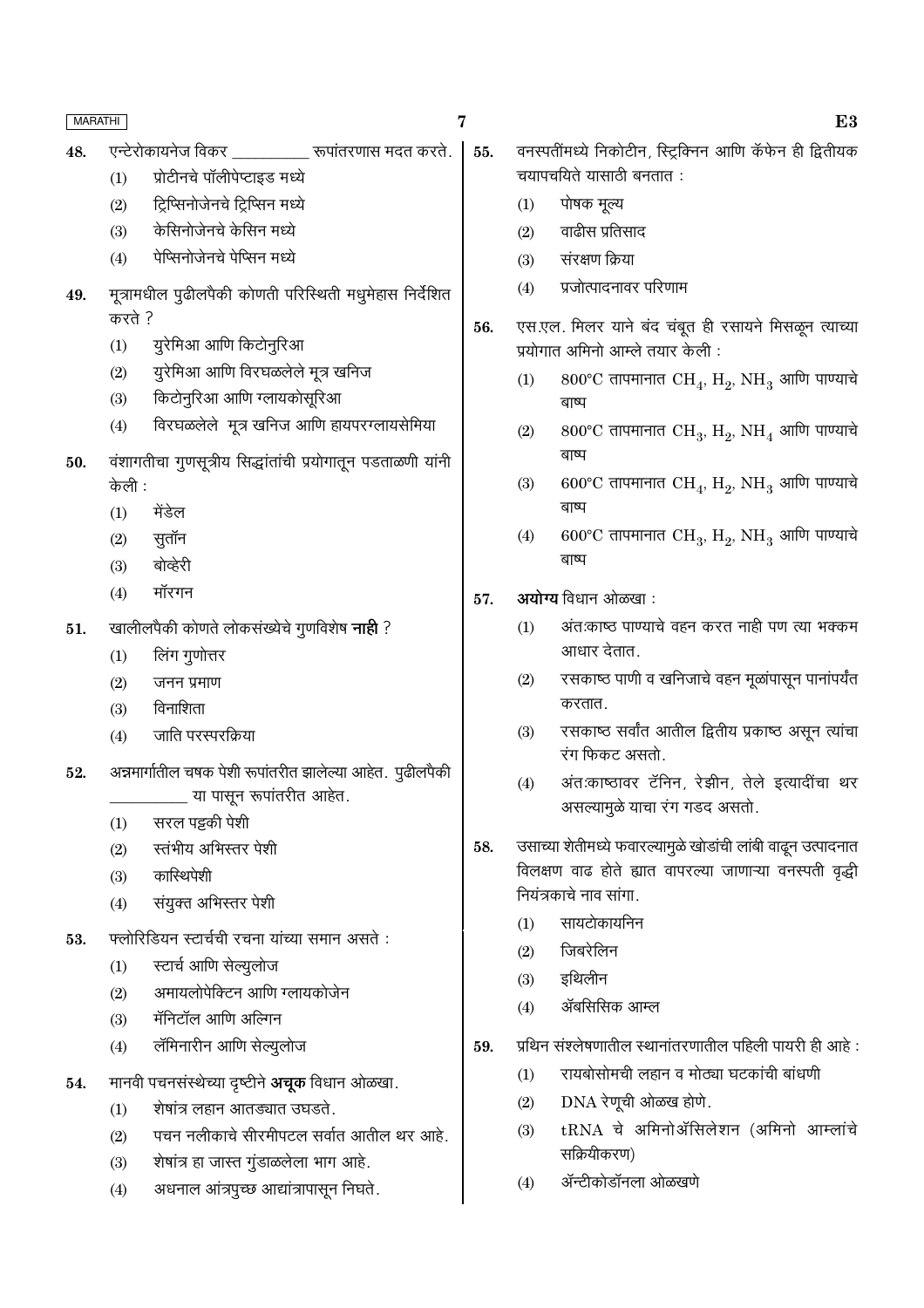| <b>MARATHI</b> |                                                                                 | 7   | E3                                                                                       |  |  |  |
|----------------|---------------------------------------------------------------------------------|-----|------------------------------------------------------------------------------------------|--|--|--|
| 48.            | एन्टेरोकायनेज विकर __________ रूपांतरणास मदत करते.                              | 55. | वनस्पतींमध्ये निकोटीन, स्ट्रिक्निन आणि कॅफेन ही द्वितीयक                                 |  |  |  |
|                | प्रोटीनचे पॉलीपेप्टाइड मध्ये<br>(1)                                             |     | चयापचयिते यासाठी बनतात:                                                                  |  |  |  |
|                | ट्रिप्सिनोजेनचे ट्रिप्सिन मध्ये<br>(2)                                          |     | पोषक मूल्य<br>(1)                                                                        |  |  |  |
|                | केसिनोजेनचे केसिन मध्ये<br>(3)                                                  |     | वाढीस प्रतिसाद<br>(2)                                                                    |  |  |  |
|                | पेप्सिनोजेनचे पेप्सिन मध्ये<br>(4)                                              |     | संरक्षण क्रिया<br>(3)                                                                    |  |  |  |
| 49.            | मूत्रामधील पुढीलपैकी कोणती परिस्थिती मधुमेहास निर्देशित                         |     | प्रजोत्पादनावर परिणाम<br>(4)                                                             |  |  |  |
|                | करते ?                                                                          | 56. |                                                                                          |  |  |  |
|                | युरेमिआ आणि किटोनुरिआ<br>(1)                                                    |     | एस.एल. मिलर याने बंद चंबूत ही रसायने मिसळून त्याच्या<br>प्रयोगात अमिनो आम्ले तयार केली : |  |  |  |
|                | युरेमिआ आणि विरघळलेले मूत्र खनिज<br>(2)                                         |     | 800°C तापमानात $\rm CH_{4}$ , $\rm H_{2}$ , $\rm NH_{3}$ आणि पाण्याचे<br>(1)             |  |  |  |
|                | किटोनुरिआ आणि ग्लायकोसूरिआ<br>(3)                                               |     | बाष्प                                                                                    |  |  |  |
|                | विरघळलेले मूत्र खनिज आणि हायपरग्लायसेमिया<br>(4)                                |     | 800°C तापमानात $CH_3$ , $H_2$ , NH <sub>4</sub> आणि पाण्याचे<br>(2)                      |  |  |  |
| 50.            | वंशागतीचा गुणसूत्रीय सिद्धांतांची प्रयोगातून पडताळणी यांनी                      |     | बाष्प                                                                                    |  |  |  |
|                | केली :                                                                          |     | 600°C तापमानात $\rm CH_{4}$ , $\rm H_{2}$ , $\rm NH_{3}$ आणि पाण्याचे<br>(3)             |  |  |  |
|                | मेंडेल<br>(1)                                                                   |     | बाष्प                                                                                    |  |  |  |
|                | सुतॉन<br>(2)                                                                    |     | 600°C तापमानात $\rm CH_{3}$ , $\rm H_{2}$ , $\rm NH_{3}$ आणि पाण्याचे<br>(4)             |  |  |  |
|                | बोव्हेरी<br>(3)                                                                 |     | बाष्प                                                                                    |  |  |  |
|                | मॉरगन<br>(4)                                                                    | 57. | अयोग्य विधान ओळखा:                                                                       |  |  |  |
| 51.            | खालीलपैकी कोणते लोकसंख्येचे गुणविशेष <b>नाही</b> ?                              |     | अंत:काष्ठ पाण्याचे वहन करत नाही पण त्या भक्कम<br>(1)                                     |  |  |  |
|                | लिंग गुणोत्तर<br>(1)                                                            |     | आधार देतात.                                                                              |  |  |  |
|                | (2)<br>जनन प्रमाण                                                               |     | रसकाष्ठ पाणी व खनिजाचे वहन मूळांपासून पानांपर्यंत<br>(2)                                 |  |  |  |
|                | विनाशिता<br>(3)                                                                 |     | करतात.                                                                                   |  |  |  |
|                | जाति परस्परक्रिया<br>(4)                                                        |     | रसकाष्ठ सर्वांत आतील द्वितीय प्रकाष्ठ असून त्यांचा<br>(3)                                |  |  |  |
| 52.            | अन्नमार्गातील चषक पेशी रूपांतरीत झालेल्या आहेत. पुढीलपैकी                       |     | रंग फिकट असतो.                                                                           |  |  |  |
|                | ________ या पासून रूपांतरीत आहेत.                                               |     | अंतःकाष्ठावर टॅनिन, रेझीन, तेले इत्यादींचा थर<br>(4)                                     |  |  |  |
|                | सरल पट्टकी पेशी<br>(1)                                                          |     | असल्यामुळे याचा रंग गडद असतो.                                                            |  |  |  |
|                | स्तंभीय अभिस्तर पेशी<br>(2)                                                     | 58. | उसाच्या शेतीमध्ये फवारल्यामुळे खोडांची लांबी वाढून उत्पादनात                             |  |  |  |
|                | कास्थिपेशी<br>(3)                                                               |     | विलक्षण वाढ होते ह्यात वापरल्या जाणाऱ्या वनस्पती वृद्धी                                  |  |  |  |
|                | संयुक्त अभिस्तर पेशी<br>(4)                                                     |     | नियंत्रकाचे नाव सांगा.                                                                   |  |  |  |
| 53.            | फ्लोरिडियन स्टार्चची रचना यांच्या समान असते :                                   |     | सायटोकायनिन<br>(1)                                                                       |  |  |  |
|                | स्टार्च आणि सेल्युलोज<br>(1)                                                    |     | जिबरेलिन<br>(2)                                                                          |  |  |  |
|                | अमायलोपेक्टिन आणि ग्लायकोजेन<br>(2)                                             |     | इथिलीन<br>(3)                                                                            |  |  |  |
|                | मॅनिटॉल आणि अल्गिन<br>(3)                                                       |     | ॲबसिसिक आम्ल<br>(4)                                                                      |  |  |  |
|                | लॅमिनारीन आणि सेल्युलोज<br>(4)                                                  | 59. | प्रथिन संश्लेषणातील स्थानांतरणातील पहिली पायरी ही आहे:                                   |  |  |  |
|                |                                                                                 |     | रायबोसोमची लहान व मोठ्या घटकांची बांधणी<br>(1)                                           |  |  |  |
| 54.            | मानवी पचनसंस्थेच्या दृष्टीने <b>अचूक</b> विधान ओळखा.                            |     | DNA रेणूची ओळख होणे.<br>(2)                                                              |  |  |  |
|                | शेषांत्र लहान आतड्यात उघडते.<br>(1)<br>पचन नलीकाचे सीरमीपटल सर्वात आतील थर आहे. |     | tRNA चे अमिनोॲसिलेशन (अमिनो आम्लांचे<br>(3)                                              |  |  |  |
|                | (2)                                                                             |     | सक्रियीकरण)                                                                              |  |  |  |
|                | शेषांत्र हा जास्त गुंडाळलेला भाग आहे.<br>(3)                                    |     | ॲन्टीकोडॉनला ओळखणे<br>(4)                                                                |  |  |  |
|                | अधनाल आंत्रपुच्छ आद्यांत्रापासून निघते.<br>(4)                                  |     |                                                                                          |  |  |  |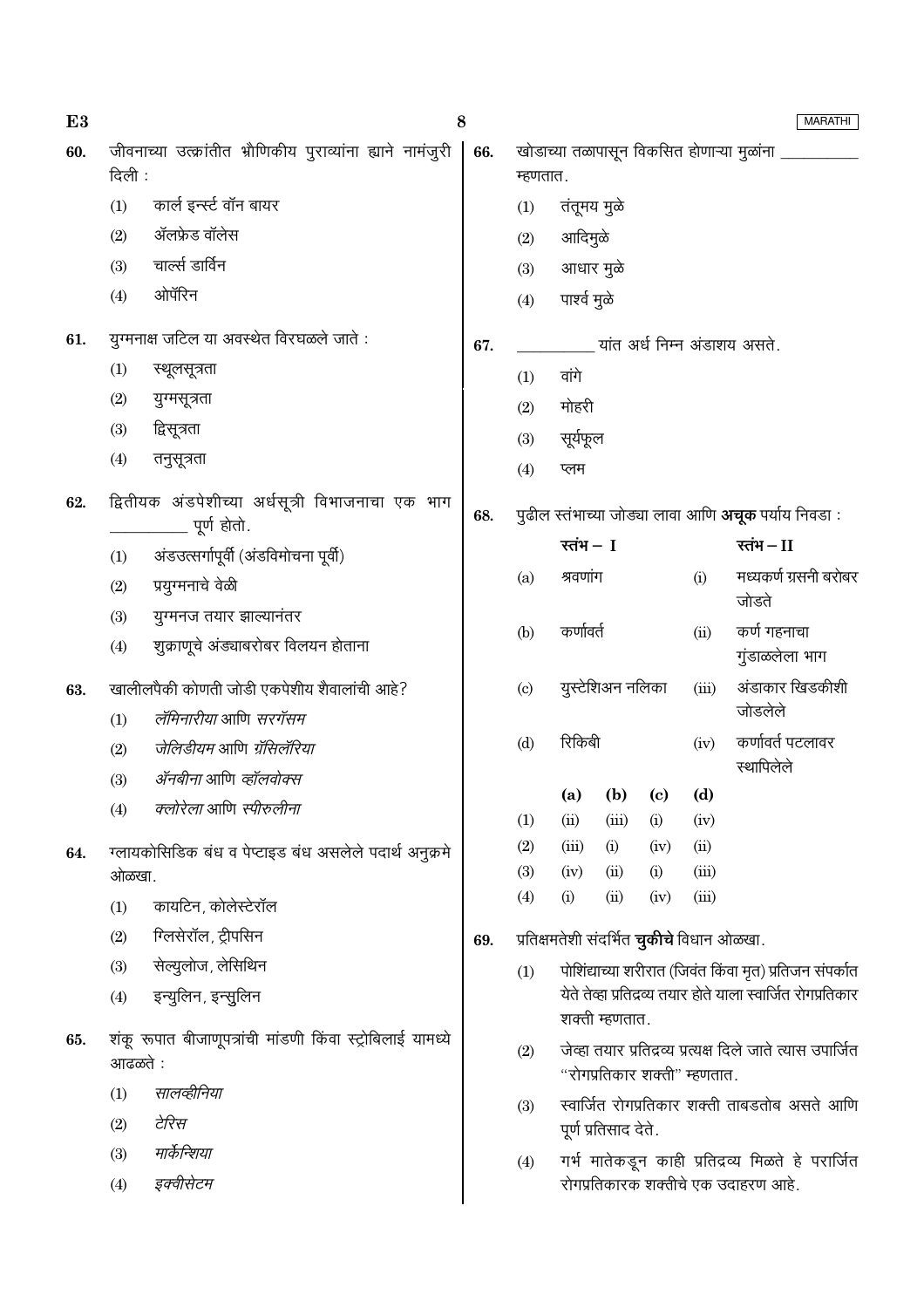| E <sub>3</sub> |         | 8                                                               |     |                                            |                |                      |                |                                                  | <b>MARATHI</b>                                               |
|----------------|---------|-----------------------------------------------------------------|-----|--------------------------------------------|----------------|----------------------|----------------|--------------------------------------------------|--------------------------------------------------------------|
| 60.            | दिली :  | जीवनाच्या उत्क्रांतीत भ्रौणिकीय पुराव्यांना ह्याने नामंजुरी     | 66. | म्हणतात.                                   |                |                      |                |                                                  | खोडाच्या तळापासून विकसित होणाऱ्या मुळांना                    |
|                | (1)     | कार्ल इन्स्ट वॉन बायर                                           |     | (1)                                        | तंतूमय मुळे    |                      |                |                                                  |                                                              |
|                | (2)     | ॲलफ्रेड वॉलेस                                                   |     | (2)                                        | आदिमुळे        |                      |                |                                                  |                                                              |
|                | (3)     | चार्ल्स डार्विन                                                 |     | (3)                                        | आधार मुळे      |                      |                |                                                  |                                                              |
|                | (4)     | ओपॅरिन                                                          |     | (4)                                        | पार्श्व मुळे   |                      |                |                                                  |                                                              |
| 61.            |         | युग्मनाक्ष जटिल या अवस्थेत विरघळले जाते :                       | 67. |                                            |                |                      |                |                                                  | यांत अर्ध निम्न अंडाशय असते.                                 |
|                | (1)     | स्थूलसूत्रता                                                    |     | (1)                                        | वांगे          |                      |                |                                                  |                                                              |
|                | (2)     | युग्मसूत्रता                                                    |     | (2)                                        | मोहरी          |                      |                |                                                  |                                                              |
|                | (3)     | द्विसूत्रता                                                     |     | (3)                                        | सूर्यफूल       |                      |                |                                                  |                                                              |
|                | (4)     | तनुसूत्रता                                                      |     | (4)                                        | प्लम           |                      |                |                                                  |                                                              |
| 62.            |         | द्वितीयक अंडपेशीच्या अर्धसूत्री विभाजनाचा एक भाग<br>पूर्ण होतो. | 68. |                                            |                |                      |                |                                                  | पुढील स्तंभाच्या जोड्या लावा आणि <b>अचूक</b> पर्याय निवडा :  |
|                | (1)     | अंडउत्सर्गापूर्वी (अंडविमोचना पूर्वी)                           |     |                                            | रतंभ $-1$      |                      |                |                                                  | रतंभ $-I$                                                    |
|                | (2)     | प्रयुग्मनाचे वेळी                                               |     | (a)                                        | श्रवणांग       |                      |                | (i)                                              | मध्यकर्ण ग्रसनी बरोबर<br>जोडते                               |
|                | (3)     | युग्मनज तयार झाल्यानंतर                                         |     |                                            | कर्णावर्त      |                      |                |                                                  | कर्ण गहनाचा                                                  |
|                | (4)     | शुक्राणूचे अंड्याबरोबर विलयन होताना                             |     | (b)                                        |                | (ii)                 | गुंडाळलेला भाग |                                                  |                                                              |
| 63.            |         | खालीलपैकी कोणती जोडी एकपेशीय शैवालांची आहे?                     |     | युस्टेशिअन नलिका<br>$\left( \circ \right)$ |                |                      | (iii)          | अंडाकार खिडकीशी                                  |                                                              |
|                | (1)     | लॅमिनारीया आणि सरगॅसम                                           |     |                                            |                |                      |                |                                                  | जोडलेले                                                      |
|                | (2)     | जेलिडीयम आणि ग्रॅसिलॅरिया                                       |     | (d)                                        | रिकिबी<br>(iv) |                      |                | कर्णावर्त पटलावर<br>स्थापिलेले                   |                                                              |
|                | (3)     | <i>ॲनबीना</i> आणि <i>व्हॉलवोक्स</i>                             |     |                                            | (a)            | (b)                  | (c)            | (d)                                              |                                                              |
|                | (4)     | <i>क्लोरेला</i> आणि <i>स्पीरुलीना</i>                           |     | (1)                                        | (ii)           | (iii)                | (i)            | (iv)                                             |                                                              |
| 64.            |         | ग्लायकोसिडिक बंध व पेप्टाइड बंध असलेले पदार्थ अनुक्रमे          |     | (2)                                        | (iii)          | (i)                  | (iv)           | (ii)                                             |                                                              |
|                | ओळखा.   |                                                                 |     | (3)                                        | (iv)           | (ii)                 | (i)            | (iii)                                            |                                                              |
|                | (1)     | कायटिन, कोलेस्टेरॉल                                             |     | (4)                                        | (i)            | (ii)                 | (iv)           | (iii)                                            |                                                              |
|                | (2)     | ग्लिसेरॉल, ट्रीपसिन                                             | 69. |                                            |                |                      |                | प्रतिक्षमतेशी संदर्भित <b>चुकीचे</b> विधान ओळखा. |                                                              |
|                | (3)     | सेल्यूलोज, लेसिथिन                                              |     | (1)                                        |                |                      |                |                                                  | पोशिंद्याच्या शरीरात (जिवंत किंवा मृत) प्रतिजन संपर्कात      |
|                | (4)     | इन्युलिन, इन्सुलिन                                              |     |                                            |                | शक्ती म्हणतात.       |                |                                                  | येते तेव्हा प्रतिद्रव्य तयार होते याला स्वार्जित रोगप्रतिकार |
| 65.            | आढळते : | शंकू रूपात बीजाणूपत्रांची मांडणी किंवा स्ट्रोबिलाई यामध्ये      |     | (2)                                        |                |                      |                | "रोगप्रतिकार शक्ती" म्हणतात.                     | जेव्हा तयार प्रतिद्रव्य प्रत्यक्ष दिले जाते त्यास उपार्जित   |
|                | (1)     | सालव्हीनिया                                                     |     | (3)                                        |                |                      |                |                                                  | स्वार्जित रोगप्रतिकार शक्ती ताबडतोब असते आणि                 |
|                | (2)     | टेरिस                                                           |     |                                            |                | पूर्ण प्रतिसाद देते. |                |                                                  |                                                              |
|                | (3)     | मार्केन्शिया                                                    |     | (4)                                        |                |                      |                |                                                  | गर्भ मातेकडून काही प्रतिद्रव्य मिळते हे परार्जित             |
|                | (4)     | इक्वीसेटम                                                       |     |                                            |                |                      |                |                                                  | रोगप्रतिकारक शक्तीचे एक उदाहरण आहे.                          |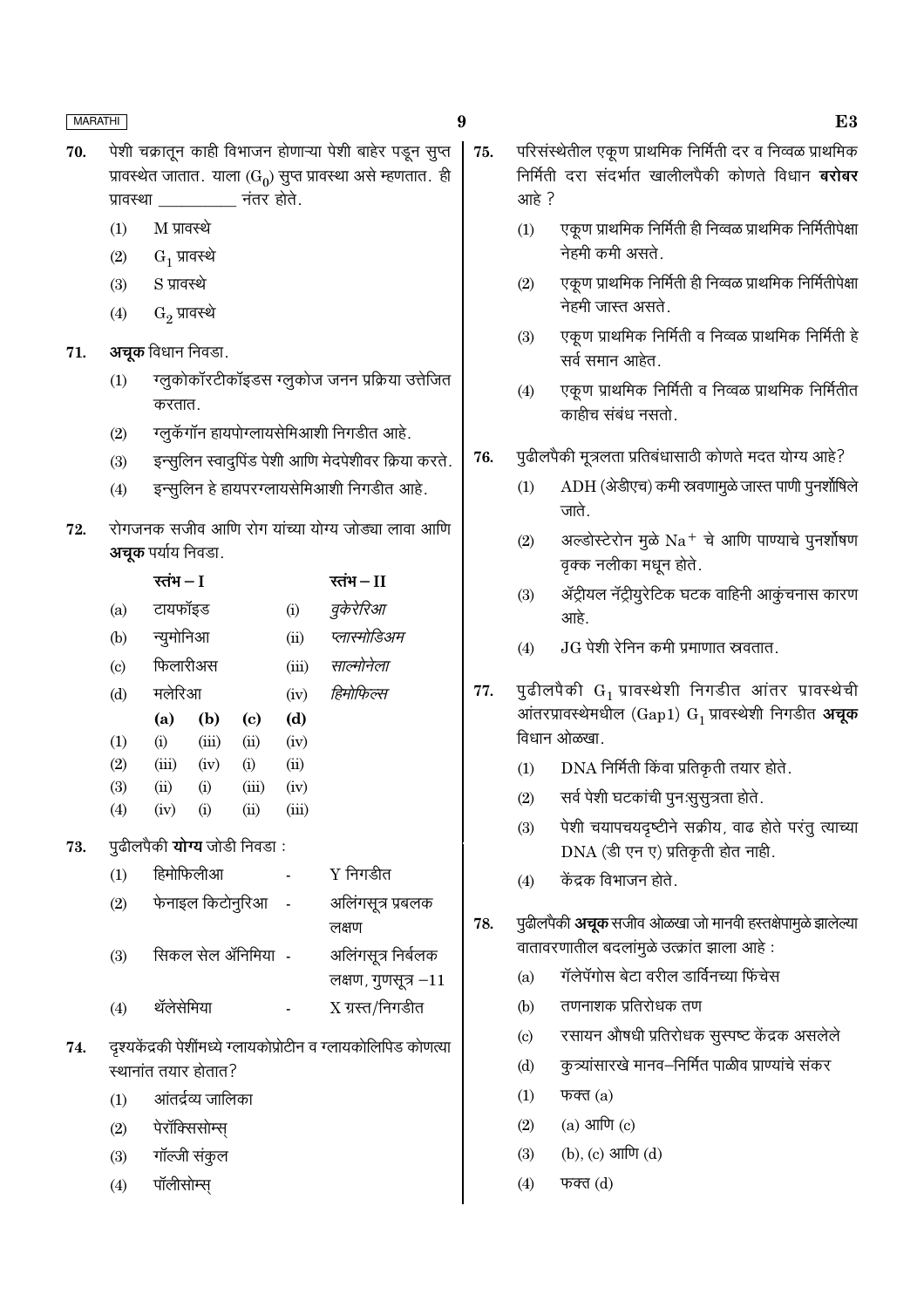73.

74.

पॉलीसोम्स

 $(4)$ 

- 9
- पेशी चक्रातून काही विभाजन होणाऱ्या पेशी बाहेर पडून सूप्त 70. प्रावस्थेत जातात. याला (G<sub>0</sub>) सुप्त प्रावस्था असे म्हणतात. ही नंतर होते. प्रावस्था
	- $M$  प्रावस्थे  $(1)$
	- $G_1$  प्रावस्थे  $(2)$
	- S प्रावस्थे  $(3)$
	- $(4)$  $\mathrm{G}_2$  प्रावस्थे
- अचूक विधान निवडा. 71.
	- ग्लुकोकॉरटीकॉइडस ग्लुकोज जनन प्रक्रिया उत्तेजित  $(1)$ करतात.
	- ग्लुकॅगॉन हायपोग्लायसेमिआशी निगडीत आहे.  $(2)$
	- इन्सूलिन स्वादुपिंड पेशी आणि मेदपेशीवर क्रिया करते.  $(3)$
	- इन्सूलिन हे हायपरग्लायसेमिआशी निगडीत आहे.  $(4)$
- रोगजनक सजीव आणि रोग यांच्या योग्य जोड्या लावा आणि 72. **अचक** पर्याय निवडा.

|                   | रतंभ – I                            |                     |       |       | रतंभ $-I$                                                      |
|-------------------|-------------------------------------|---------------------|-------|-------|----------------------------------------------------------------|
| (a)               | टायफॉइड                             |                     |       | (i)   | वुकेरेरिआ                                                      |
| (b)               | न्युमोनिआ                           |                     |       | (ii)  | प्लास्मोडिअम                                                   |
| $\left( c\right)$ | फिलारीअस                            |                     |       | (iii) | साल्मोनेला                                                     |
| (d)               | मलेरिआ                              |                     |       | (iv)  | हिमोफिल्स                                                      |
|                   | (a)                                 | (b)                 | (c)   | (d)   |                                                                |
| (1)               | (i)                                 | (iii)               | (ii)  | (iv)  |                                                                |
| (2)               | (iii)                               | (iv)                | (i)   | (ii)  |                                                                |
| (3)               | (ii)                                | (i)                 | (iii) | (iv)  |                                                                |
| (4)               | (iv)                                | (i)                 | (ii)  | (iii) |                                                                |
|                   | पुढीलपैकी <b>योग्य</b> जोडी निवडा : |                     |       |       |                                                                |
| (1)               | हिमोफिलीआ                           |                     |       |       | $Y$ निगडीत                                                     |
| (2)               |                                     | फेनाइल किटोनुरिआ)   |       |       | अलिंगसूत्र प्रबलक                                              |
|                   |                                     |                     |       |       | लक्षण                                                          |
| (3)               |                                     | सिकल सेल ॲनिमिया) - |       |       | अलिंगसूत्र निर्बलक                                             |
|                   |                                     |                     |       |       | लक्षण, गुणसूत्र –11                                            |
| (4)               | थॅलेसेमिया                          |                     |       |       | $X$ ग्रस्त/निगडीत                                              |
|                   |                                     |                     |       |       | दृश्यकेंद्रकी पेशींमध्ये ग्लायकोप्रोटीन व ग्लायकोलिपिड कोणत्या |
|                   | स्थानांत तयार होतात?                |                     |       |       |                                                                |
| (1)               |                                     | आंतर्द्रव्य जालिका  |       |       |                                                                |
|                   |                                     |                     |       |       |                                                                |
| (2)               | पेरॉक्सिसोम्स्                      |                     |       |       |                                                                |
| (3)               | गॉल्जी संकुल                        |                     |       |       |                                                                |

- परिसंस्थेतील एकूण प्राथमिक निर्मिती दर व निव्वळ प्राथमिक 75. निर्मिती दरा संदर्भात खालीलपैकी कोणते विधान **बरोबर** आहे?
	- एकूण प्राथमिक निर्मिती ही निव्वळ प्राथमिक निर्मितीपेक्षा  $(1)$ नेहमी कमी असते.
	- एकूण प्राथमिक निर्मिती ही निव्वळ प्राथमिक निर्मितीपेक्षा  $(2)$ नेहमी जास्त असते.
	- एकूण प्राथमिक निर्मिती व निव्वळ प्राथमिक निर्मिती हे  $(3)$ सर्व समान आहेत.
	- एकूण प्राथमिक निर्मिती व निव्वळ प्राथमिक निर्मितीत  $(4)$ काहीच संबंध नसतो.
- पूढीलपैकी मूत्रलता प्रतिबंधासाठी कोणते मदत योग्य आहे? 76.
	- ADH (अेडीएच) कमी स्रवणामुळे जास्त पाणी पुनर्शोषिले  $(1)$ जाते.
	- अल्डोस्टेरोन मुळे  $Na^+$  चे आणि पाण्याचे पुनर्शोषण  $(2)$ वृक्क नलीका मधून होते.
	- ॲट्रीयल नॅट्रीयुरेटिक घटक वाहिनी आकूंचनास कारण  $(3)$ आहे.
	- .JG पेशी रेनिन कमी प्रमाणात स्रवतात.  $(4)$
- पुढीलपैकी  $G_1$  प्रावस्थेशी निगडीत आंतर प्रावस्थेची 77. आंतरप्रावस्थेमधील ( $\rm{Gap1)}$   $\rm{G}_{1}$  प्रावस्थेशी निगडीत अचूक विधान ओळखा.
	- DNA निर्मिती किंवा प्रतिकृती तयार होते.  $(1)$
	- सर्व पेशी घटकांची पुनःसुसुत्रता होते.  $(2)$
	- पेशी चयापचयदृष्टीने सक्रीय, वाढ होते परंतु त्याच्या  $(3)$ DNA (डी एन ए) प्रतिकृती होत नाही.
	- केंद्रक विभाजन होते.  $(4)$
- पुढीलपैकी अचूक सजीव ओळखा जो मानवी हस्तक्षेपामुळे झालेल्या 78. वातावरणातील बदलांमुळे उत्क्रांत झाला आहे:
	- गॅलेपॅगोस बेटा वरील डार्विनच्या फिंचेस  $(a)$
	- तणनाशक प्रतिरोधक तण  $(b)$
	- रसायन औषधी प्रतिरोधक सुस्पष्ट केंद्रक असलेले  $(c)$
	- कुत्र्यांसारखे मानव–निर्मित पाळीव प्राण्यांचे संकर  $(d)$
	- फक्त $(a)$  $(1)$
	- $(a)$  आणि  $(c)$  $(2)$
	- (b), (c) आणि (d)  $(3)$
	- $(4)$ फक्त $(d)$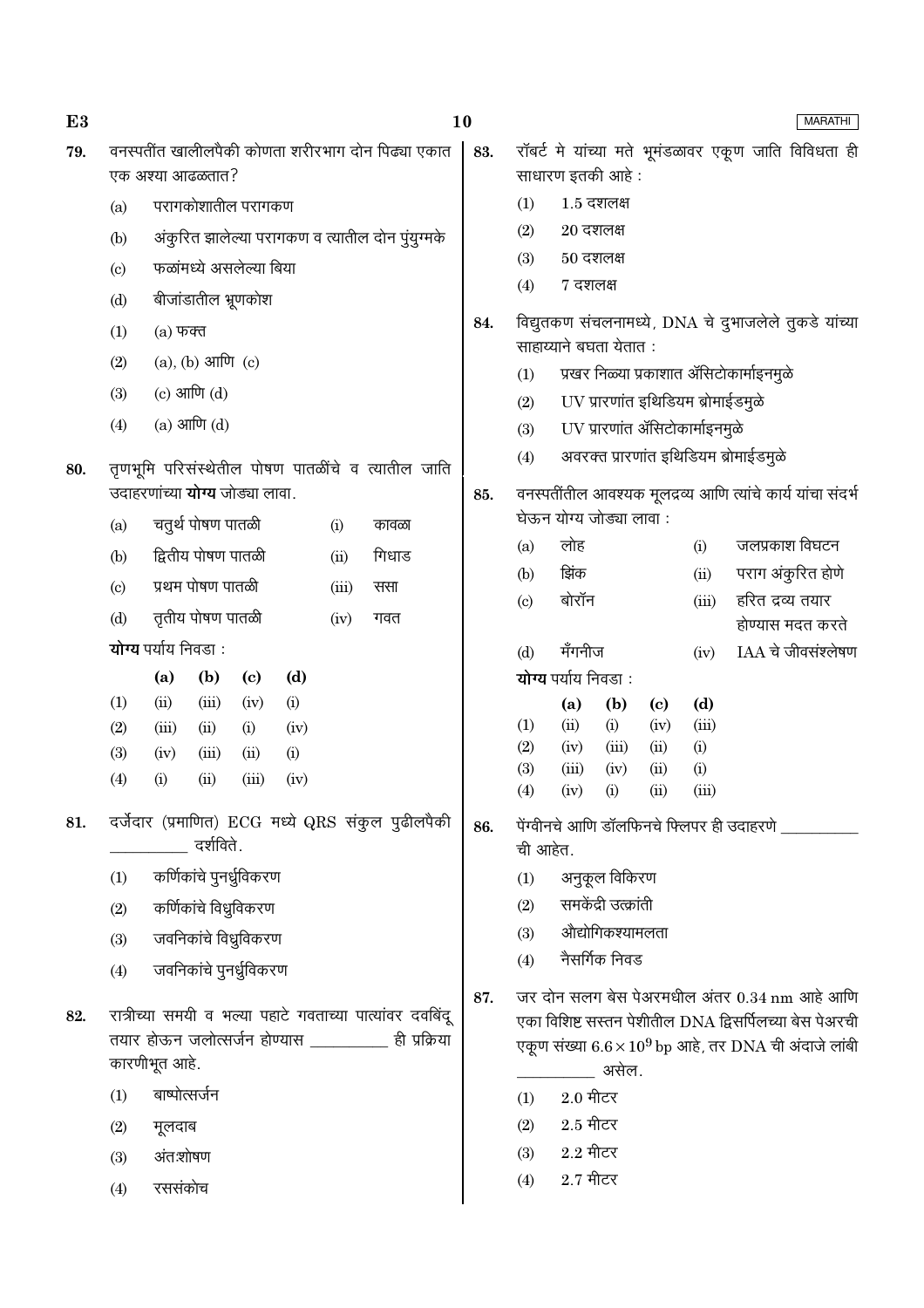| E3  |                        |                                                                                                                   | 10<br><b>MARATHI</b> |                                                                                     |                                                                         |                      |                            |              |                                                              |
|-----|------------------------|-------------------------------------------------------------------------------------------------------------------|----------------------|-------------------------------------------------------------------------------------|-------------------------------------------------------------------------|----------------------|----------------------------|--------------|--------------------------------------------------------------|
| 79. |                        | वनस्पतींत खालीलपैकी कोणता शरीरभाग दोन पिढ्या एकात<br>एक अश्या आढळतात?                                             | 83.                  |                                                                                     | साधारण इतकी आहे :                                                       |                      |                            |              | रॉबर्ट मे यांच्या मते भूमंडळावर एकूण जाति विविधता ही         |
|     | (a)                    | परागकोशातील परागकण                                                                                                |                      | (1)                                                                                 | $1.5$ दशलक्ष                                                            |                      |                            |              |                                                              |
|     | (b)                    | अंकुरित झालेल्या परागकण व त्यातील दोन पुंयुग्मके                                                                  |                      | (2)                                                                                 | $20$ दशलक्ष                                                             |                      |                            |              |                                                              |
|     | $\left( \circ \right)$ | फळांमध्ये असलेल्या बिया                                                                                           |                      | $50$ दशलक्ष<br>(3)                                                                  |                                                                         |                      |                            |              |                                                              |
|     | (d)                    | बीजांडातील भ्रूणकोश                                                                                               |                      | (4)                                                                                 | 7 दशलक्ष                                                                |                      |                            |              |                                                              |
|     | (1)                    | $(a)$ फक्त                                                                                                        | 84.                  | विद्युतकण संचलनामध्ये, DNA चे दुभाजलेले तुकडे यांच्या                               |                                                                         |                      |                            |              |                                                              |
|     | (2)                    | $(a)$ , $(b)$ आणि $(c)$                                                                                           |                      |                                                                                     | साहाय्याने बघता येतात:                                                  |                      |                            |              |                                                              |
|     | (3)                    | (c) आणि $(d)$                                                                                                     |                      | प्रखर निळ्या प्रकाशात ॲसिटोकार्माइनमुळे<br>(1)<br>UV प्रारणांत इथिडियम ब्रोमाईडमुळे |                                                                         |                      |                            |              |                                                              |
|     | (4)                    | $(a)$ आणि $(d)$                                                                                                   |                      | (2)                                                                                 |                                                                         |                      |                            |              |                                                              |
|     |                        |                                                                                                                   |                      | (3)                                                                                 | UV प्रारणांत ॲसिटोकार्माइनमुळे<br>अवरक्त प्रारणांत इथिडियम ब्रोमाईडमुळे |                      |                            |              |                                                              |
| 80. |                        | तृणभूमि परिसंस्थेतील पोषण पातळींचे व त्यातील जाति                                                                 |                      | (4)                                                                                 |                                                                         |                      |                            |              |                                                              |
|     |                        | उदाहरणांच्या <b>योग्य</b> जोड्या लावा.                                                                            | 85.                  |                                                                                     |                                                                         |                      |                            |              | वनस्पतींतील आवश्यक मूलद्रव्य आणि त्यांचे कार्य यांचा संदर्भ  |
|     | (a)                    | चतुर्थ पोषण पातळी<br>(i)<br>कावळा                                                                                 |                      |                                                                                     | घेऊन योग्य जोड्या लावा:<br>लोह                                          |                      |                            |              | जलप्रकाश विघटन                                               |
|     | (b)                    | द्वितीय पोषण पातळी<br>गिधाड<br>(ii)                                                                               |                      | (a)<br>(b)                                                                          | झिंक                                                                    |                      |                            | (i)<br>(ii)  | पराग अंकुरित होणे                                            |
|     | $\left( \circ \right)$ | प्रथम पोषण पातळी<br>(iii)<br>ससा                                                                                  |                      | (c)                                                                                 | बोरॉन                                                                   |                      |                            | (iii)        | हरित द्रव्य तयार                                             |
|     | (d)                    | तृतीय पोषण पातळी<br>गवत<br>(iv)                                                                                   |                      |                                                                                     |                                                                         |                      |                            |              | होण्यास मदत करते                                             |
|     |                        | योग्य पर्याय निवडा:                                                                                               |                      | (d)                                                                                 | मँगनीज                                                                  |                      |                            | (iv)         | IAA चे जीवसंश्लेषण                                           |
|     |                        | (a)<br>(d)<br>(b)<br>$\left( \mathbf{c} \right)$                                                                  |                      |                                                                                     | योग्य पर्याय निवडा:                                                     |                      |                            |              |                                                              |
|     | (1)                    | (ii)<br>(iii)<br>(iv)<br>(i)                                                                                      |                      |                                                                                     | (a)                                                                     | (b)                  | $\left( \mathrm{c}\right)$ | (d)          |                                                              |
|     | (2)                    | (iii)<br>(ii)<br>(i)<br>(iv)                                                                                      |                      | (1)<br>(2)                                                                          | (ii)<br>(iv)                                                            | (i)<br>(iii)         | (iv)<br>(ii)               | (iii)<br>(i) |                                                              |
|     | (3)<br>(4)             | (iii)<br>(ii)<br>(i)<br>(iv)<br>(ii)<br>(iii)<br>(iv)<br>(i)                                                      |                      | (3)                                                                                 | (iii)                                                                   | (iv)                 | (ii)                       | (i)          |                                                              |
|     |                        |                                                                                                                   |                      | (4)                                                                                 | (iv)                                                                    | (i)                  | (ii)                       | (iii)        |                                                              |
| 81. |                        | दर्जेदार (प्रमाणित) ECG मध्ये QRS संकुल पुढीलपैकी<br>दर्शविते.                                                    | 86.                  | ची आहेत.                                                                            |                                                                         |                      |                            |              | पेंग्वीनचे आणि डॉलफिनचे फ्लिपर ही उदाहरणे                    |
|     | (1)                    | कर्णिकांचे पुनर्ध्रुविकरण                                                                                         |                      | (1)                                                                                 |                                                                         | अनुकूल विकिरण        |                            |              |                                                              |
|     | (2)                    | कर्णिकांचे विध्रुविकरण                                                                                            |                      | (2)                                                                                 |                                                                         | समकेंद्री उत्क्रांती |                            |              |                                                              |
|     | (3)                    | जवनिकांचे विध्रुविकरण                                                                                             |                      | (3)                                                                                 |                                                                         | औद्योगिकश्यामलता     |                            |              |                                                              |
|     | (4)                    | जवनिकांचे पुनर्ध्रुविकरण                                                                                          |                      | (4)                                                                                 |                                                                         | नैसर्गिक निवड        |                            |              |                                                              |
|     |                        |                                                                                                                   | 87.                  |                                                                                     |                                                                         |                      |                            |              | जर दोन सलग बेस पेअरमधील अंतर 0.34 nm आहे आणि                 |
| 82. |                        | रात्रीच्या समयी व भल्या पहाटे गवताच्या पात्यांवर दवबिंदू<br>तयार होऊन जलोत्सर्जन होण्यास ___________ ही प्रक्रिया |                      |                                                                                     |                                                                         |                      |                            |              | एका विशिष्ट सस्तन पेशीतील DNA द्विसर्पिलच्या बेस पेअरची      |
|     |                        | कारणीभूत आहे.                                                                                                     |                      |                                                                                     |                                                                         | असेल.                |                            |              | एकूण संख्या $6.6 \times 10^9$ bp आहे, तर DNA ची अंदाजे लांबी |
|     | (1)                    | बाष्पोत्सर्जन                                                                                                     |                      | (1)                                                                                 | $2.0$ मीटर                                                              |                      |                            |              |                                                              |
|     | (2)                    | मूलदाब                                                                                                            |                      | (2)                                                                                 | $2.5$ मीटर                                                              |                      |                            |              |                                                              |
|     | (3)                    | अंतःशोषण                                                                                                          |                      | (3)                                                                                 | $2.2$ मीटर                                                              |                      |                            |              |                                                              |
|     | (4)                    | रससंकोच                                                                                                           |                      | (4)                                                                                 | $2.7$ मीटर                                                              |                      |                            |              |                                                              |
|     |                        |                                                                                                                   |                      |                                                                                     |                                                                         |                      |                            |              |                                                              |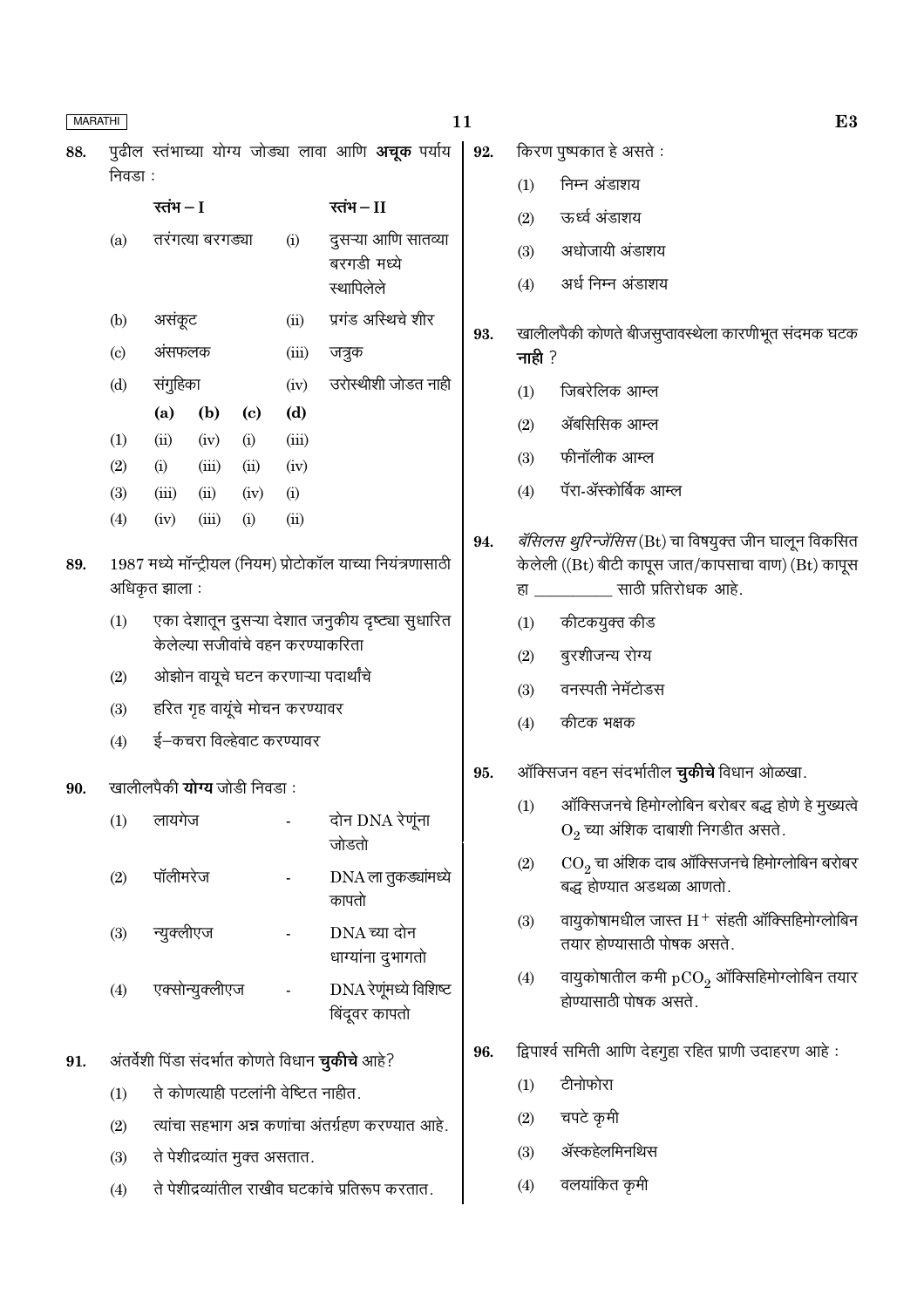| <b>MARATHI</b> |                                   |                                                   |                  |                             |                                     | 11                                                           |     |                      | E3                                                                                             |  |
|----------------|-----------------------------------|---------------------------------------------------|------------------|-----------------------------|-------------------------------------|--------------------------------------------------------------|-----|----------------------|------------------------------------------------------------------------------------------------|--|
| 88.            |                                   |                                                   |                  |                             |                                     | पुढील स्तंभाच्या योग्य जोड्या लावा आणि अचूक पर्याय           | 92. |                      | किरण पुष्पकात हे असते :                                                                        |  |
|                | निवडा :                           |                                                   |                  |                             |                                     |                                                              |     | (1)                  | निम्न अंडाशय                                                                                   |  |
|                |                                   | रतंभ $-I$                                         |                  |                             |                                     | रतंभ $-I$                                                    |     | (2)                  | ऊर्ध्व अंडाशय                                                                                  |  |
|                | (a)                               |                                                   | तरंगत्या बरगड्या |                             | (i)                                 | दुसऱ्या आणि सातव्या                                          |     | (3)                  | अधोजायी अंडाशय                                                                                 |  |
|                |                                   |                                                   |                  |                             |                                     | बरगडी मध्ये<br>स्थापिलेले                                    |     | (4)                  | अर्ध निम्न अंडाशय                                                                              |  |
|                | (b)                               | असंकूट                                            |                  |                             | (ii)                                | प्रगंड अस्थिचे शीर                                           | 93. |                      | खालीलपैकी कोणते बीजसुप्तावस्थेला कारणीभूत संदमक घटक                                            |  |
|                | $\left( \mathrm{c}\right)$        | अंसफलक                                            |                  |                             | (iii)                               | जत्रुक                                                       |     | नाही $?$             |                                                                                                |  |
|                | (d)                               | संगुहिका                                          |                  |                             | (iv)                                | उरोस्थीशी जोडत नाही                                          |     | (1)                  | जिबरेलिक आम्ल                                                                                  |  |
|                |                                   | (a)                                               | (b)              | $\left( \mathbf{c} \right)$ | (d)                                 |                                                              |     | (2)                  | ॲबसिसिक आम्ल                                                                                   |  |
|                | (1)                               | (ii)                                              | (iv)             | (i)                         | (iii)                               |                                                              |     | (3)                  | फीनॉलीक आम्ल                                                                                   |  |
|                | (2)                               | (i)                                               | (iii)            | (ii)                        | (iv)                                |                                                              |     | (4)                  | पॅरा-ॲस्कोर्बिक आम्ल                                                                           |  |
|                | (3)<br>(4)                        | (iii)<br>(iv)                                     | (ii)<br>(iii)    | (iv)<br>(i)                 | (i)<br>(ii)                         |                                                              |     |                      |                                                                                                |  |
|                |                                   |                                                   |                  |                             |                                     |                                                              | 94. |                      | <i>बॅसिलस थुरिन्जेंसिस</i> (Bt) चा विषयुक्त जीन घालून विकसित                                   |  |
| 89.            |                                   | अधिकृत झाला :                                     |                  |                             |                                     | 1987 मध्ये मॉन्ट्रीयल (नियम) प्रोटोकॉल याच्या नियंत्रणासाठी  |     |                      | केलेली ((Bt) बीटी कापूस जात/कापसाचा वाण) (Bt) कापूस<br>हा ____________ साठी प्रतिरोधक आहे.     |  |
|                | (1)                               |                                                   |                  |                             |                                     | एका देशातून दुसऱ्या देशात जनुकीय दृष्ट्या सुधारित            |     | (1)                  | कीटकयुक्त कीड                                                                                  |  |
|                | केलेल्या सजीवांचे वहन करण्याकरिता |                                                   |                  |                             |                                     |                                                              |     | (2)                  | बुरशीजन्य रोग्य                                                                                |  |
|                | (2)                               | ओझोन वायूचे घटन करणाऱ्या पदार्थांचे               |                  |                             |                                     |                                                              |     | (3)                  | वनस्पती नेमॅटोडस                                                                               |  |
|                | (3)                               |                                                   |                  |                             | हरित गृह वायूंचे मोचन करण्यावर      |                                                              |     | (4)                  | कीटक भक्षक                                                                                     |  |
|                | (4)                               |                                                   |                  |                             | ई–कचरा विल्हेवाट करण्यावर           |                                                              |     |                      |                                                                                                |  |
|                |                                   | खालीलपैकी <b>योग्य</b> जोडी निवडा :               |                  |                             |                                     |                                                              | 95. |                      | ऑक्सिजन वहन संदर्भातील <b>चुकीचे</b> विधान ओळखा.                                               |  |
| 90.            | (1)                               | लायगेज                                            |                  |                             |                                     | दोन DNA रेणूंना                                              |     |                      | (1) ऑक्सिजनचे हिमोग्लोबिन बरोबर बद्ध होणे हे मुख्यत्वे<br>$O_2$ च्या अंशिक दाबाशी निगडीत असते. |  |
|                | (2)                               | पॉलीमरेज                                          |                  |                             | $\overline{\phantom{a}}$            | जोडतो<br>DNA ला तुकड्यांमध्ये                                |     | (2)                  | $\mathrm{CO}_2$ चा अंशिक दाब ऑक्सिजनचे हिमोग्लोबिन बरोबर<br>बद्ध होण्यात अडथळा आणतो.           |  |
|                | (3)                               | न्युक्लीएज                                        |                  |                             |                                     | कापतो<br>$DNA =$ च्या दोन                                    |     | (3)                  | वायुकोषामधील जास्त $\mathrm{H}^+$ संहती ऑक्सिहिमोग्लोबिन<br>तयार होण्यासाठी पोषक असते.         |  |
|                | (4)                               | एक्सोन्युक्लीएज                                   |                  |                             | $\blacksquare$                      | धाग्यांना दुभागतो<br>DNA रेणूंमध्ये विशिष्ट<br>बिंदूवर कापतो |     | (4)                  | वायुकोषातील कमी $pCO2$ ऑक्सिहिमोग्लोबिन तयार<br>होण्यासाठी पोषक असते.                          |  |
| 91.            |                                   |                                                   |                  |                             |                                     | अंतर्वेशी पिंडा संदर्भात कोणते विधान <b>चुकीचे</b> आहे?      | 96. |                      | द्विपार्श्व समिती आणि देहगुहा रहित प्राणी उदाहरण आहे:                                          |  |
|                | (1)                               |                                                   |                  |                             | ते कोणत्याही पटलांनी वेष्टित नाहीत. |                                                              |     | (1)                  | टीनोफोरा                                                                                       |  |
|                | (2)                               | त्यांचा सहभाग अन्न कणांचा अंतर्ग्रहण करण्यात आहे. |                  |                             |                                     |                                                              |     | (2)                  | चपटे कृमी                                                                                      |  |
|                | (3)                               | ते पेशीद्रव्यांत मुक्त असतात.                     |                  |                             |                                     |                                                              |     | ॲस्कहेलमिनथिस<br>(3) |                                                                                                |  |
|                | (4)                               |                                                   |                  |                             |                                     | ते पेशीद्रव्यांतील राखीव घटकांचे प्रतिरूप करतात.             |     | (4)                  | वलयांकित कृमी                                                                                  |  |
|                |                                   |                                                   |                  |                             |                                     |                                                              |     |                      |                                                                                                |  |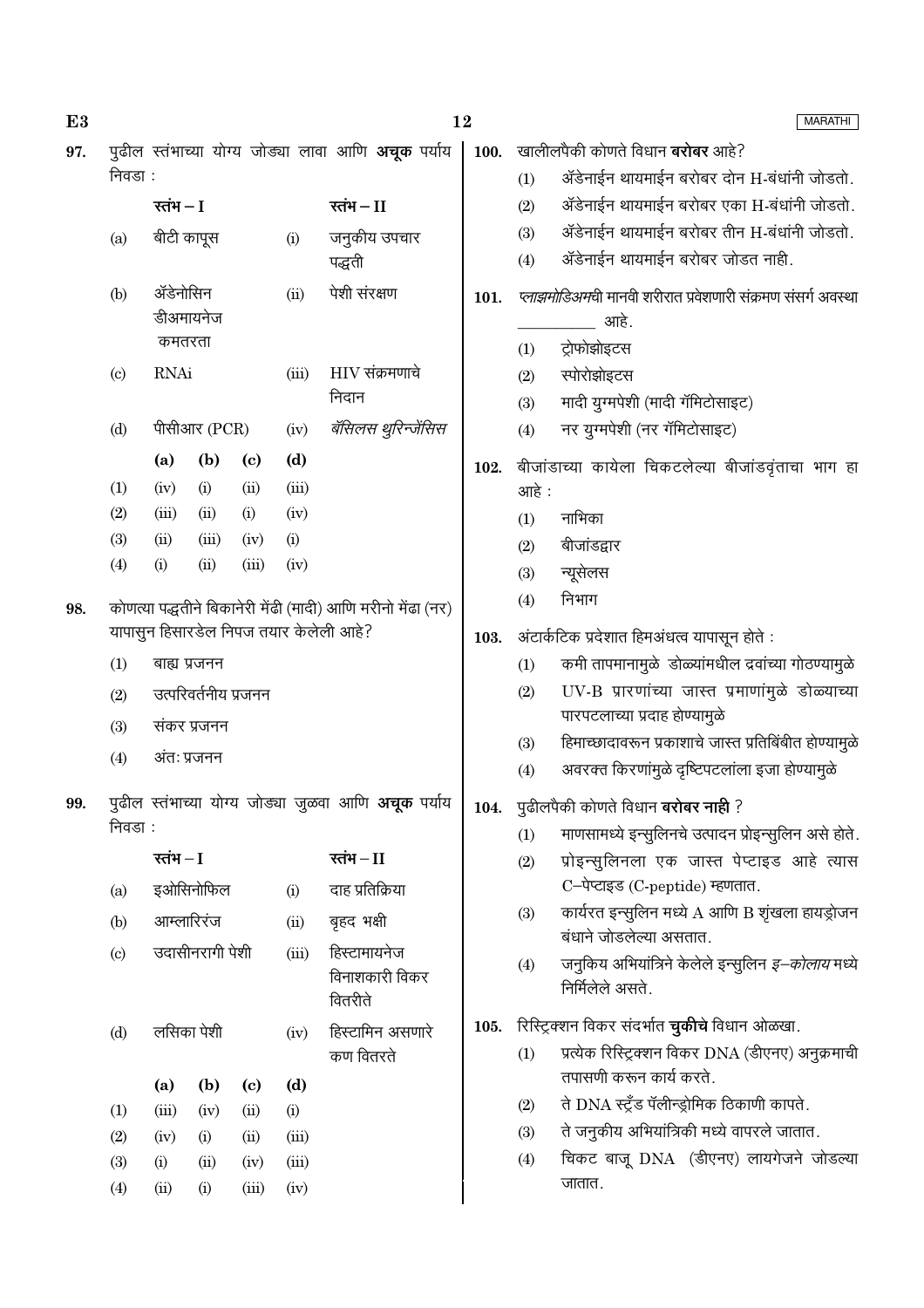| E3  |                                                           |             |                      |                             |       | 12                                                          |      |                                                                             | <b>MARATHI</b>                                                               |  |  |  |
|-----|-----------------------------------------------------------|-------------|----------------------|-----------------------------|-------|-------------------------------------------------------------|------|-----------------------------------------------------------------------------|------------------------------------------------------------------------------|--|--|--|
| 97. | पुढील स्तंभाच्या योग्य जोड्या लावा आणि <b>अचूक</b> पर्याय |             |                      | 100.                        |       | खालीलपैकी कोणते विधान <b>बरोबर</b> आहे?                     |      |                                                                             |                                                                              |  |  |  |
|     | निवडा :                                                   |             |                      |                             |       |                                                             |      | (1)                                                                         | ॲडेनाईन थायमाईन बरोबर दोन H-बंधांनी जोडतो.                                   |  |  |  |
|     |                                                           | रतंभ $-I$   |                      |                             |       | रतंभ $-I$                                                   |      | (2)                                                                         | ॲडेनाईन थायमाईन बरोबर एका H-बंधांनी जोडतो.                                   |  |  |  |
|     | बीटी कापूस<br>(i)<br>(a)                                  |             | जनुकीय उपचार         |                             | (3)   | ॲडेनाईन थायमाईन बरोबर तीन H-बंधांनी जोडतो.                  |      |                                                                             |                                                                              |  |  |  |
|     |                                                           |             | पद्धती               |                             | (4)   | ॲडेनाईन थायमाईन बरोबर जोडत नाही.                            |      |                                                                             |                                                                              |  |  |  |
|     | (b)                                                       | ॲडेनोसिन    | डीअमायनेज            |                             | (ii)  | पेशी संरक्षण                                                | 101. | <i>प्लाझमोडिअम</i> ची मानवी शरीरात प्रवेशणारी संक्रमण संसर्ग अवस्था<br>आहे. |                                                                              |  |  |  |
|     |                                                           |             | कमतरता               |                             |       |                                                             |      | (1)                                                                         | ट्रोफोझोइटस                                                                  |  |  |  |
|     | $\left( \mathrm{c}\right)$                                | <b>RNAi</b> | (iii)                |                             |       | $HIV$ संक्रमणाचे                                            |      | (2)                                                                         | स्पोरोझोइटस                                                                  |  |  |  |
|     |                                                           |             |                      |                             |       | निदान                                                       |      | (3)                                                                         | मादी युग्मपेशी (मादी गॅमिटोसाइट)                                             |  |  |  |
|     | (d)                                                       |             | पीसीआर $(PCR)$       |                             | (iv)  | बॅसिलस थुरिन्जेंसिस                                         |      | (4)                                                                         | नर युग्मपेशी (नर गॅमिटोसाइट)                                                 |  |  |  |
|     |                                                           | (a)         | (b)                  | $\left( \mathbf{c} \right)$ | (d)   |                                                             | 102. |                                                                             | बीजांडाच्या कायेला चिकटलेल्या बीजांडवृंताचा भाग हा                           |  |  |  |
|     | (1)                                                       | (iv)        | (i)                  | (ii)                        | (iii) |                                                             |      | आहे :                                                                       |                                                                              |  |  |  |
|     | (2)                                                       | (iii)       | (ii)                 | (i)                         | (iv)  |                                                             |      | (1)                                                                         | नाभिका                                                                       |  |  |  |
|     | (3)                                                       | (ii)        | (iii)                | (iv)                        | (i)   |                                                             |      | (2)                                                                         | बीजांडद्वार                                                                  |  |  |  |
|     | (4)                                                       | (i)         | (ii)                 | (iii)                       | (iv)  |                                                             |      | (3)                                                                         | न्यूसेलस                                                                     |  |  |  |
| 98. |                                                           |             |                      |                             |       | कोणत्या पद्धतीने बिकानेरी मेंढी (मादी) आणि मरीनो मेंढा (नर) |      | (4)                                                                         | निभाग                                                                        |  |  |  |
|     | यापासुन हिसारडेल निपज तयार केलेली आहे?                    |             |                      |                             |       | 103.                                                        |      | अंटार्कटिक प्रदेशात हिमअंधत्व यापासून होते :                                |                                                                              |  |  |  |
|     | (1)                                                       |             | बाह्य प्रजनन         |                             |       |                                                             |      | (1)                                                                         | कमी तापमानामुळे डोळ्यांमधील द्रवांच्या गोठण्यामुळे                           |  |  |  |
|     | (2)                                                       |             | उत्परिवर्तनीय प्रजनन |                             |       |                                                             |      | (2)                                                                         | UV-B प्रारणांच्या जास्त प्रमाणांमुळे डोळ्याच्या                              |  |  |  |
|     | (3)                                                       |             | संकर प्रजनन          |                             |       |                                                             |      | पारपटलाच्या प्रदाह होण्यामुळे                                               |                                                                              |  |  |  |
|     | (4)                                                       |             | अंतः प्रजनन          |                             |       |                                                             |      | (3)                                                                         | हिमाच्छादावरून प्रकाशाचे जास्त प्रतिबिंबीत होण्यामुळे                        |  |  |  |
|     |                                                           |             |                      |                             |       |                                                             |      | (4)                                                                         | अवरक्त किरणांमुळे दृष्टिपटलांला इजा होण्यामुळे                               |  |  |  |
| 99. |                                                           |             |                      |                             |       | पुढील स्तंभाच्या योग्य जोड्या जुळवा आणि <b>अचूक</b> पर्याय  |      |                                                                             | 104. पुढीलपैकी कोणते विधान बरोबर नाही ?                                      |  |  |  |
|     | निवडा :                                                   |             |                      |                             |       |                                                             |      | (1)                                                                         | माणसामध्ये इन्सुलिनचे उत्पादन प्रोइन्सुलिन असे होते.                         |  |  |  |
|     |                                                           | रतंभ $-I$   |                      |                             |       | रतंभ $-I$                                                   |      | (2)                                                                         | प्रोइन्सुलिनला एक जास्त पेप्टाइड आहे त्यास                                   |  |  |  |
|     | (a)                                                       |             | इओसिनोफिल            |                             | (i)   | दाह प्रतिक्रिया                                             |      |                                                                             | C-पेप्टाइड (C-peptide) म्हणतात.                                              |  |  |  |
|     | (b)                                                       |             | आम्लारिरंज           |                             | (ii)  | बृहद भक्षी                                                  |      | (3)                                                                         | कार्यरत इन्सुलिन मध्ये A आणि B शृंखला हायड्रोजन<br>बंधाने जोडलेल्या असतात.   |  |  |  |
|     | (c)                                                       |             | उदासीनरागी पेशी      |                             | (iii) | हिस्टामायनेज<br>विनाशकारी विकर                              |      | (4)                                                                         | जनुकिय अभियांत्रिने केलेले इन्सुलिन <i>इ–कोलाय</i> मध्ये<br>निर्मिलेले असते. |  |  |  |
|     |                                                           |             |                      |                             |       | वितरीते                                                     |      |                                                                             |                                                                              |  |  |  |
|     | (d)                                                       |             | लसिका पेशी           |                             | (iv)  | हिस्टामिन असणारे                                            | 105. |                                                                             | रिस्ट्रिक्शन विकर संदर्भात <b>चुकीचे</b> विधान ओळखा.                         |  |  |  |
|     |                                                           |             |                      |                             |       | कण वितरते                                                   |      | (1)                                                                         | प्रत्येक रिस्ट्रिक्शन विकर DNA (डीएनए) अनुक्रमाची<br>तपासणी करून कार्य करते. |  |  |  |
|     |                                                           | (a)         | (b)                  | $\left( \mathbf{c} \right)$ | (d)   |                                                             |      |                                                                             | ते DNA स्ट्रँड पॅलीन्ड्रोमिक ठिकाणी कापते.                                   |  |  |  |
|     | (1)                                                       | (iii)       | (iv)                 | (ii)                        | (i)   |                                                             |      | (2)                                                                         | ते जनुकीय अभियांत्रिकी मध्ये वापरले जातात.                                   |  |  |  |
|     | (2)                                                       | (iv)        | (i)                  | (ii)                        | (iii) |                                                             |      | (3)                                                                         | चिकट बाजू DNA (डीएनए) लायगेजने जोडल्या                                       |  |  |  |
|     | (3)                                                       | (i)         | (ii)                 | (iv)                        | (iii) |                                                             |      | (4)                                                                         | जातात.                                                                       |  |  |  |
|     | (4)                                                       | (ii)        | (i)                  | (iii)                       | (iv)  |                                                             |      |                                                                             |                                                                              |  |  |  |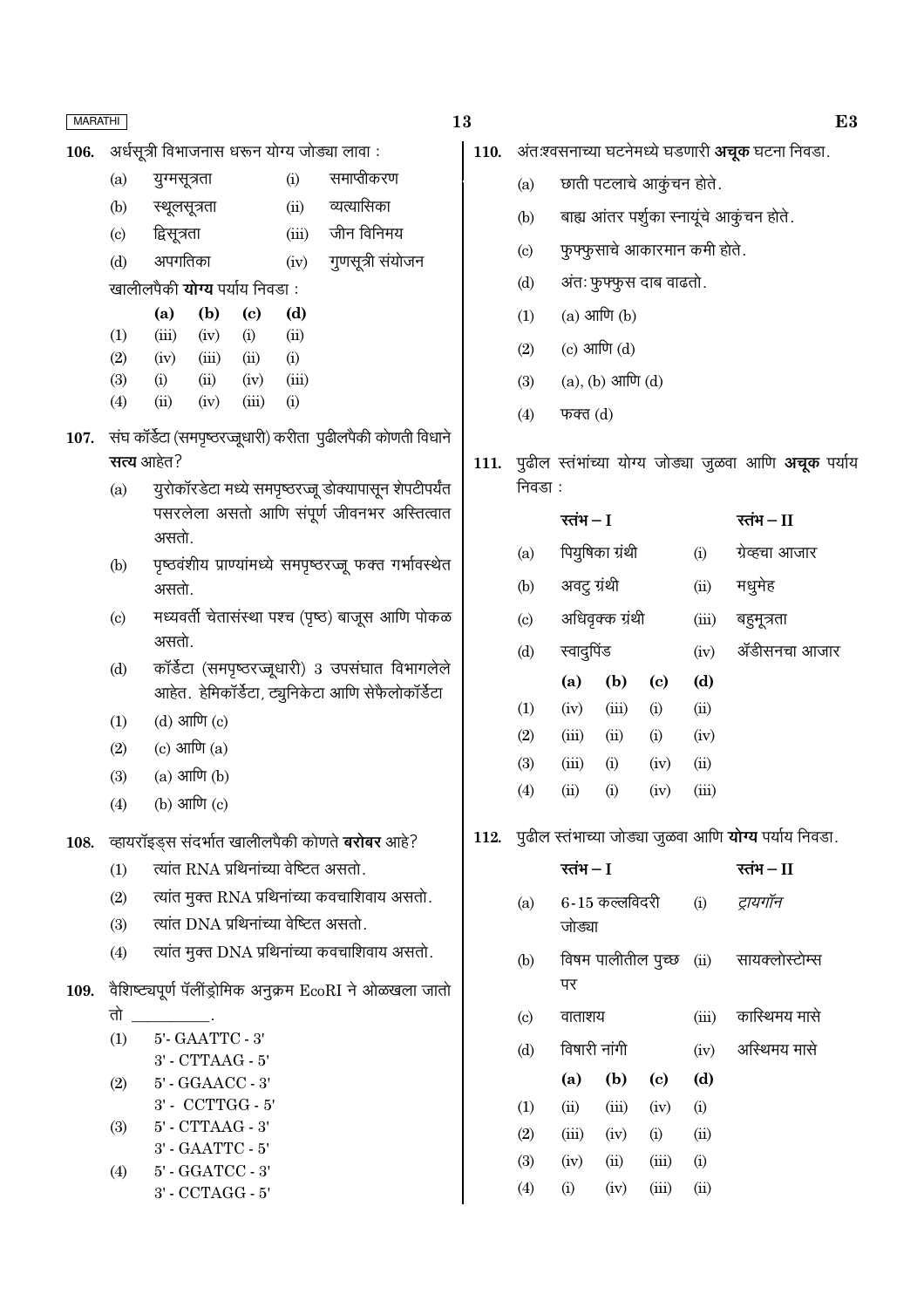106.

अर्धसत्री विभाजनास धरून योग्य जोड्या लावा :

|     |                  |                                       |      |       | $\sim$ 2014 $\sim$ 10.2010 $\sim$ 10.2010 $\sim$ 10.2010 $\sim$ 10.2010 $\sim$ 10.2010 $\sim$ 10.2010 $\sim$ 10.2010 $\sim$ 10.2010 $\sim$ 10.2010 $\sim$ 10.2010 $\sim$ 10.2010 $\sim$ 10.2010 $\sim$ 10.2010 $\sim$ 10.2010 $\sim$ 10.2010 $\sim$ 10.2010 $\sim$ |
|-----|------------------|---------------------------------------|------|-------|--------------------------------------------------------------------------------------------------------------------------------------------------------------------------------------------------------------------------------------------------------------------|
| (a) | युग्मसूत्रता     |                                       |      | (i)   | समाप्तीकरण                                                                                                                                                                                                                                                         |
|     | (b) स्थूलसूत्रता |                                       |      | (ii)  | व्यत्यासिका                                                                                                                                                                                                                                                        |
|     | (c) द्विसूत्रता  |                                       |      | (iii) | जीन विनिमय                                                                                                                                                                                                                                                         |
| (d) | अपगतिका          |                                       |      |       | (iv) गुणसूत्री संयोजन                                                                                                                                                                                                                                              |
|     |                  | खालीलपैकी <b>योग्य</b> पर्याय निवडा : |      |       |                                                                                                                                                                                                                                                                    |
|     |                  | $(a)$ $(b)$                           | (c)  | (d)   |                                                                                                                                                                                                                                                                    |
| (1) | (iii)            | $(iv)$ (i)                            |      | (ii)  |                                                                                                                                                                                                                                                                    |
| (2) | (iv)             | (iii)                                 | (ii) | (i)   |                                                                                                                                                                                                                                                                    |

- $(3)$  $(i)$  $(ii)$  $(iv)$  $(iii)$
- $(4)$  $(ii)$  $(iv)$  $(iii)$  $(i)$
- 107. संघ कॉर्डेटा (समपृष्ठरज्जूधारी) करीता पुढीलपैकी कोणती विधाने सत्य आहेत?
	- यूरोकॉरडेटा मध्ये समपृष्ठरज्जू डोक्यापासून शेपटीपर्यंत  $(a)$ पसरलेला असतो आणि संपूर्ण जीवनभर अस्तित्वात असतो.
	- पृष्ठवंशीय प्राण्यांमध्ये समपृष्ठरज्जु फक्त गर्भावस्थेत  $(b)$ असतो.
	- मध्यवर्ती चेतासंस्था पश्च (पृष्ठ) बाजूस आणि पोकळ  $(c)$ असतो.
	- कॉर्डेटा (समपृष्ठरज्जूधारी) 3 उपसंघात विभागलेले  $(d)$ आहेत. हेमिकॉर्डेटा, ट्यूनिकेटा आणि सेफैलोकॉर्डेटा
	- $(d)$  आणि  $(c)$  $(1)$
	- $(c)$  आणि  $(a)$  $(2)$
	- $(a)$  आणि  $(b)$  $(3)$
	- (b) आणि (c)  $(4)$
- 108. व्हायरॉइड्स संदर्भात खालीलपैकी कोणते बरोबर आहे?
	- त्यांत RNA प्रथिनांच्या वेष्टित असतो.  $(1)$
	- त्यांत मुक्त RNA प्रथिनांच्या कवचाशिवाय असतो.  $(2)$
	- त्यांत DNA प्रथिनांच्या वेष्टित असतो.  $(3)$
	- त्यांत मुक्त DNA प्रथिनांच्या कवचाशिवाय असतो.  $(4)$
- वैशिष्ट्यपूर्ण पॅलींड्रोमिक अनुक्रम EcoRI ने ओळखला जातो 109.

तो  $5'$  -  $\text{GAATTC}$  -  $3'$  $(1)$  $3'$  -  $CTTAAG$  -  $5'$  $(2)$ 5' - GGAACC - 3' 3' - CCTTGG - 5'  $5'$  -  $\operatorname{CTTAAG}$  -  $3'$  $(3)$ 3' - GAATTC - 5' 5' - GGATCC - 3'  $(4)$ 3' - CCTAGG - 5'

- 13
	- 110. अंतःश्वसनाच्या घटनेमध्ये घडणारी अचूक घटना निवडा.
		- छाती पटलाचे आकूंचन होते.  $(a)$
		- बाह्य आंतर पर्शुका स्नायूंचे आकुंचन होते.  $(b)$
		- फुफ्फुसाचे आकारमान कमी होते.  $(c)$
		- अंतः फुफ्फुस दाब वाढतो.  $(d)$
		- $(a)$  आणि  $(b)$  $(1)$
		- $(c)$  आणि  $(d)$  $(2)$
		- $(a), (b)$  आणि  $(d)$  $(3)$
		- $(4)$ फक्त $(d)$
	- 111. पुढील स्तंभांच्या योग्य जोड्या जुळवा आणि **अचूक** पर्याय निवडा :

|     | रतंभ – I     |                 |                            |       | रतंभ – II      |
|-----|--------------|-----------------|----------------------------|-------|----------------|
| (a) |              | पियुषिका ग्रंथी |                            | (i)   | ग्रेव्हचा आजार |
| (b) | अवट्र ग्रंथी |                 |                            | (ii)  | मधुमेह         |
| (c) |              | अधिवृक्क ग्रंथी |                            | (iii) | बहुमूत्रता     |
| (d) | स्वादुपिंड   |                 |                            | (iv)  | ॲडीसनचा आजार   |
|     | (a)          | (b)             | $\left( \mathrm{c}\right)$ | (d)   |                |
| (1) | (iv)         | (iii)           | (i)                        | (ii)  |                |
| (2) | (iii)        | (ii)            | (i)                        | (iv)  |                |
| (3) | (iii)        | (i)             | (iv)                       | (ii)  |                |
| (4) | (ii)         | (i)             | (iv)                       | (iii) |                |
|     |              |                 |                            |       |                |

112. पुढील स्तंभाच्या जोड्या जुळवा आणि योग्य पर्याय निवडा.

|                            | रतंभ $-I$    |                |                             | रतंभ – II |                                        |
|----------------------------|--------------|----------------|-----------------------------|-----------|----------------------------------------|
| (a)                        | जोड्या       | 6-15 कल्लविदरी |                             | (i)       | ट्रायगॉन                               |
| (b)                        | पर           |                |                             |           | विषम पालीतील पुच्छ (ii) सायक्लोस्टोम्स |
| $\left( \mathrm{c}\right)$ | वाताशय       |                |                             | (iii)     | कास्थिमय मासे                          |
| (d)                        | विषारी नांगी |                |                             | (iv)      | अस्थिमय मासे                           |
|                            | (a)          | (b)            | $\left( \mathrm{c} \right)$ | (d)       |                                        |
| (1)                        | (ii)         | (iii)          | (iv)                        | (i)       |                                        |
| (2)                        | (iii)        | (iv)           | (i)                         | (ii)      |                                        |
| (3)                        | (iv)         | (ii)           | (iii)                       | (i)       |                                        |
| (4)                        | (i)          | (iv)           | (iii)                       | (ii)      |                                        |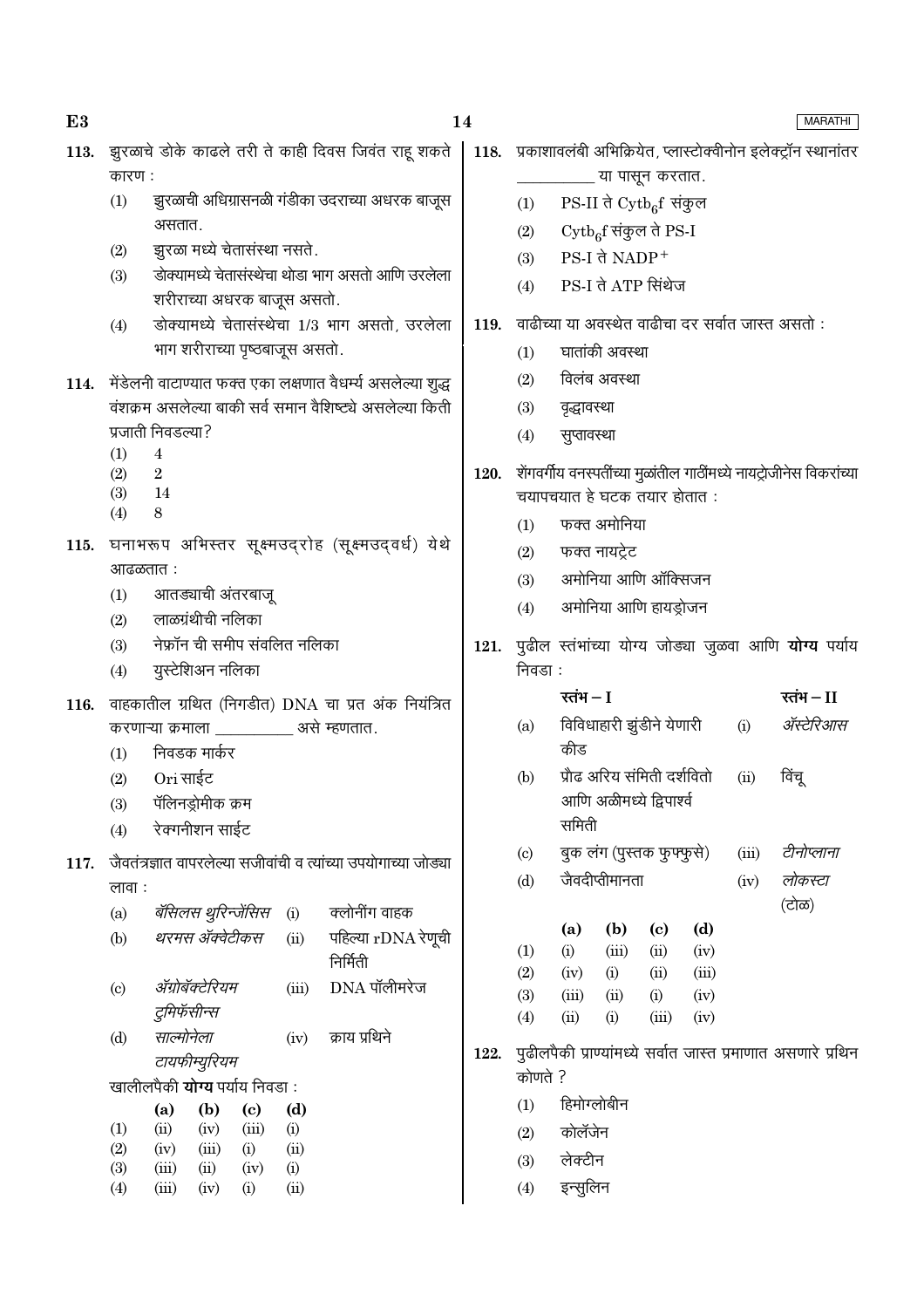|      |                                                                 | असतात.                                 |               |                            |             |                                                                  |                                                         |           | (2)                   |             |                           | $\mathrm{Cytb}_6$ f संकुल ते PS-I |                                             |
|------|-----------------------------------------------------------------|----------------------------------------|---------------|----------------------------|-------------|------------------------------------------------------------------|---------------------------------------------------------|-----------|-----------------------|-------------|---------------------------|-----------------------------------|---------------------------------------------|
|      | (2)                                                             | झुरळा मध्ये चेतासंस्था नसते.           |               |                            |             |                                                                  |                                                         |           | (3)                   |             | $PS-I$ ते $NADP+$         |                                   |                                             |
|      | (3)                                                             |                                        |               |                            |             | डोक्यामध्ये चेतासंस्थेचा थोडा भाग असतो आणि उरलेला                |                                                         |           | (4)                   |             |                           | PS-I ते ATP सिंथेज                |                                             |
|      |                                                                 | शरीराच्या अधरक बाजूस असतो.             |               |                            |             |                                                                  |                                                         |           |                       |             |                           |                                   |                                             |
|      | (4)                                                             |                                        |               |                            |             | डोक्यामध्ये चेतासंस्थेचा 1/3 भाग असतो, उरलेला                    |                                                         | 119.      |                       |             |                           |                                   | वाढीच्या या अवस्थेत वाढीचा दर सर्वा         |
|      |                                                                 | भाग शरीराच्या पृष्ठबाजूस असतो.         |               |                            |             |                                                                  |                                                         |           | (1)                   |             | घातांकी अवस्था            |                                   |                                             |
|      |                                                                 |                                        |               |                            |             | 114. मेंडेलनी वाटाण्यात फक्त एका लक्षणात वैधर्म्य असलेल्या शुद्ध |                                                         |           | (2)                   |             | विलंब अवस्था              |                                   |                                             |
|      |                                                                 |                                        |               |                            |             | वंशक्रम असलेल्या बाकी सर्व समान वैशिष्ट्ये असलेल्या किती         |                                                         |           | (3)                   | वृद्धावस्था |                           |                                   |                                             |
|      |                                                                 | प्रजाती निवडल्या?                      |               |                            |             |                                                                  |                                                         |           | (4)                   | सुप्तावस्था |                           |                                   |                                             |
|      | (1)                                                             | $\overline{4}$                         |               |                            |             |                                                                  |                                                         |           |                       |             |                           |                                   |                                             |
|      | (2)                                                             | $\overline{2}$                         |               |                            |             |                                                                  |                                                         | 120.      |                       |             |                           |                                   | शेंगवर्गीय वनस्पतींच्या मुळांतील गाठींमध्ये |
|      | (3)<br>(4)                                                      | - 14<br>8                              |               |                            |             |                                                                  |                                                         |           |                       |             |                           | चयापचयात हे घटक तयार होतात :      |                                             |
|      |                                                                 |                                        |               |                            |             |                                                                  |                                                         |           | (1)                   |             | फक्त अमोनिया              |                                   |                                             |
|      |                                                                 |                                        |               |                            |             | 115. घनाभरूप अभिस्तर सूक्ष्मउद्रोह (सूक्ष्मउद्वर्ध) येथे         |                                                         |           | फक्त नायट्रेट<br>(2)  |             |                           |                                   |                                             |
|      |                                                                 | आढळतात :                               |               |                            |             |                                                                  |                                                         |           | (3)                   |             |                           | अमोनिया आणि ऑक्सिजन               |                                             |
|      | (1)                                                             | आतड्याची अंतरबाजू<br>लाळग्रंथीची नलिका |               |                            |             |                                                                  |                                                         |           | (4)                   |             |                           | अमोनिया आणि हायड्रोजन             |                                             |
|      | (2)                                                             | नेफ्रॉन ची समीप संवलित नलिका           |               |                            |             |                                                                  |                                                         |           |                       |             |                           |                                   |                                             |
|      | (3)                                                             |                                        |               |                            |             |                                                                  |                                                         | 121.      | निवडा :               |             |                           |                                   | पुढील स्तंभांच्या योग्य जोड्या जुळ          |
|      | (4)                                                             | युस्टेशिअन नलिका                       |               |                            |             |                                                                  |                                                         |           |                       |             |                           |                                   |                                             |
|      | 116. वाहकातील ग्रथित (निगडीत) DNA चा प्रत अंक नियंत्रित         |                                        |               |                            |             |                                                                  |                                                         | रतंभ $-I$ |                       |             |                           |                                   |                                             |
|      | करणाऱ्या क्रमाला ___________ असे म्हणतात.                       |                                        |               |                            |             |                                                                  |                                                         | (a)       |                       |             | विविधाहारी झुंडीने येणारी |                                   |                                             |
|      | (1)                                                             | निवडक मार्कर                           |               |                            |             |                                                                  |                                                         |           |                       | कीड         |                           |                                   |                                             |
|      | (2)                                                             | Ori साईट                               |               |                            |             |                                                                  |                                                         |           | (b)                   |             |                           | प्रौढ अरिय संमिती दर्शवितो        |                                             |
|      | (3)                                                             | पॅलिनड्रोमीक क्रम                      |               |                            |             |                                                                  |                                                         |           |                       |             |                           | आणि अळीमध्ये द्विपार्श्व          |                                             |
|      | (4)                                                             | रेक्गनीशन साईट                         |               |                            |             |                                                                  |                                                         |           |                       | समिती       |                           |                                   |                                             |
| 117. | जैवतंत्रज्ञात वापरलेल्या सजीवांची व त्यांच्या उपयोगाच्या जोड्या |                                        |               |                            |             |                                                                  | बुक लंग (पुस्तक फुफ्फुसे)<br>$\left( \mathrm{c}\right)$ |           |                       |             |                           |                                   |                                             |
|      | लावा :                                                          |                                        |               |                            |             |                                                                  |                                                         |           | जैवदीप्तीमानता<br>(d) |             |                           |                                   |                                             |
|      |                                                                 |                                        |               |                            |             | (a) बॅसिलस थुरिन्जेंसिस (i) क्लोनींग वाहक                        |                                                         |           |                       |             |                           |                                   |                                             |
|      | (b)                                                             | थरमस ॲक्वेटीकस                         |               |                            | (ii)        | पहिल्या $rDNA$ रेणूची                                            |                                                         |           |                       | (a)         | (b)                       | (c)                               | (d)                                         |
|      |                                                                 |                                        |               |                            |             | निर्मिती                                                         |                                                         |           | (1)<br>(2)            | (i)<br>(iv) | (iii)<br>(i)              | (ii)<br>(ii)                      | (iv)<br>(iii)                               |
|      | (c)                                                             | ॲग्रोबॅक्टेरियम                        |               |                            | (iii)       | DNA पॉलीमरेज                                                     |                                                         |           | (3)                   | (iii)       | (ii)                      | (i)                               | (iv)                                        |
|      |                                                                 | टुमिफॅसीन्स                            |               |                            |             |                                                                  |                                                         |           | (4)                   | (ii)        | (i)                       | (iii)                             | (iv)                                        |
|      | (d)                                                             | साल्मोनेला                             |               |                            | (iv)        | क्राय प्रथिने                                                    |                                                         | 122.      |                       |             |                           |                                   |                                             |
|      | टायफीम्युरियम                                                   |                                        |               |                            |             |                                                                  |                                                         |           | कोणते ?               |             |                           |                                   | पूढीलपैकी प्राण्यांमध्ये सर्वात जास्त प्र   |
|      |                                                                 | खालीलपैकी <b>योग्य</b> पर्याय निवडा:   |               |                            |             |                                                                  |                                                         |           |                       |             |                           |                                   |                                             |
|      |                                                                 | (a)                                    | (b)           | $\left( \mathrm{c}\right)$ | (d)         |                                                                  |                                                         |           | (1)                   |             | हिमोग्लोबीन               |                                   |                                             |
|      | (1)<br>(2)                                                      | (ii)<br>(iv)                           | (iv)<br>(iii) | (iii)<br>(i)               | (i)<br>(ii) |                                                                  |                                                         |           | (2)                   | कोलॅजेन     |                           |                                   |                                             |
|      | (3)                                                             | (iii)                                  | (ii)          | (iv)                       | (i)         |                                                                  |                                                         |           | (3)                   | लेक्टीन     |                           |                                   |                                             |
|      | (4)                                                             | (iii)                                  | (iv)          | (i)                        | (ii)        |                                                                  |                                                         |           | (4)                   | इन्सुलिन    |                           |                                   |                                             |
|      |                                                                 |                                        |               |                            |             |                                                                  |                                                         |           |                       |             |                           |                                   |                                             |

# $E3$

कारण :

. . . . .<br>(1) झुरळाची अधिग्रासनळी गंडीका उदराच्या अधरक बाजूस |

- **MARATHI**
- 
- .<br>ति जास्त असतो :
- .<br>ये नायट्रोजीनेस विकरांच्या
- ग्वा आणि **योग्य** पर्याय

|                                                              | रतंभ $-I$   |                           |                            |            |           | रतंभ — II |  |  |
|--------------------------------------------------------------|-------------|---------------------------|----------------------------|------------|-----------|-----------|--|--|
| (a)                                                          |             |                           | विविधाहारी झुंडीने येणारी  | (i)        | ॲस्टेरिआस |           |  |  |
|                                                              | कीड         |                           |                            |            |           |           |  |  |
| (b)                                                          |             |                           | प्रौढ अरिय संमिती दर्शवितो |            | (ii)      | विंचू     |  |  |
|                                                              |             |                           | आणि अळीमध्ये द्विपार्श्व   |            |           |           |  |  |
|                                                              | समिती       |                           |                            |            |           |           |  |  |
| $\left( \mathrm{c} \right)$                                  |             | बुक लंग (पुस्तक फुफ्फुसे) | (iii)                      | टीनोप्लाना |           |           |  |  |
| (d)                                                          |             | जैवदीप्तीमानता            |                            |            | (iv)      | लोकस्टा   |  |  |
|                                                              |             |                           |                            |            |           | (टोळ)     |  |  |
|                                                              | (a)         | (b)                       | (c)                        | (d)        |           |           |  |  |
| (1)                                                          | (i)         | (iii)                     | (ii)                       | (iv)       |           |           |  |  |
| (2)                                                          | (iv)        | (i)                       | (ii)                       | (iii)      |           |           |  |  |
| (3)                                                          | (iii)       | (ii)                      | (i)                        | (iv)       |           |           |  |  |
| (4)                                                          | (ii)        | (i)                       | (iii)                      | (iv)       |           |           |  |  |
| पुढीलपैकी प्राण्यांमध्ये सर्वात जास्त प्रमाणात असणारे प्रथिन |             |                           |                            |            |           |           |  |  |
| कोणते ?                                                      |             |                           |                            |            |           |           |  |  |
| (1)                                                          | हिमोग्लोबीन |                           |                            |            |           |           |  |  |
| (2)                                                          | कोलॅजेन     |                           |                            |            |           |           |  |  |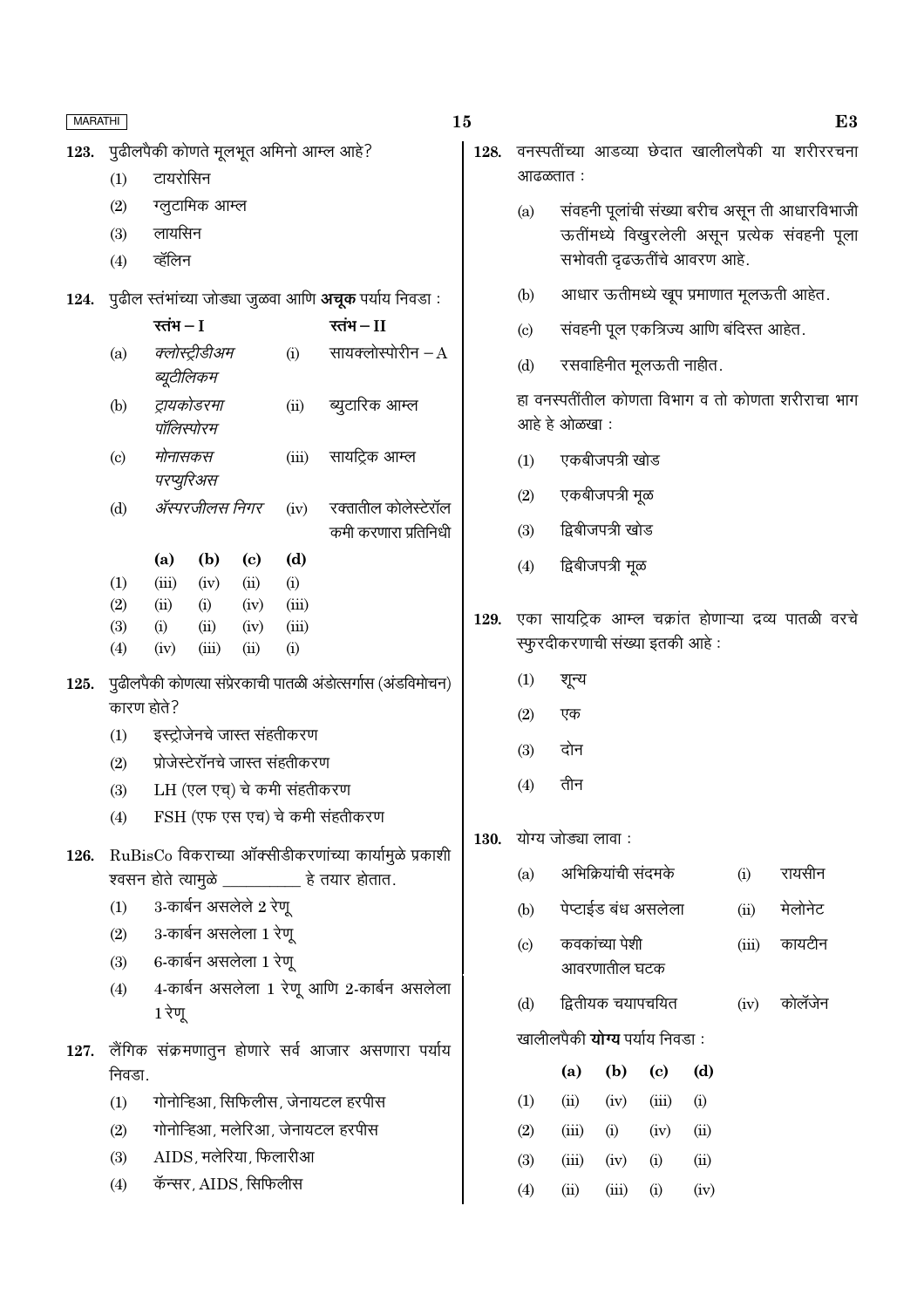| MARATHI |                                                              |                                                               |             |                            |                      |                                                        | 15                                                               |                                                         |                                                   |                     |                             |      |       | E3                                                   |  |
|---------|--------------------------------------------------------------|---------------------------------------------------------------|-------------|----------------------------|----------------------|--------------------------------------------------------|------------------------------------------------------------------|---------------------------------------------------------|---------------------------------------------------|---------------------|-----------------------------|------|-------|------------------------------------------------------|--|
| 123.    |                                                              | पुढीलपैकी कोणते मूलभूत अमिनो आम्ल आहे?                        |             |                            |                      |                                                        |                                                                  | वनस्पतींच्या आडव्या छेदात खालीलपैकी या शरीररचना<br>128. |                                                   |                     |                             |      |       |                                                      |  |
|         | (1)                                                          | टायरोसिन                                                      |             |                            |                      |                                                        |                                                                  | आढळतात :                                                |                                                   |                     |                             |      |       |                                                      |  |
|         | (2)                                                          | ग्लूटामिक आम्ल                                                |             |                            |                      |                                                        |                                                                  | (a)                                                     |                                                   |                     |                             |      |       | संवहनी पूलांची संख्या बरीच असून ती आधारविभाजी        |  |
|         | (3)                                                          | लायसिन                                                        |             |                            |                      |                                                        |                                                                  |                                                         |                                                   |                     |                             |      |       | ऊतींमध्ये विखुरलेली असून प्रत्येक संवहनी पूला        |  |
|         | (4)                                                          | व्हॅलिन                                                       |             |                            |                      |                                                        |                                                                  |                                                         |                                                   |                     | सभोवती दृढऊतींचे आवरण आहे.  |      |       |                                                      |  |
| 124.    |                                                              | पुढील स्तंभांच्या जोड्या जुळवा आणि <b>अचूक</b> पर्याय निवडा : |             |                            |                      |                                                        |                                                                  | (b)                                                     |                                                   |                     |                             |      |       | आधार ऊतीमध्ये खूप प्रमाणात मूलऊती आहेत.              |  |
|         |                                                              | रतंभ $-I$<br>रतंभ $-II$                                       |             |                            |                      |                                                        | संवहनी पूल एकत्रिज्य आणि बंदिस्त आहेत.<br>$\left( \circ \right)$ |                                                         |                                                   |                     |                             |      |       |                                                      |  |
|         | (a)                                                          | क्लोस्ट्रीडीअम<br>ब्यूटीलिकम                                  |             |                            | (i)                  | सायक्लोस्पोरीन $-A$                                    |                                                                  | (d)                                                     |                                                   |                     | रसवाहिनीत मूलऊती नाहीत.     |      |       |                                                      |  |
|         | (b)                                                          | ट्रायकोडरमा<br>(ii)<br>पॉलिस्पोरम                             |             |                            |                      | ब्युटारिक आम्ल                                         |                                                                  |                                                         | हा वनस्पतींतील कोणता विभाग व तो कोणता शरीराचा भाग |                     |                             |      |       |                                                      |  |
|         |                                                              |                                                               |             |                            |                      |                                                        |                                                                  | आहे हे ओळखा:                                            |                                                   |                     |                             |      |       |                                                      |  |
|         | $\left( \mathrm{c}\right)$                                   | मोनासकस<br>(iii)<br>परप्युरिअस<br>ॲस्परजीलस निगर<br>(iv)      |             | सायट्रिक आम्ल              |                      | (1)                                                    | एकबीजपत्री खोड                                                   |                                                         |                                                   |                     |                             |      |       |                                                      |  |
|         | (d)                                                          |                                                               |             |                            | रक्तातील कोलेस्टेरॉल |                                                        | (2)                                                              | एकबीजपत्री मूळ                                          |                                                   |                     |                             |      |       |                                                      |  |
|         |                                                              |                                                               |             | कमी करणारा प्रतिनिधी       | (3)                  | द्विबीजपत्री खोड                                       |                                                                  |                                                         |                                                   |                     |                             |      |       |                                                      |  |
|         |                                                              | (a)                                                           | (b)         | $\left( \mathrm{c}\right)$ | (d)                  |                                                        |                                                                  | (4)                                                     |                                                   | द्विबीजपत्री मूळ    |                             |      |       |                                                      |  |
|         | (1)<br>(2)                                                   | (iii)<br>(ii)                                                 | (iv)<br>(i) | (ii)<br>(iv)               | (i)<br>(iii)         |                                                        |                                                                  |                                                         |                                                   |                     |                             |      |       |                                                      |  |
|         | (3)                                                          | (i)                                                           | (ii)        | (iv)                       | (iii)                |                                                        | 129.                                                             |                                                         |                                                   |                     |                             |      |       | एका सायट्रिक आम्ल चक्रांत होणाऱ्या द्रव्य पातळी वरचे |  |
|         | (4)                                                          | (iv)                                                          | (iii)       | (ii)                       | (i)                  |                                                        |                                                                  |                                                         | स्फुरदीकरणाची संख्या इतकी आहे:                    |                     |                             |      |       |                                                      |  |
| 125.    | पुढीलपैकी कोणत्या संप्रेरकाची पातळी अंडोत्सर्गास (अंडविमोचन) |                                                               |             |                            |                      |                                                        | (1)                                                              | शून्य                                                   |                                                   |                     |                             |      |       |                                                      |  |
|         |                                                              | कारण होते?                                                    |             |                            |                      |                                                        |                                                                  | (2)                                                     | एक                                                |                     |                             |      |       |                                                      |  |
|         | (1)                                                          | इस्ट्रोजेनचे जास्त संहतीकरण                                   |             |                            |                      |                                                        |                                                                  | (3)                                                     | दोन                                               |                     |                             |      |       |                                                      |  |
|         | (2)                                                          | प्रोजेस्टेरॉनचे जास्त संहतीकरण                                |             |                            |                      |                                                        |                                                                  |                                                         |                                                   |                     |                             |      |       |                                                      |  |
|         | (3)                                                          | LH (एल एच्) चे कमी संहतीकरण                                   |             |                            |                      |                                                        | (4)                                                              | तीन                                                     |                                                   |                     |                             |      |       |                                                      |  |
|         | (4)                                                          | FSH (एफ एस एच) चे कमी संहतीकरण                                |             |                            | <b>130.</b>          |                                                        | योग्य जोड्या लावा :                                              |                                                         |                                                   |                     |                             |      |       |                                                      |  |
| 126.    |                                                              | RuBisCo विकराच्या ऑक्सीडीकरणांच्या कार्यामुळे प्रकाशी         |             |                            |                      |                                                        |                                                                  |                                                         |                                                   |                     |                             |      |       |                                                      |  |
|         |                                                              |                                                               |             |                            |                      | श्वसन होते त्यामुळे ___________ हे तयार होतात.         |                                                                  | (a)                                                     |                                                   | अभिक्रियांची संदमके |                             |      | (i)   | रायसीन                                               |  |
|         | (1)                                                          | 3-कार्बन असलेले 2 रेणू                                        |             |                            |                      |                                                        |                                                                  | (b)                                                     |                                                   |                     | पेप्टाईड बंध असलेला         |      | (ii)  | मेलोनेट                                              |  |
|         | (2)                                                          | 3-कार्बन असलेला 1 रेणू                                        |             |                            |                      |                                                        |                                                                  | $\left( \mathrm{c}\right)$                              |                                                   | कवकांच्या पेशी      |                             |      | (iii) | कायटीन                                               |  |
|         | (3)                                                          | 6-कार्बन असलेला 1 रेणू                                        |             |                            |                      |                                                        |                                                                  |                                                         |                                                   | आवरणातील घटक        |                             |      |       |                                                      |  |
|         | (4)                                                          | 4-कार्बन असलेला 1 रेणू आणि 2-कार्बन असलेला<br>1 रेणू          |             |                            |                      |                                                        |                                                                  | (d)                                                     | द्वितीयक चयापचयित<br>कोलॅंजेन<br>(iv)             |                     |                             |      |       |                                                      |  |
|         |                                                              |                                                               |             |                            |                      |                                                        |                                                                  | खालीलपैकी <b>योग्य</b> पर्याय निवडा:                    |                                                   |                     |                             |      |       |                                                      |  |
|         | निवडा.                                                       |                                                               |             |                            |                      | 127. लैंगिक संक्रमणातुन होणारे सर्व आजार असणारा पर्याय |                                                                  |                                                         | (a)                                               | (b)                 | $\left( \mathbf{c} \right)$ | (d)  |       |                                                      |  |
|         | (1)                                                          |                                                               |             |                            |                      | गोनोन्हिआ, सिफिलीस, जेनायटल हरपीस                      |                                                                  | (1)                                                     | (ii)                                              | (iv)                | (iii)                       | (i)  |       |                                                      |  |
|         | (2)                                                          |                                                               |             |                            |                      | गोनोन्हिआ, मलेरिआ, जेनायटल हरपीस                       |                                                                  | (2)                                                     | (iii)                                             | (i)                 | (iv)                        | (ii) |       |                                                      |  |
|         | (3)                                                          | AIDS, मलेरिया, फिलारीआ                                        |             |                            |                      |                                                        |                                                                  | (3)                                                     | (iii)                                             | (iv)                | (i)                         | (ii) |       |                                                      |  |
|         | (4)                                                          | कॅन्सर, AIDS, सिफिलीस                                         |             |                            |                      |                                                        |                                                                  | (4)                                                     | (ii)                                              | (iii)               | (i)                         | (iv) |       |                                                      |  |
|         |                                                              |                                                               |             |                            |                      |                                                        |                                                                  |                                                         |                                                   |                     |                             |      |       |                                                      |  |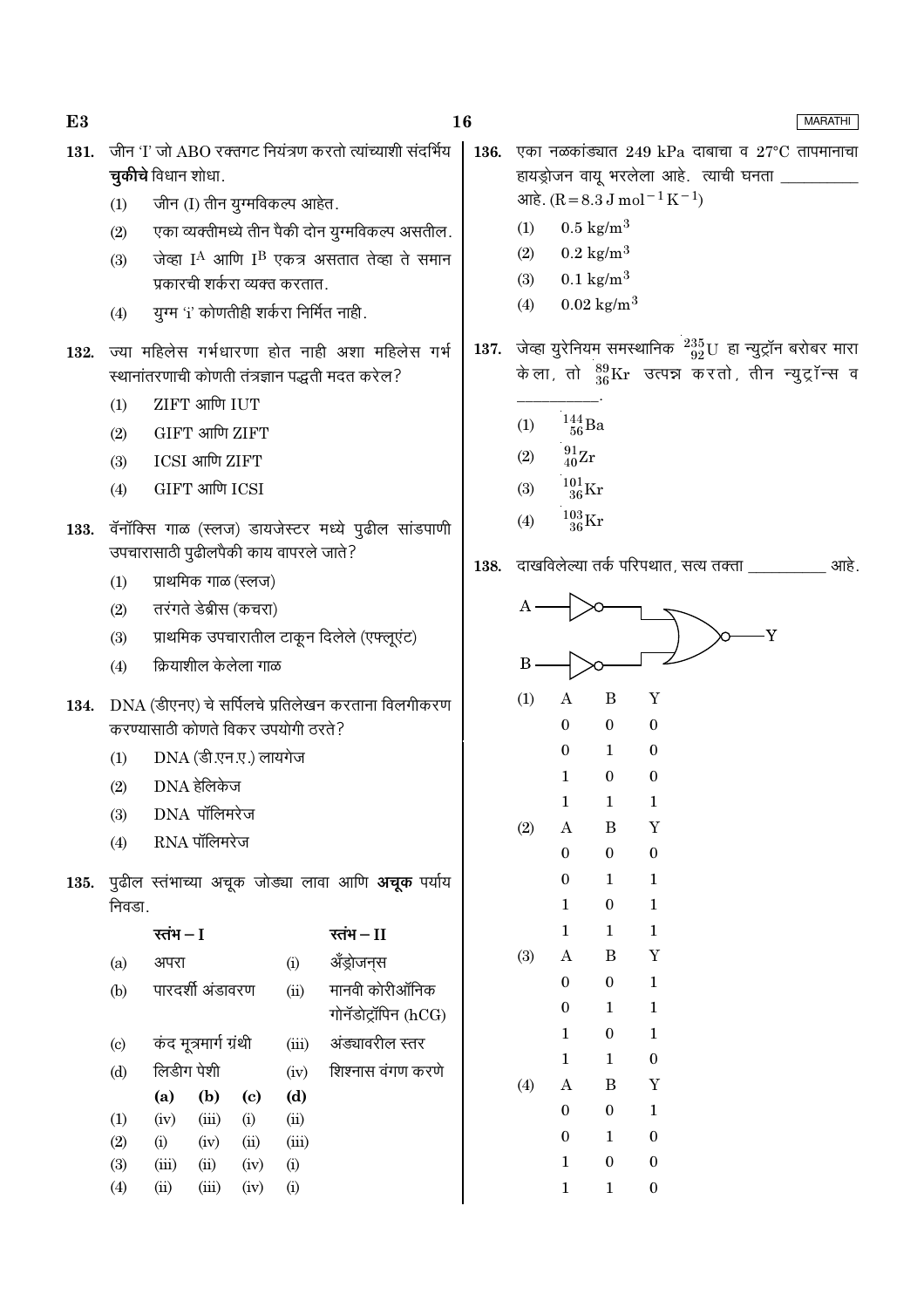**MARATHI** 

- 131. जीन 'I' जो ABO रक्तगट नियंत्रण करतो त्यांच्याशी संदर्भिय 136. चुकीचे विधान शोधा. जीन (I) तीन यूग्मविकल्प आहेत.  $(1)$ एका व्यक्तीमध्ये तीन पैकी दोन युग्मविकल्प असतील.  $(2)$ जेव्हा I<sup>A</sup> आणि I<sup>B</sup> एकत्र असतात तेव्हा ते समान  $(3)$ प्रकारची शर्करा व्यक्त करतात युग्म 'i' कोणतीही शर्करा निर्मित नाही.  $(4)$ 137. 132. ज्या महिलेस गर्भधारणा होत नाही अशा महिलेस गर्भ स्थानांतरणाची कोणती तंत्रज्ञान पद्धती मदत करेल? ZIFT आणि IUT  $(1)$ GIFT आणि ZIFT  $(2)$ ICSI आणि ZIFT  $(3)$ GIFT आणि ICSI  $(4)$ 133. वॅनॉक्सि गाळ (स्लज) डायजेस्टर मध्ये पुढील सांडपाणी उपचारासाठी पुढीलपैकी काय वापरले जाते? 138. प्राथमिक गाळ (स्लज)  $(1)$ तरंगते डेब्रीस (कचरा)  $(2)$ प्राथमिक उपचारातील टाकून दिलेले (एफ्लूएंट)  $(3)$ क्रियाशील केलेला गाळ  $(4)$ 134. DNA (डीएनए) चे सर्पिलचे प्रतिलेखन करताना विलगीकरण करण्यासाती कोणते विकर उपयोगी तरते? DNA (डी.एन.ए.) लायगेज  $(1)$ DNA हेलिकेज  $(2)$ DNA पॉलिमरेज  $(3)$  $RNA$  पॉलिमरेज  $(4)$
- 135. पृढील स्तंभाच्या अचुक जोड्या लावा आणि अचुक पर्याय निवडा.

|                           | रतंभ – I   |                       |      |       | रतंभ — II           |  |  |
|---------------------------|------------|-----------------------|------|-------|---------------------|--|--|
| (a)                       | अपरा       |                       |      | (i)   | ॲंड्रोजन्स          |  |  |
| (b)                       |            | पारदर्शी अंडावरण      |      | (ii)  | मानवी कोरीऑनिक      |  |  |
|                           |            |                       |      |       | गोनॅडोट्रॉपिन (hCG) |  |  |
| $\left( \text{c} \right)$ |            | कंद मूत्रमार्ग ग्रंथी |      | (iii) | अंड्यावरील स्तर     |  |  |
| (d)                       | लिडीग पेशी |                       |      | (iv)  | शिश्नास वंगण करणे   |  |  |
|                           | (a)        | (b)                   | (c)  | (d)   |                     |  |  |
| (1)                       | (iv)       | (iii)                 | (i)  | (ii)  |                     |  |  |
| (2)                       | (i)        | (iv)                  | (ii) | (iii) |                     |  |  |
| (3)                       | (iii)      | (ii)                  | (iv) | (i)   |                     |  |  |
| (4)                       | $\rm (ii)$ | (iii)                 | (iv) | (i)   |                     |  |  |
|                           |            |                       |      |       |                     |  |  |

- एका नळकांड्यात 249 kPa दाबाचा व  $27^{\circ}$ C तापमानाचा हायड्रोजन वायू भरलेला आहे. त्याची घनता \_  $\text{snk}$ . (R = 8.3 J mol<sup>-1</sup> K<sup>-1</sup>)
	- $(1)$  $0.5 \text{ kg/m}^3$
	- $0.2 \text{ kg/m}^3$  $(2)$
	- $(3)$  $0.1 \text{ kg/m}^3$
	- $0.02 \text{ kg/m}^3$  $(4)$
- जेव्हा युरेनियम समस्थानिक  $^{235}_{99}$ U हा न्युट्रॉन बरोबर मारा केला, तो  $^{89}_{36}\text{Kr}$  उत्पन्न करतो, तीन न्युट्रॉन्स व
	- $\frac{144}{56}Ba$  $(1)$
	- $\frac{91}{40}\text{Zr}$  $(2)$
	- $^{101}_{36}\mathrm{Kr}$  $(3)$
	- $\frac{103}{36}\mathrm{Kr}$  $(4)$
- दाखविलेल्या तर्क परिपथात, सत्य तक्ता त्रांसा आहे.

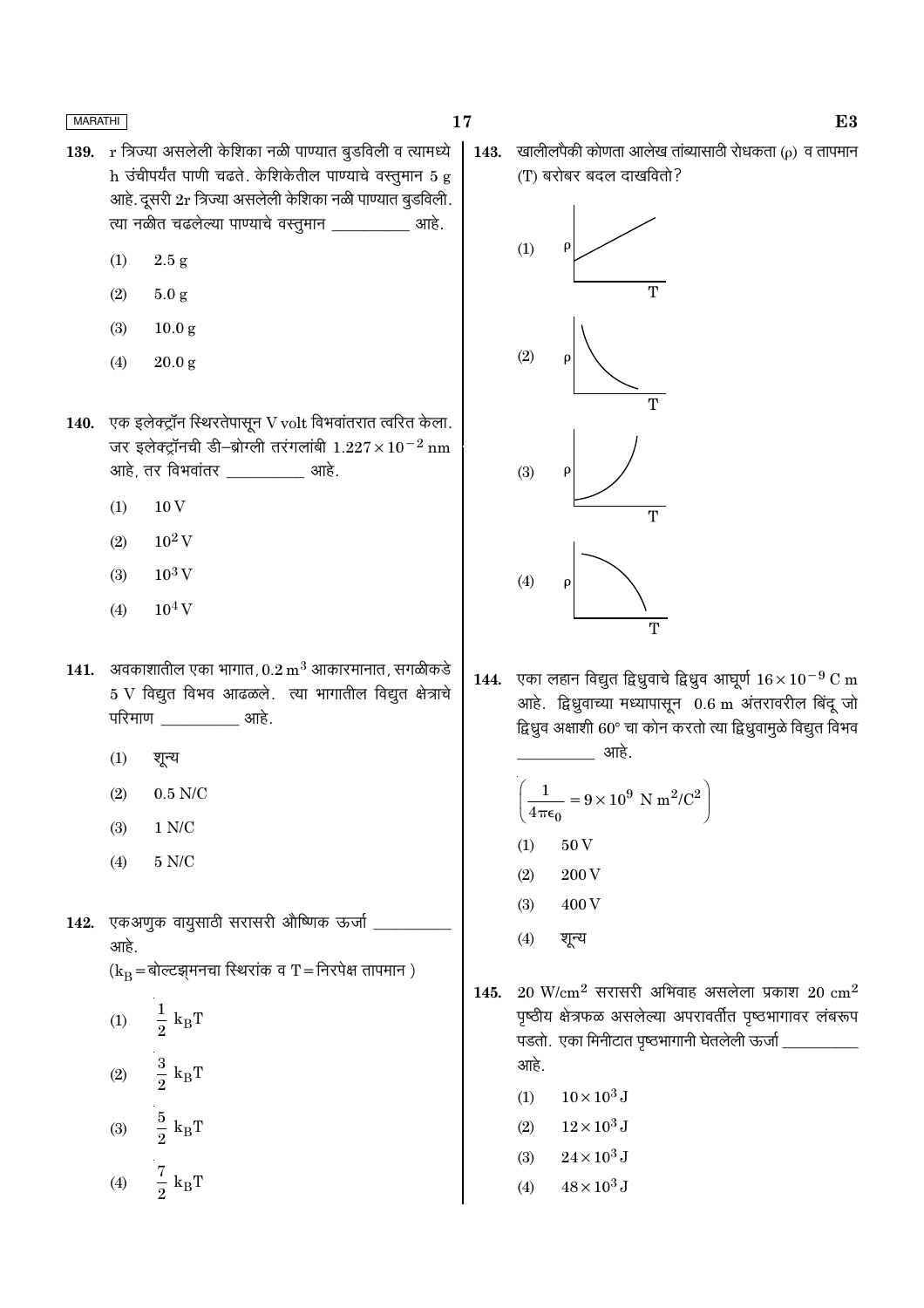- 139. r त्रिज्या असलेली केशिका नळी पाण्यात बूडविली व त्यामध्ये h उंचीपर्यंत पाणी चढते. केशिकेतील पाण्याचे वस्तूमान 5 g आहे. दूसरी 2r त्रिज्या असलेली केशिका नळी पाण्यात बुडविली. त्या नळीत चढलेल्या पाण्याचे वस्तुमान \_\_\_\_\_\_\_\_\_\_\_ आहे.
	- $(1)$  $2.5 g$
	- $(2)$  $5.0 g$
	- $(3)$  $10.0<sub>g</sub>$
	- $(4)$  $20.0 g$
- 140. एक इलेक्ट्रॉन स्थिरतेपासून V volt विभवांतरात त्वरित केला. जर इलेक्ट्रॉनची डी-ब्रोग्ली तरंगलांबी  $1.227 \times 10^{-2}$  nm <u>आहे. तर विभवांतर खाडे.</u>
	- $(1)$  $10V$
	- $10^2$  V  $(2)$
	- $10^3$  V  $(3)$
	- $10^4$  V  $(4)$
- 141. अवकाशातील एका भागात,  $0.2 \text{ m}^3$  आकारमानात, सगळीकडे  $5 \text{ V}$  विद्युत विभव आढळले. त्या भागातील विद्युत क्षेत्राचे परिमाण ्याहे.
	- $(1)$ शून्य
	- $(2)$  $0.5$  N/C
	- $(3)$  $1 N/C$
	- $(4)$  $5$  N/C  $\,$
- एकअणुक वायुसाठी सरासरी औष्णिक ऊर्जा 142. आहे.

 $(k_B = \text{sqrt}$ व्हासनचा स्थिरांक व T = निरपेक्ष तापमान)

 $\frac{1}{2} k_B T$  $(1)$  $\frac{3}{2}~\text{k}_{\text{B}}\text{T}$  $(2)$  $\frac{5}{2}$   ${\rm k_B T}$  $(3)$  $rac{7}{2}$  k<sub>B</sub>T  $(4)$ 

खालीलपैकी कोणता आलेख तांब्यासाठी रोधकता ( $\rho$ ) व तापमान 143. (T) बरोबर बदल दाखवितो?



एका लहान विद्युत द्विध्रुवाचे द्विध्रुव आघूर्ण  $16 \times 10^{-9}$  C m 144. आहे. द्विध्रुवाच्या मध्यापासून 0.6 m अंतरावरील बिंदू जो द्विध्रुव अक्षाशी 60° चा कोन करतो त्या द्विध्रुवामुळे विद्युत विभव आहे.

$$
\left(\frac{1}{4\pi\epsilon_0} = 9 \times 10^9 \text{ N m}^2/\text{C}^2\right)
$$
  
(1) 50 V  
(2) 200 V

- $(3)$ 400V
- $(4)$ शून्य
- $20$  W/cm<sup>2</sup> सरासरी अभिवाह असलेला प्रकाश  $20$  cm<sup>2</sup> 145. पृष्ठीय क्षेत्रफळ असलेल्या अपरावर्तीत पृष्ठभागावर लंबरूप पडतो. एका मिनीटात पृष्ठभागानी घेतलेली ऊर्जा \_ आहे.
	- $10 \times 10^3$  J  $(1)$
	- $12\times10^3$  J  $(2)$
	- $24 \times 10^3$  J  $(3)$
	- $48 \times 10^3$  J  $(4)$

 $E3$ 

17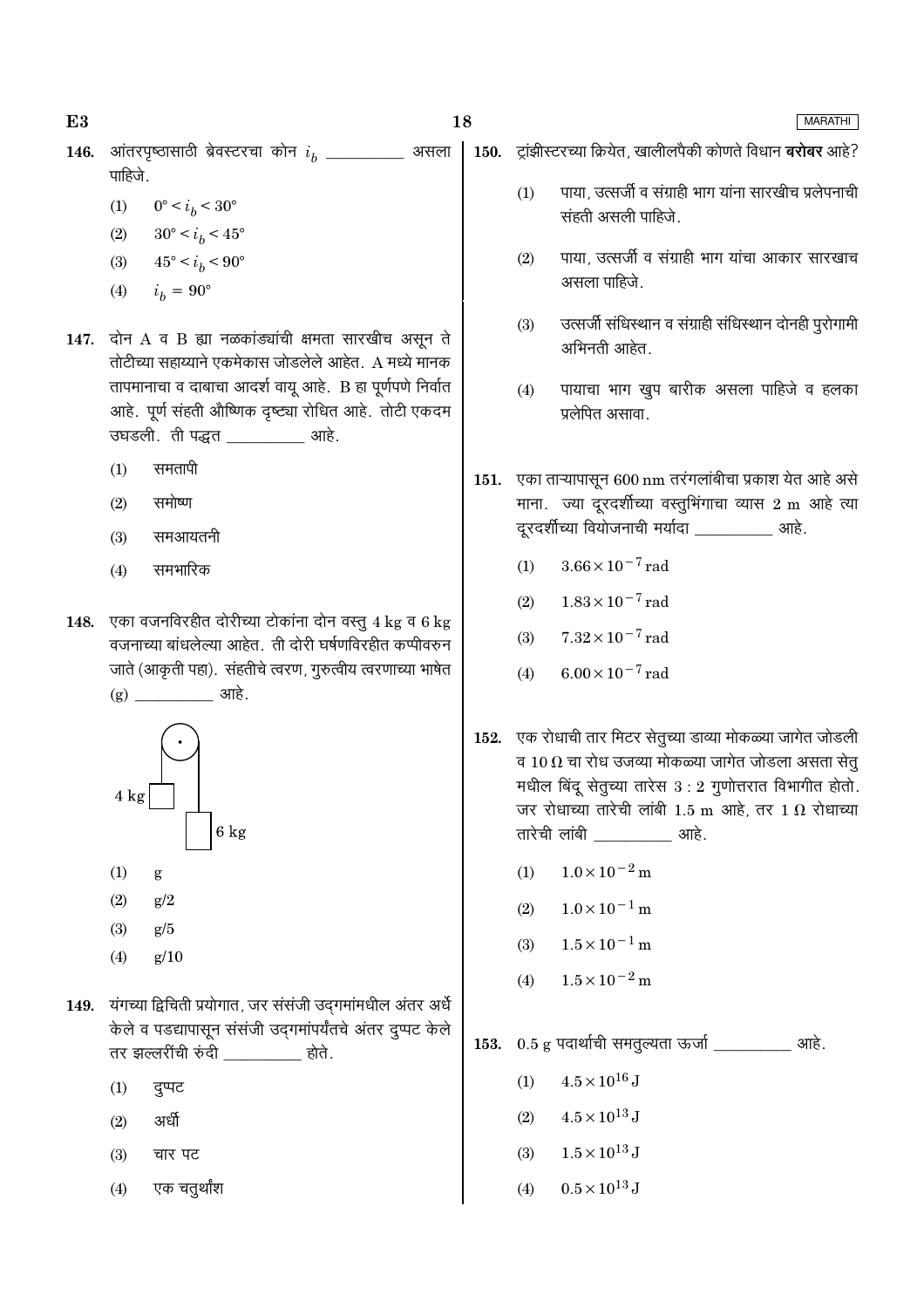18

**MARATHI** 

आंतरपृष्ठासाठी ब्रेवस्टरचा कोन  $i_h$  \_\_\_\_\_\_\_\_\_\_\_ असला 146. पाहिजे.

- $(1)$  $0^{\circ} < i_b < 30^{\circ}$
- (2)  $30^{\circ} < i_h < 45^{\circ}$
- $45^{\circ} < i_b < 90^{\circ}$  $(3)$
- $(4)$  $i_h = 90^{\circ}$
- 147. दोन  $A$  व  $B$  ह्या नळकांड्यांची क्षमता सारखीच असून ते तोटीच्या सहाय्याने एकमेकास जोडलेले आहेत. A मध्ये मानक तापमानाचा व दाबाचा आदर्श वायू आहे. B हा पूर्णपणे निर्वात आहे. पूर्ण संहती औष्णिक दृष्ट्या रोधित आहे. तोटी एकदम उघडली. ती पद्धत बाहे.
	- समतापी  $(1)$
	- समोष्ण  $(2)$
	- $(3)$ समआयतनी
	- समभारिक  $(4)$
- 148. एका वजनविरहीत दोरीच्या टोकांना दोन वस्तू 4 kg व 6 kg वजनाच्या बांधलेल्या आहेत. ती दोरी घर्षणविरहीत कप्पीवरुन जाते (आकृती पहा). संहतीचे त्वरण, गुरुत्वीय त्वरणाच्या भाषेत  $(g)$   $\frac{1}{2}$   $\frac{1}{2}$   $\frac{1}{2}$   $\frac{1}{2}$   $\frac{1}{2}$   $\frac{1}{2}$   $\frac{1}{2}$   $\frac{1}{2}$   $\frac{1}{2}$   $\frac{1}{2}$   $\frac{1}{2}$   $\frac{1}{2}$   $\frac{1}{2}$   $\frac{1}{2}$   $\frac{1}{2}$   $\frac{1}{2}$   $\frac{1}{2}$   $\frac{1}{2}$   $\frac{1}{2}$   $\frac{1}{2}$   $\frac{1}{2}$   $\frac{1}{$



- $(1)$ g
- $(2)$  $g/2$
- $(3)$  $g/5$
- $g/10$  $(4)$
- 149. यंगच्या द्विचिती प्रयोगात, जर संसंजी उदगमांमधील अंतर अर्धे केले व पडद्यापासून संसंजी उद्गमांपर्यंतचे अंतर दुप्पट केले तर झल्लरींची रुंदी \_\_\_\_\_\_\_\_\_\_ होते.
	- $(1)$ दुप्पट
	- अर्धी  $(2)$
	- चार पट  $(3)$
	- एक चतुर्थांश  $(4)$

150. ट्रांझीस्टरच्या क्रियेत, खालीलपैकी कोणते विधान बरोबर आहे?

- पाया, उत्सर्जी व संग्राही भाग यांना सारखीच प्रलेपनाची  $(1)$ संहती असली पाहिजे.
- पाया, उत्सर्जी व संग्राही भाग यांचा आकार सारखाच  $(2)$ असला पाहिजे.
- उत्सर्जी संधिस्थान व संग्राही संधिस्थान दोनही पुरोगामी  $(3)$ अभिनती आहेत.
- पायाचा भाग खुप बारीक असला पाहिजे व हलका  $(4)$ प्रलेपित असावा.
- 151. एका ताऱ्यापासून 600 nm तरंगलांबीचा प्रकाश येत आहे असे माना. ज्या दूरदर्शीच्या वस्तुभिंगाचा व्यास 2 m आहे त्या दूरदर्शीच्या वियोजनाची मर्यादा \_\_\_\_\_\_\_\_\_\_\_ आहे.
	- $3.66 \times 10^{-7}$  rad  $(1)$
	- $1.83 \times 10^{-7}$  rad  $(2)$
	- $7.32 \times 10^{-7}$  rad  $(3)$
	- $(4)$  $6.00 \times 10^{-7}$  rad
- 152. एक रोधाची तार मिटर सेतुच्या डाव्या मोकळ्या जागेत जोडली व 10  $\Omega$  चा रोध उजव्या मोकळ्या जागेत जोडला असता सेतु मधील बिंदू सेतुच्या तारेस  $3:2$  गुणोत्तरात विभागीत होतो. जर रोधाच्या तारेची लांबी 1.5 m आहे, तर 1  $\Omega$  रोधाच्या तारेची लांबी खाड़े.
	- $1.0 \times 10^{-2}$  m  $(1)$
	- $1.0 \times 10^{-1}$  m  $(2)$
	- $1.5 \times 10^{-1}$  m  $(3)$
	- $1.5 \times 10^{-2}$  m  $(4)$

153.  $0.5$  g पदार्थाची समतुल्यता ऊर्जा \_\_\_\_\_\_\_\_\_\_\_\_ आहे.

- $4.5 \times 10^{16}$  J  $(1)$
- $(2)$  $4.5 \times 10^{13}$  J
- $1.5\times10^{13}\,\mathrm{J}$  $(3)$
- $0.5 \times 10^{13}$  J  $(4)$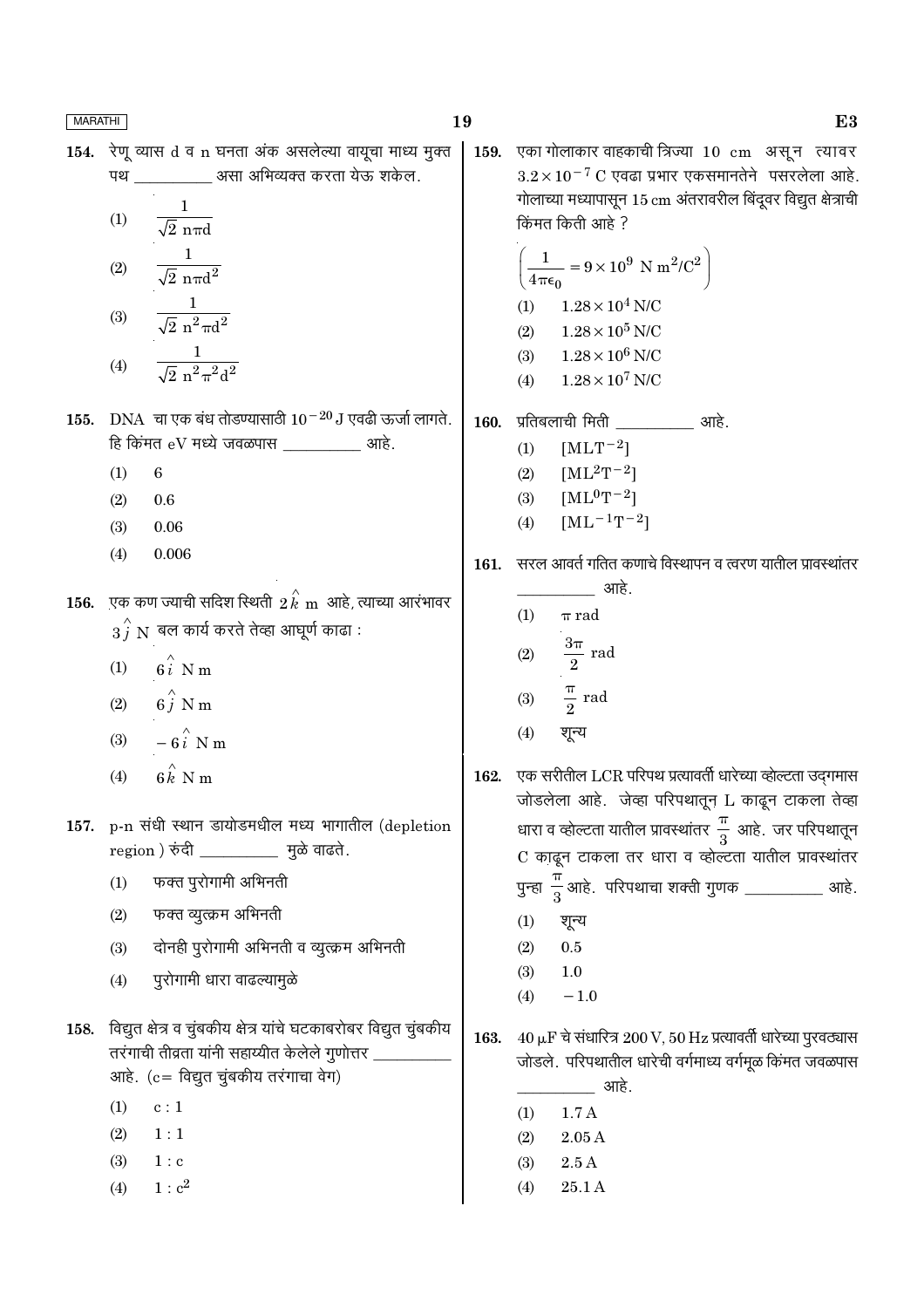| WARAINI |                                                                                                                     | 19   | L)                                                                                                                                  |
|---------|---------------------------------------------------------------------------------------------------------------------|------|-------------------------------------------------------------------------------------------------------------------------------------|
|         | 154. रेणू व्यास d व n घनता अंक असलेल्या वायूचा माध्य मुक्त                                                          |      | 159. एका गोलाकार वाहकाची त्रिज्या 10 cm असून त्यावर                                                                                 |
|         | पथ ____________ असा अभिव्यक्त करता येऊ शकेल.                                                                        |      | $3.2 \times 10^{-7}$ C एवढा प्रभार एकसमानतेने पसरलेला आहे.                                                                          |
|         | $\mathbf{1}$                                                                                                        |      | गोलाच्या मध्यापासून 15 cm अंतरावरील बिंदूवर विद्युत क्षेत्राची                                                                      |
|         | $\frac{1}{\sqrt{2} \text{ n} \pi d}$<br>(1)                                                                         |      | किंमत किती आहे ?                                                                                                                    |
|         | $\frac{1}{\sqrt{2} \pi \pi d^2}$<br>$\left( 2\right)$                                                               |      | $\left(\frac{1}{4\pi\epsilon_0} = 9 \times 10^9 \text{ N m}^2/\text{C}^2\right)$                                                    |
|         | $\frac{1}{\sqrt{2} \; \text{n}^2 \pi \text{d}^2}$<br>(3)                                                            |      | (1) $1.28 \times 10^4$ N/C<br>$(2)$ $1.28\times10^5$ N/C                                                                            |
|         | $\frac{1}{\sqrt{2} n^2 \pi^2 d^2}$<br>(4)                                                                           |      | (3) $1.28 \times 10^6$ N/C<br>(4) $1.28 \times 10^7$ N/C                                                                            |
| 155.    | DNA  चा एक बंध तोडण्यासाठी 10 <sup>-20</sup> J एवढी ऊर्जा लागते.                                                    |      | 160. प्रतिबलाची मिती ____________ आहे.                                                                                              |
|         | हि किंमत $eV$ मध्ये जवळपास ____________ आहे.                                                                        |      | $[MLT^{-2}]$<br>(1)                                                                                                                 |
|         | (1)<br>$\boldsymbol{6}$                                                                                             |      | (2) $[ML^2T^{-2}]$                                                                                                                  |
|         | 0.6<br>(2)                                                                                                          |      | (3) $[ML^0T^{-2}]$                                                                                                                  |
|         | (3)<br>0.06                                                                                                         |      | $[\mathrm{ML}^{-1}\mathrm{T}^{-2}]$<br>(4)                                                                                          |
|         | 0.006<br>(4)                                                                                                        | 161. | सरल आवर्त गतित कणाचे विस्थापन व त्वरण यातील प्रावस्थांतर<br>_____________ आहे.                                                      |
| 156.    | ्एक कण ज्याची सदिश स्थिती $\,2\,\overset{\,\,\sim}{k}\,$ m $\,$ आहे, त्याच्या आरंभावर                               |      | (1)<br>$\pi$ rad                                                                                                                    |
|         | $\stackrel{\frown}{3}^{\!\frown}_I\, {\rm N} \,$ बल कार्य करते तेव्हा आघूर्ण काढा :                                 |      |                                                                                                                                     |
|         | (1) $6i$ N m                                                                                                        |      | (2) $\frac{3\pi}{2}$ rad                                                                                                            |
|         | (2) $6 \hat{j}$ N m                                                                                                 |      | (3) $\frac{\pi}{2}$ rad                                                                                                             |
|         | (3) $-6\hat{i}$ N m                                                                                                 |      | शून्य<br>(4)                                                                                                                        |
|         | $6\hat{k}$ N m<br>(4)                                                                                               |      | 162. एक सरीतील LCR परिपथ प्रत्यावर्ती धारेच्या व्होल्टता उद्गमास<br>जोडलेला आहे. जेव्हा परिपथातून L काढून टाकला तेव्हा              |
| 157.    | p-n संधी स्थान डायोडमधील मध्य भागातील (depletion                                                                    |      | धारा व व्होल्टता यातील प्रावस्थांतर $\frac{\pi}{3}$ आहे. जर परिपथातून                                                               |
|         | region ) रुंदी _____________ मुळे वाढते.                                                                            |      | C काढून टाकला तर धारा व व्होल्टता यातील प्रावस्थांतर                                                                                |
|         | फक्त पुरोगामी अभिनती<br>(1)                                                                                         |      | पुन्हा $\frac{\pi}{3}$ आहे. परिपथाचा शक्ती गुणक ___________ आहे.                                                                    |
|         | फक्त व्युत्क्रम अभिनती<br>(2)                                                                                       |      | (1)<br>शून्य                                                                                                                        |
|         | दोनही पुरोगामी अभिनती व व्युत्क्रम अभिनती<br>(3)                                                                    |      | $0.5\,$<br>(2)                                                                                                                      |
|         | पुरोगामी धारा वाढल्यामुळे<br>(4)                                                                                    |      | (3)<br>1.0                                                                                                                          |
|         |                                                                                                                     |      | $-1.0$<br>(4)                                                                                                                       |
| 158.    | विद्युत क्षेत्र व चुंबकीय क्षेत्र यांचे घटकाबरोबर विद्युत चुंबकीय<br>तरंगाची तीव्रता यांनी सहाय्यीत केलेले गुणोत्तर | 163. | $40 \mu$ F चे संधारित्र $200 V$ , $50 Hz$ प्रत्यावर्ती धारेच्या पुरवठ्यास<br>जोडले. परिपथातील धारेची वर्गमाध्य वर्गमूळ किंमत जवळपास |
|         | आहे. (c = विद्युत चुंबकीय तरंगाचा वेग)                                                                              |      | आहे.                                                                                                                                |
|         | (1)<br>c:1                                                                                                          |      | 1.7A<br>(1)                                                                                                                         |
|         | (2)<br>1:1                                                                                                          |      | 2.05A<br>(2)                                                                                                                        |
|         | (3)<br>1 : c                                                                                                        |      | 2.5A<br>(3)                                                                                                                         |
|         | 1 : c <sup>2</sup><br>(4)                                                                                           |      | 25.1 A<br>(4)                                                                                                                       |
|         |                                                                                                                     |      |                                                                                                                                     |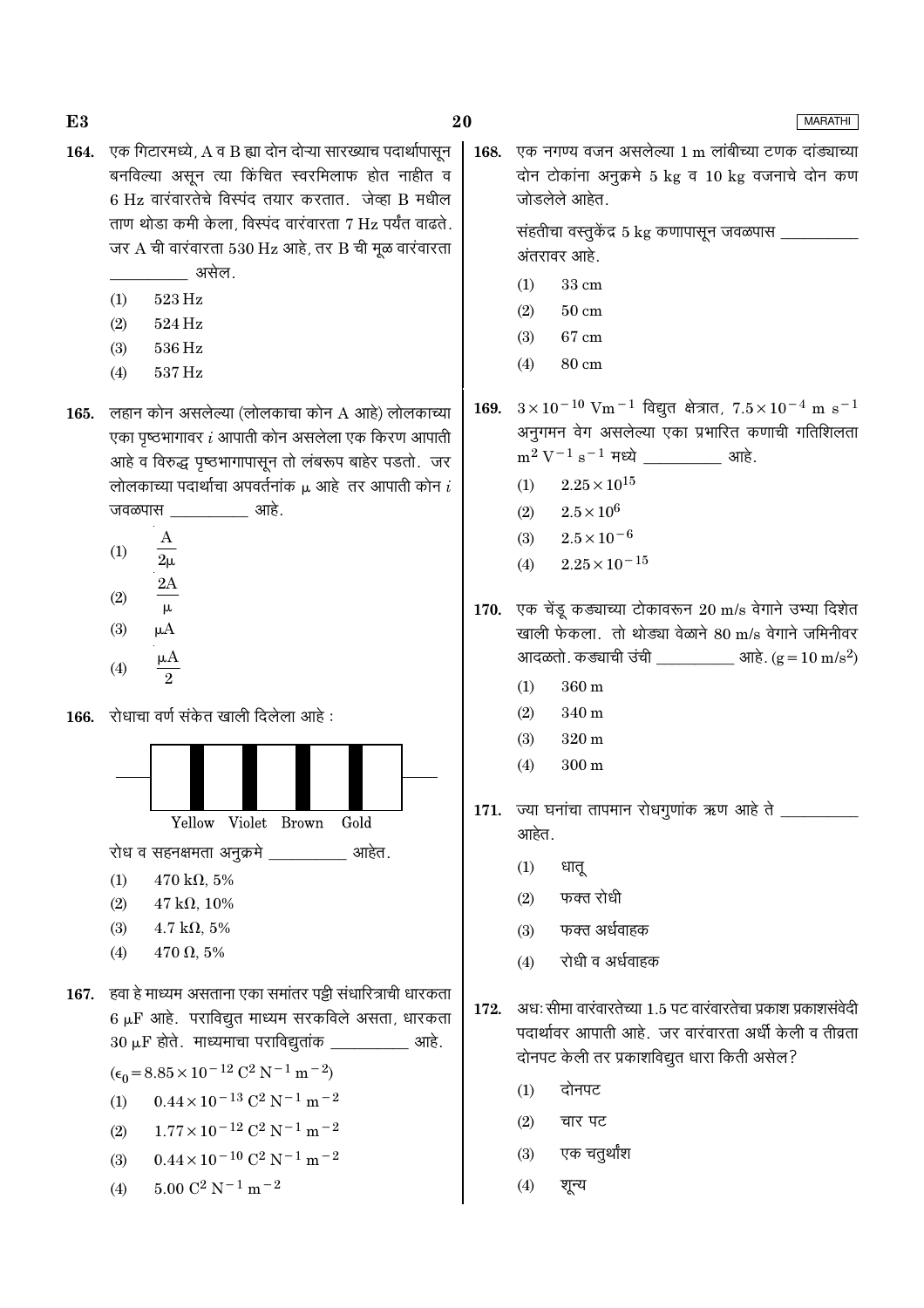- 164. एक गिटारमध्ये, A व B ह्या दोन दोन्या सारख्याच पदार्थापासून बनविल्या असून त्या किंचित स्वरमिलाफ होत नाहीत व 6 Hz वारंवारतेचे विस्पंद तयार करतात. जेव्हा B मधील ताण थोड़ा कमी केला, विस्पंद वारंवारता 7 Hz पर्यंत वाढते. जर  $A$  ची वारंवारता 530 Hz आहे, तर B ची मूळ वारंवारता असेल.
	- $523\,\mathrm{Hz}$  $(1)$
	- $(2)$ 524 Hz
	- $(3)$ 536 Hz
	- $(4)$ 537 Hz
- 165. लहान कोन असलेल्या (लोलकाचा कोन A आहे) लोलकाच्या एका पृष्ठभागावर  $i$  आपाती कोन असलेला एक किरण आपाती आहे व विरुद्ध पृष्ठभागापासून तो लंबरूप बाहेर पडतो. जर लोलकाच्या पदार्थाचा अपवर्तनांक  $\mu$  आहे तर आपाती कोन  $i$ <u>\_\_\_\_\_\_\_\_\_</u>\_ आहे. जवळपास
	- $\overline{A}$  $(1)$  $2\mu$
	-
	- $(2)$  $\mu$
	- $(3)$  $\mu A$
	- $(4)$
- 166. रोधाचा वर्ण संकेत खाली दिलेला आहे:



रोध व सहनक्षमता अनुक्रमे वालिका आहेत.

- $(1)$  $470 \text{ k}\Omega, 5\%$
- $(2)$  $47 k\Omega, 10\%$
- $4.7 \text{ k}\Omega, 5\%$  $(3)$
- $470 \Omega, 5\%$  $(4)$

167. हवा हे माध्यम असताना एका समांतर पट्टी संधारित्राची धारकता  $6 \mu$ F आहे. पराविद्युत माध्यम सरकविले असता, धारकता  $30 \mu$ F होते. माध्यमाचा पराविद्युतांक \_\_\_\_\_\_\_\_\_\_\_\_\_ आहे.

 $(\epsilon_0 = 8.85 \times 10^{-12} \text{ C}^2 \text{ N}^{-1} \text{ m}^{-2})$ 

- $0.44 \times 10^{-13}$  C<sup>2</sup> N<sup>-1</sup> m<sup>-2</sup>  $(1)$
- $1.77 \times 10^{-12}$  C<sup>2</sup> N<sup>-1</sup> m<sup>-2</sup>  $(2)$
- $0.44 \times 10^{-10}$  C<sup>2</sup> N<sup>-1</sup> m<sup>-2</sup>  $(3)$
- $5.00 \text{ C}^2 \text{ N}^{-1} \text{ m}^{-2}$  $(4)$

एक नगण्य वजन असलेल्या 1 m लांबीच्या टणक दांड्याच्या 168. दोन टोकांना अनुक्रमे 5 kg व 10 kg वजनाचे दोन कण जोडलेले आहेत.

> संहतीचा वस्तुकेंद्र 5 kg कणापासून जवळपास अंतरावर आहे.

- $(1)$ 33 cm
- $(2)$  $50 \text{ cm}$
- $(3)$ 67 cm
- $(4)$ 80 cm
- $3 \times 10^{-10}$  Vm<sup>-1</sup> विद्युत क्षेत्रात,  $7.5 \times 10^{-4}$  m s<sup>-1</sup> 169. अनुगमन वेग असलेल्या एका प्रभारित कणाची गतिशिलता  $m^2 V^{-1} s^{-1}$  मध्ये आहे.
	- $(1)$  $2.25 \times 10^{15}$
	- $(2)$  $2.5 \times 10^6$
	- $2.5 \times 10^{-6}$  $(3)$
	- $2.25\times10^{-15}$  $(4)$
- 170. एक चेंडू कड्याच्या टोकावरून 20 m/s वेगाने उभ्या दिशेत खाली फेकला. तो थोड्या वेळाने 80 m/s वेगाने जमिनीवर
	- $(1)$  $360 \text{ m}$
	- $(2)$ 340 m
	- $320 \text{ m}$  $(3)$
	- $(4)$ 300 m
- 171. ज्या घनांचा तापमान रोधगुणांक ऋण आहे ते आहेत.
	- $(1)$ धातू
	- फक्त रोधी  $(2)$
	- फक्त अर्धवाहक  $(3)$
	- रोधी व अर्धवाहक  $(4)$
- अध: सीमा वारंवारतेच्या १ ५ पट वारंवारतेचा प्रकाश प्रकाशसंवेदी 172. पदार्थावर आपाती आहे. जर वारंवारता अर्धी केली व तीव्रता दोनपट केली तर प्रकाशविद्युत धारा किती असेल?
	- दोनपट  $(1)$
	- $(2)$ चार पट
	- एक चतुर्थांश  $(3)$
	- $(4)$ शून्य

# **MARATHI**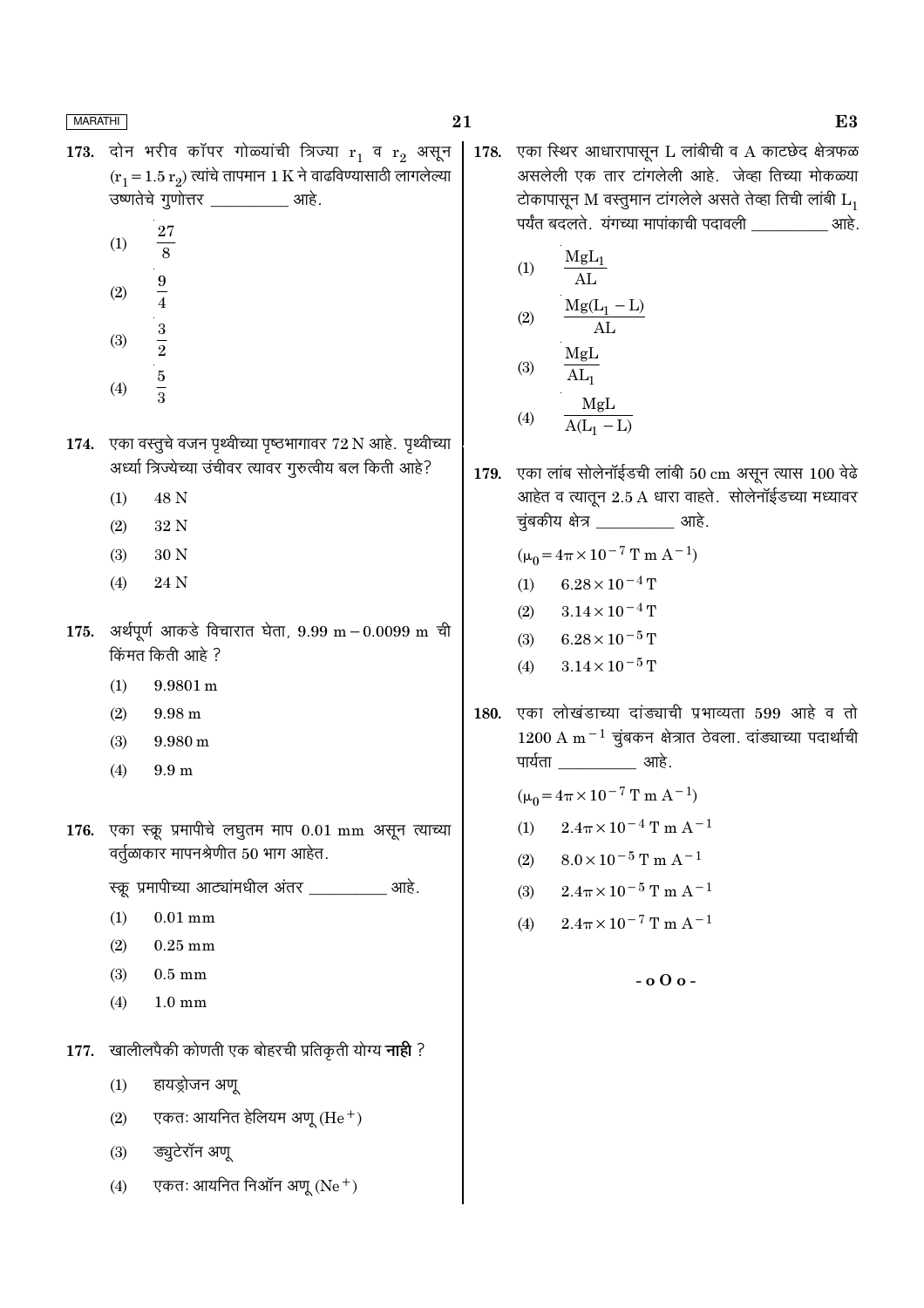- 173. दोन भरीव कॉपर गोळ्यांची त्रिज्या  $r_1$  व  $r_2$  असून  $(r_1 = 1.5 r_2)$  त्यांचे तापमान 1 K ने वाढविण्यासाठी लागलेल्या उष्णतेचे गुणोत्तर \_\_\_\_\_\_\_\_\_\_\_ आहे.
	- 27  $(1)$  $\overline{8}$  $\boldsymbol{9}$  $(2)$  $\overline{4}$
	- $\frac{3}{2}$  $(3)$
	- $\frac{5}{3}$  $(4)$
- 174. एका वस्तुचे वजन पृथ्वीच्या पृष्ठभागावर 72 N आहे. पृथ्वीच्या अर्ध्या त्रिज्येच्या उंचीवर त्यावर गुरुत्वीय बल किती आहे?
	- $(1)$ 48 N
	- $(2)$ 32 N
	- 30 N  $(3)$
	- 24 N  $(4)$
- 175. अर्थपूर्ण आकडे विचारात घेता, 9.99 m 0.0099 m ची किंमत किती आहे ?
	- 9.9801 m  $(1)$
	- $(2)$  $9.98<sub>m</sub>$
	- $(3)$  $9.980 \text{ m}$
	- $(4)$  $9.9<sub>m</sub>$
- 176. एका स्क्रू प्रमापीचे लघूतम माप  $0.01$  mm असून त्याच्या वर्तुळाकार मापनश्रेणीत 50 भाग आहेत.

स्क्रू प्रमापीच्या आट्यांमधील अंतर \_\_\_\_\_\_\_\_\_\_ आहे.

- $0.01$  mm  $(1)$
- $(2)$  $0.25$  mm
- $(3)$  $0.5 \text{ mm}$
- $(4)$  $1.0 \text{ mm}$
- 177. खालीलपैकी कोणती एक बोहरची प्रतिकृती योग्य नाही ?
	- $(1)$ हायड्रोजन अण्
	- एकतः आयनित हेलियम अणू (He $^+$ )  $(2)$
	- ड्यूटेरॉन अणू  $(3)$
	- एकतः आयनित निऑन अणू (Ne $^+$ )  $(4)$

एका स्थिर आधारापासून L लांबीची व A काटछेद क्षेत्रफळ 178. असलेली एक तार टांगलेली आहे. जेव्हा तिच्या मोकळ्या टोकापासून M वस्तुमान टांगलेले असते तेव्हा तिची लांबी  $L_1$ पर्यंत बदलते. यंगच्या मापांकाची पदावली खर्मा आहे.

(1) 
$$
\frac{MgL_1}{AL}
$$
  
(2) 
$$
\frac{Mg(L_1 - L)}{AL}
$$
  
MgL

$$
(3) \quad \frac{MgL}{AL_1}
$$
\n
$$
(4) \quad \frac{MgL}{A(L_1 - L)}
$$

179. एका लांब सोलेनॉईडची लांबी 50 cm असून त्यास 100 वेढे आहेत व त्यातून 2.5 A धारा वाहते. सोलेनॉईडच्या मध्यावर चुंबकीय क्षेत्र \_\_\_\_\_\_\_\_\_\_\_\_ आहे.

 $(\mu_0 = 4\pi \times 10^{-7} \text{ T m A}^{-1})$ 

- $(1)$  $6.28 \times 10^{-4}$  T
- $(2)$  $3.14 \times 10^{-4}$  T
- $(3)$  $6.28 \times 10^{-5}$  T
- $3.14 \times 10^{-5}$  T  $(4)$
- एका लोखंडाच्या दांड्याची प्रभाव्यता 599 आहे व तो 180.  $1200$  A m<sup>-1</sup> चुंबकन क्षेत्रात ठेवला. दांड्याच्या पदार्थाची पार्यता आहे.

 $(\mu_0 = 4\pi \times 10^{-7} \text{ T m A}^{-1})$ 

- $2.4\pi \times 10^{-4}$  T m A<sup>-1</sup>  $(1)$
- $8.0 \times 10^{-5}$  T m A<sup>-1</sup>  $(2)$
- $(3)$  $2.4\pi \times 10^{-5}$  T m A<sup>-1</sup>
- $2.4\pi \times 10^{-7}$  T m A<sup>-1</sup>  $(4)$ 
	- $-$  0.0  $\sigma$  -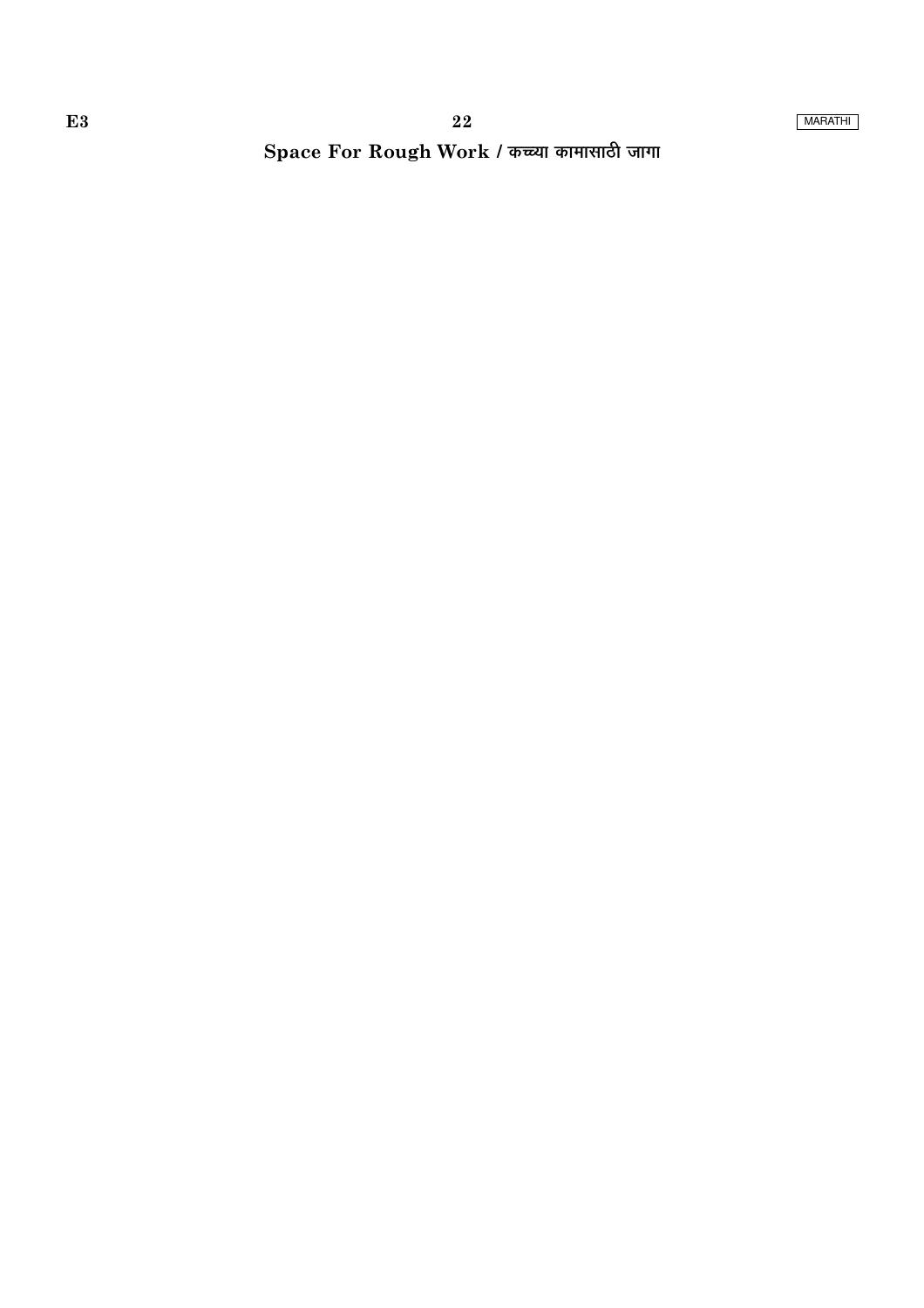Space For Rough Work / कच्च्या कामासाठी जागा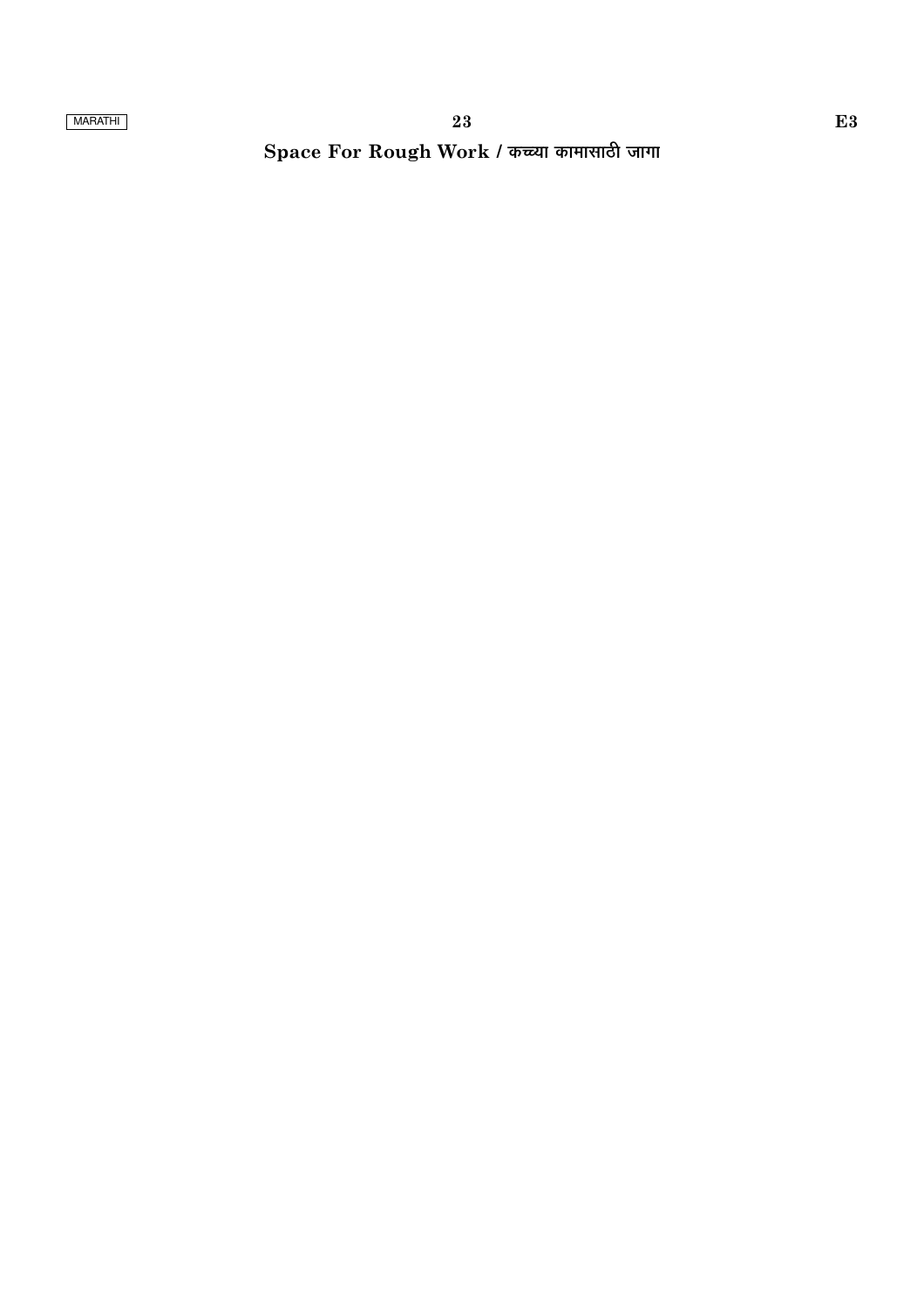# Space For Rough Work / कच्च्या कामासाठी जागा